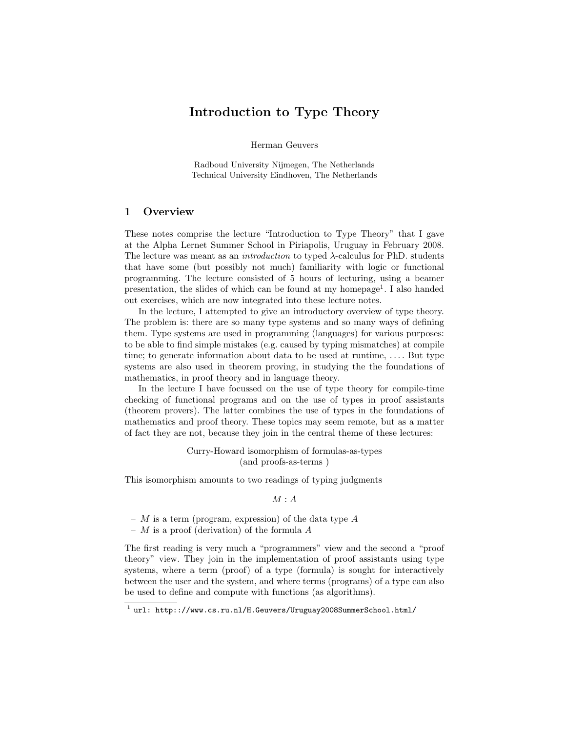# Introduction to Type Theory

Herman Geuvers

Radboud University Nijmegen, The Netherlands Technical University Eindhoven, The Netherlands

## 1 Overview

These notes comprise the lecture "Introduction to Type Theory" that I gave at the Alpha Lernet Summer School in Piriapolis, Uruguay in February 2008. The lecture was meant as an *introduction* to typed  $\lambda$ -calculus for PhD. students that have some (but possibly not much) familiarity with logic or functional programming. The lecture consisted of 5 hours of lecturing, using a beamer presentation, the slides of which can be found at my homepage<sup>1</sup>. I also handed out exercises, which are now integrated into these lecture notes.

In the lecture, I attempted to give an introductory overview of type theory. The problem is: there are so many type systems and so many ways of defining them. Type systems are used in programming (languages) for various purposes: to be able to find simple mistakes (e.g. caused by typing mismatches) at compile time; to generate information about data to be used at runtime,  $\dots$ . But type systems are also used in theorem proving, in studying the the foundations of mathematics, in proof theory and in language theory.

In the lecture I have focussed on the use of type theory for compile-time checking of functional programs and on the use of types in proof assistants (theorem provers). The latter combines the use of types in the foundations of mathematics and proof theory. These topics may seem remote, but as a matter of fact they are not, because they join in the central theme of these lectures:

> Curry-Howard isomorphism of formulas-as-types (and proofs-as-terms )

This isomorphism amounts to two readings of typing judgments

 $M : A$ 

–  $M$  is a term (program, expression) of the data type  $A$ 

 $-$  *M* is a proof (derivation) of the formula A

The first reading is very much a "programmers" view and the second a "proof theory" view. They join in the implementation of proof assistants using type systems, where a term (proof) of a type (formula) is sought for interactively between the user and the system, and where terms (programs) of a type can also be used to define and compute with functions (as algorithms).

 $^{1}$  url: http:://www.cs.ru.nl/H.Geuvers/Uruguay2008SummerSchool.html/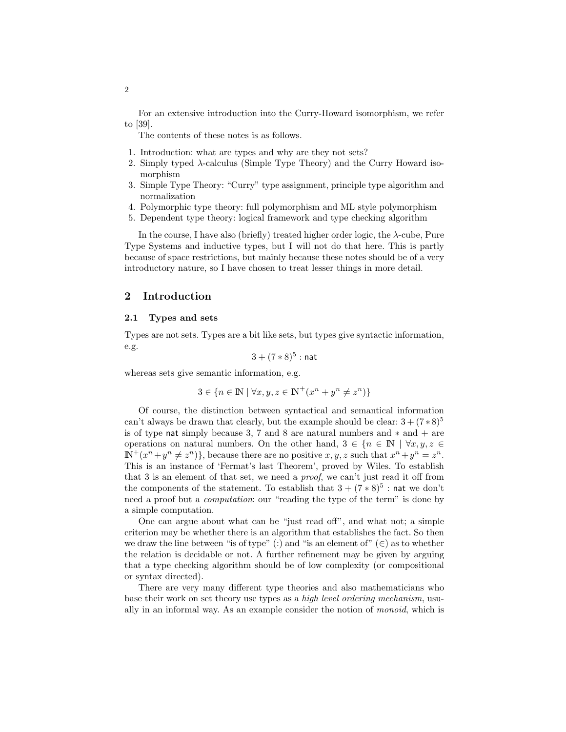For an extensive introduction into the Curry-Howard isomorphism, we refer to [39].

The contents of these notes is as follows.

- 1. Introduction: what are types and why are they not sets?
- 2. Simply typed  $\lambda$ -calculus (Simple Type Theory) and the Curry Howard isomorphism
- 3. Simple Type Theory: "Curry" type assignment, principle type algorithm and normalization
- 4. Polymorphic type theory: full polymorphism and ML style polymorphism
- 5. Dependent type theory: logical framework and type checking algorithm

In the course, I have also (briefly) treated higher order logic, the λ-cube, Pure Type Systems and inductive types, but I will not do that here. This is partly because of space restrictions, but mainly because these notes should be of a very introductory nature, so I have chosen to treat lesser things in more detail.

## 2 Introduction

#### 2.1 Types and sets

Types are not sets. Types are a bit like sets, but types give syntactic information, e.g.

$$
3 + (7 * 8)^5
$$
: nat

whereas sets give semantic information, e.g.

$$
3 \in \{n \in \mathbb{N} \mid \forall x, y, z \in \mathbb{N}^+(x^n + y^n \neq z^n)\}
$$

Of course, the distinction between syntactical and semantical information can't always be drawn that clearly, but the example should be clear:  $3 + (7 * 8)^5$ is of type nat simply because 3, 7 and 8 are natural numbers and  $*$  and  $+$  are operations on natural numbers. On the other hand,  $3 \in \{n \in \mathbb{N} \mid \forall x, y, z \in \mathbb{N}\}$  $\mathbb{N}^+(x^n+y^n \neq z^n)$ , because there are no positive  $x, y, z$  such that  $x^n + y^n = z^n$ . This is an instance of 'Fermat's last Theorem', proved by Wiles. To establish that 3 is an element of that set, we need a proof, we can't just read it off from the components of the statement. To establish that  $3 + (7 * 8)^5$ : nat we don't need a proof but a computation: our "reading the type of the term" is done by a simple computation.

One can argue about what can be "just read off", and what not; a simple criterion may be whether there is an algorithm that establishes the fact. So then we draw the line between "is of type" (:) and "is an element of"  $(\in)$  as to whether the relation is decidable or not. A further refinement may be given by arguing that a type checking algorithm should be of low complexity (or compositional or syntax directed).

There are very many different type theories and also mathematicians who base their work on set theory use types as a high level ordering mechanism, usually in an informal way. As an example consider the notion of monoid, which is

 $\mathfrak{D}$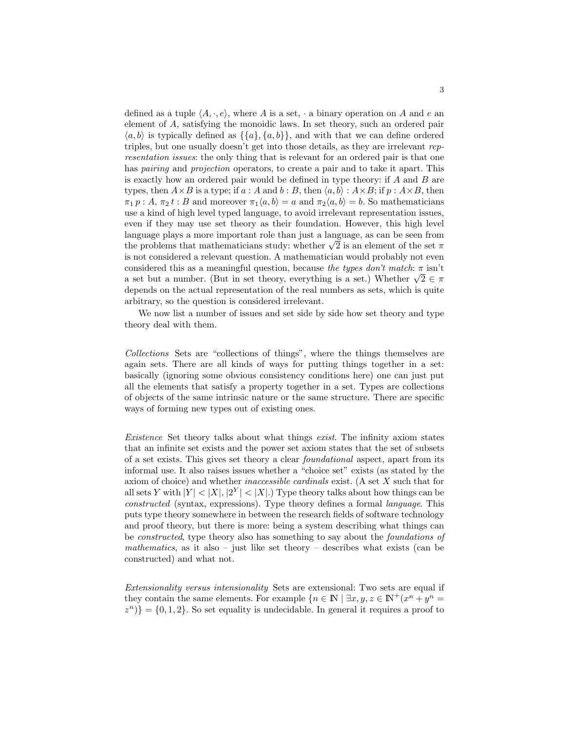defined as a tuple  $\langle A, \cdot, e \rangle$ , where A is a set,  $\cdot$  a binary operation on A and e an element of A, satisfying the monoidic laws. In set theory, such an ordered pair  $\langle a, b \rangle$  is typically defined as  $\{\{a\}, \{a, b\}\}\$ , and with that we can define ordered triples, but one usually doesn't get into those details, as they are irrelevant representation issues: the only thing that is relevant for an ordered pair is that one has *pairing* and *projection* operators, to create a pair and to take it apart. This is exactly how an ordered pair would be defined in type theory: if  $A$  and  $B$  are types, then  $A \times B$  is a type; if  $a : A$  and  $b : B$ , then  $\langle a, b \rangle : A \times B$ ; if  $p : A \times B$ , then  $\pi_1 p : A$ ,  $\pi_2 t : B$  and moreover  $\pi_1 \langle a, b \rangle = a$  and  $\pi_2 \langle a, b \rangle = b$ . So mathematicians use a kind of high level typed language, to avoid irrelevant representation issues, even if they may use set theory as their foundation. However, this high level language plays a more important role than just a language, as can be seen from the problems that mathematicians study: whether  $\sqrt{2}$  is an element of the set  $\pi$ is not considered a relevant question. A mathematician would probably not even considered this as a meaningful question, because the types don't match:  $\pi$  isn't considered this as a meaningful question, because the types don't match:  $\pi$  ish t<br>a set but a number. (But in set theory, everything is a set.) Whether  $\sqrt{2} \in \pi$ depends on the actual representation of the real numbers as sets, which is quite arbitrary, so the question is considered irrelevant.

We now list a number of issues and set side by side how set theory and type theory deal with them.

Collections Sets are "collections of things", where the things themselves are again sets. There are all kinds of ways for putting things together in a set: basically (ignoring some obvious consistency conditions here) one can just put all the elements that satisfy a property together in a set. Types are collections of objects of the same intrinsic nature or the same structure. There are specific ways of forming new types out of existing ones.

Existence Set theory talks about what things exist. The infinity axiom states that an infinite set exists and the power set axiom states that the set of subsets of a set exists. This gives set theory a clear foundational aspect, apart from its informal use. It also raises issues whether a "choice set" exists (as stated by the axiom of choice) and whether inaccessible cardinals exist. (A set X such that for all sets Y with  $|Y| < |X|, |2^Y| < |X|$ . Type theory talks about how things can be constructed (syntax, expressions). Type theory defines a formal language. This puts type theory somewhere in between the research fields of software technology and proof theory, but there is more: being a system describing what things can be constructed, type theory also has something to say about the foundations of mathematics, as it also – just like set theory – describes what exists (can be constructed) and what not.

Extensionality versus intensionality Sets are extensional: Two sets are equal if they contain the same elements. For example  $\{n \in \mathbb{N} \mid \exists x, y, z \in \mathbb{N}^+(x^n + y^n = 1\}$  $(z^n)$  = {0, 1, 2}. So set equality is undecidable. In general it requires a proof to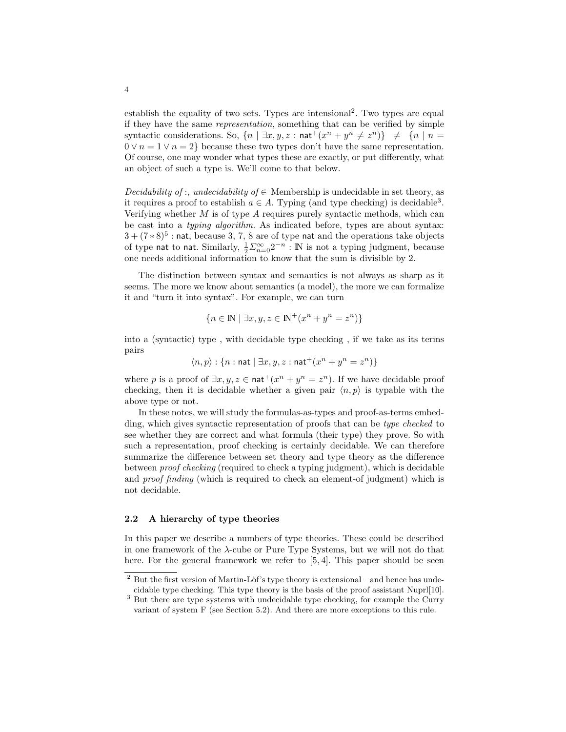establish the equality of two sets. Types are intensional<sup>2</sup>. Two types are equal if they have the same representation, something that can be verified by simple syntactic considerations. So,  $\{n \mid \exists x, y, z : \text{nat}^+(x^n + y^n \neq z^n)\}\neq \{n \mid n =$  $0 \vee n = 1 \vee n = 2$  because these two types don't have the same representation. Of course, one may wonder what types these are exactly, or put differently, what an object of such a type is. We'll come to that below.

Decidability of:, undecidability of  $\in$  Membership is undecidable in set theory, as it requires a proof to establish  $a \in A$ . Typing (and type checking) is decidable<sup>3</sup>. Verifying whether  $M$  is of type  $A$  requires purely syntactic methods, which can be cast into a typing algorithm. As indicated before, types are about syntax:  $3 + (7 * 8)^5$ : nat, because 3, 7, 8 are of type nat and the operations take objects of type nat to nat. Similarly,  $\frac{1}{2} \sum_{n=0}^{\infty} 2^{-n}$  : N is not a typing judgment, because one needs additional information to know that the sum is divisible by 2.

The distinction between syntax and semantics is not always as sharp as it seems. The more we know about semantics (a model), the more we can formalize it and "turn it into syntax". For example, we can turn

$$
\{n \in \mathbb{N} \mid \exists x, y, z \in \mathbb{N}^+(x^n + y^n = z^n)\}
$$

into a (syntactic) type , with decidable type checking , if we take as its terms pairs

$$
\langle n, p \rangle : \{n : \text{nat} \mid \exists x, y, z : \text{nat}^+(x^n + y^n = z^n) \}
$$

where p is a proof of  $\exists x, y, z \in \text{nat}^+(x^n + y^n = z^n)$ . If we have decidable proof checking, then it is decidable whether a given pair  $\langle n, p \rangle$  is typable with the above type or not.

In these notes, we will study the formulas-as-types and proof-as-terms embedding, which gives syntactic representation of proofs that can be type checked to see whether they are correct and what formula (their type) they prove. So with such a representation, proof checking is certainly decidable. We can therefore summarize the difference between set theory and type theory as the difference between proof checking (required to check a typing judgment), which is decidable and *proof finding* (which is required to check an element-of judgment) which is not decidable.

## 2.2 A hierarchy of type theories

In this paper we describe a numbers of type theories. These could be described in one framework of the  $\lambda$ -cube or Pure Type Systems, but we will not do that here. For the general framework we refer to  $[5, 4]$ . This paper should be seen

 $2$  But the first version of Martin-Löf's type theory is extensional – and hence has undecidable type checking. This type theory is the basis of the proof assistant Nuprl[10].

<sup>&</sup>lt;sup>3</sup> But there are type systems with undecidable type checking, for example the Curry variant of system F (see Section 5.2). And there are more exceptions to this rule.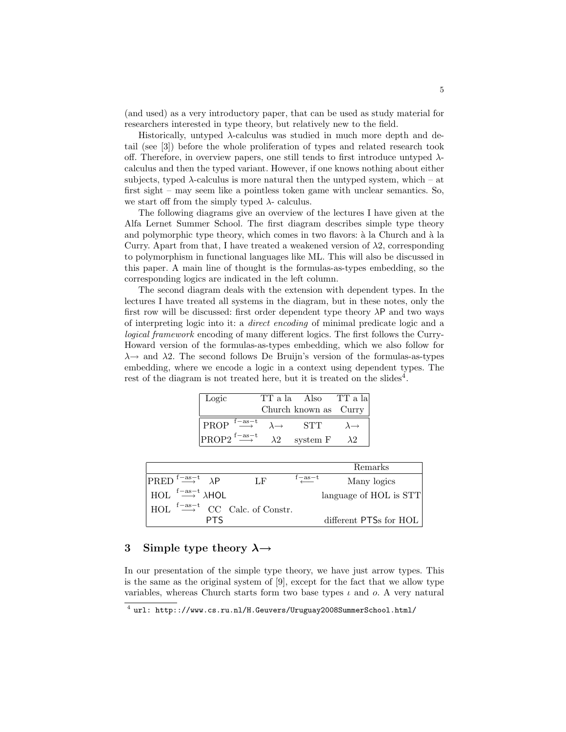(and used) as a very introductory paper, that can be used as study material for researchers interested in type theory, but relatively new to the field.

Historically, untyped  $\lambda$ -calculus was studied in much more depth and detail (see [3]) before the whole proliferation of types and related research took off. Therefore, in overview papers, one still tends to first introduce untyped  $\lambda$ calculus and then the typed variant. However, if one knows nothing about either subjects, typed  $\lambda$ -calculus is more natural then the untyped system, which – at first sight – may seem like a pointless token game with unclear semantics. So, we start off from the simply typed  $\lambda$ - calculus.

The following diagrams give an overview of the lectures I have given at the Alfa Lernet Summer School. The first diagram describes simple type theory and polymorphic type theory, which comes in two flavors:  $\hat{a}$  la Church and  $\hat{a}$  la Curry. Apart from that, I have treated a weakened version of  $\lambda$ 2, corresponding to polymorphism in functional languages like ML. This will also be discussed in this paper. A main line of thought is the formulas-as-types embedding, so the corresponding logics are indicated in the left column.

The second diagram deals with the extension with dependent types. In the lectures I have treated all systems in the diagram, but in these notes, only the first row will be discussed: first order dependent type theory λP and two ways of interpreting logic into it: a direct encoding of minimal predicate logic and a logical framework encoding of many different logics. The first follows the Curry-Howard version of the formulas-as-types embedding, which we also follow for  $\lambda \rightarrow$  and  $\lambda$ 2. The second follows De Bruijn's version of the formulas-as-types embedding, where we encode a logic in a context using dependent types. The rest of the diagram is not treated here, but it is treated on the slides<sup>4</sup>.

| Logic                                                |             | TT a la Also          | TT a la     |
|------------------------------------------------------|-------------|-----------------------|-------------|
|                                                      |             | Church known as Curry |             |
| $\overline{PROP} \overset{f-as-t}{\longrightarrow}$  |             | <b>STT</b>            |             |
| $ {\rm PROP2}\stackrel{\rm f-as-t}{\longrightarrow}$ | $\lambda$ 2 | system F              | $\lambda$ 2 |

|                                                                                       |                                                |         | Remarks                  |
|---------------------------------------------------------------------------------------|------------------------------------------------|---------|--------------------------|
| $ {\rm PRED} \stackrel{{\rm f}-{\rm as}-{\rm t}}{\longrightarrow} \lambda {\sf P}$    | LF                                             | $f = 1$ | Many logics              |
| $^\mathrm{+}$ HOL $\stackrel{\mathrm{f-as-t}}{\longrightarrow}$ $\lambda\mathsf{HOL}$ |                                                |         | language of HOL is STT   |
|                                                                                       | HOL $\xrightarrow{f-as-t}$ CC Calc. of Constr. |         |                          |
| PΤS                                                                                   |                                                |         | different $PTSs$ for HOL |

## 3 Simple type theory  $\lambda \rightarrow$

In our presentation of the simple type theory, we have just arrow types. This is the same as the original system of [9], except for the fact that we allow type variables, whereas Church starts form two base types  $\iota$  and  $o$ . A very natural

 $^4$  url: http:://www.cs.ru.nl/H.Geuvers/Uruguay2008SummerSchool.html/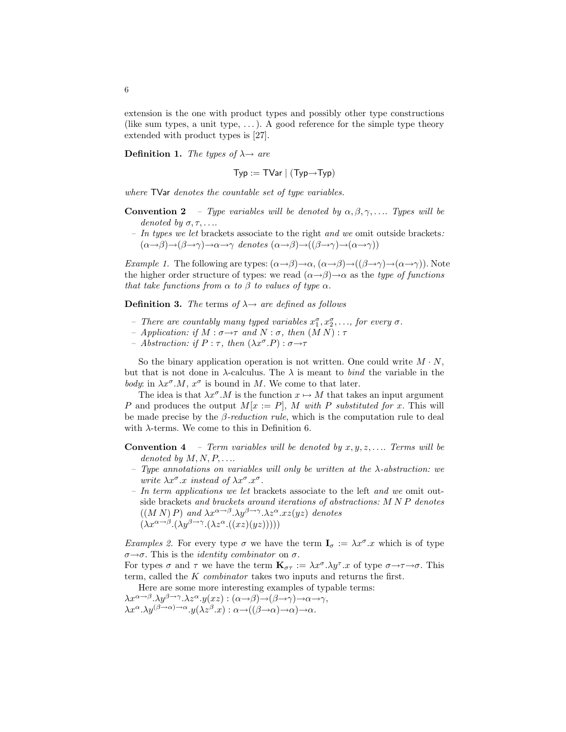extension is the one with product types and possibly other type constructions (like sum types, a unit type,  $\dots$ ). A good reference for the simple type theory extended with product types is [27].

**Definition 1.** The types of  $\lambda \rightarrow$  are

$$
\mathsf{Typ}:=\mathsf{TVar} \mid (\mathsf{Typ} {\rightarrow} \mathsf{Typ})
$$

where TVar denotes the countable set of type variables.

- **Convention 2** Type variables will be denoted by  $\alpha, \beta, \gamma, \ldots$  Types will be denoted by  $\sigma, \tau, \ldots$ 
	- $-$  In types we let brackets associate to the right and we omit outside brackets:  $(\alpha \rightarrow \beta) \rightarrow (\beta \rightarrow \gamma) \rightarrow \alpha \rightarrow \gamma$  denotes  $(\alpha \rightarrow \beta) \rightarrow ((\beta \rightarrow \gamma) \rightarrow (\alpha \rightarrow \gamma))$

*Example 1.* The following are types:  $(\alpha \rightarrow \beta) \rightarrow \alpha$ ,  $(\alpha \rightarrow \beta) \rightarrow ((\beta \rightarrow \gamma) \rightarrow (\alpha \rightarrow \gamma))$ . Note the higher order structure of types: we read  $(\alpha \rightarrow \beta) \rightarrow \alpha$  as the type of functions that take functions from  $\alpha$  to  $\beta$  to values of type  $\alpha$ .

**Definition 3.** The terms of  $\lambda \rightarrow$  are defined as follows

- There are countably many typed variables  $x_1^{\sigma}, x_2^{\sigma}, \ldots$ , for every  $\sigma$ .
- Application: if M : σ→τ and N : σ, then (M N) : τ
- Abstraction: if  $P : \tau$ , then  $(\lambda x^{\sigma}.P) : \sigma \rightarrow \tau$

So the binary application operation is not written. One could write  $M \cdot N$ , but that is not done in  $\lambda$ -calculus. The  $\lambda$  is meant to *bind* the variable in the body: in  $\lambda x^{\sigma} M$ ,  $x^{\sigma}$  is bound in M. We come to that later.

The idea is that  $\lambda x^{\sigma}.M$  is the function  $x \mapsto M$  that takes an input argument P and produces the output  $M[x := P]$ , M with P substituted for x. This will be made precise by the  $\beta$ -reduction rule, which is the computation rule to deal with  $\lambda$ -terms. We come to this in Definition 6.

**Convention 4** – Term variables will be denoted by  $x, y, z, \ldots$  Terms will be denoted by  $M, N, P, \ldots$ .

- $-$  Type annotations on variables will only be written at the  $\lambda$ -abstraction: we write  $\lambda x^{\sigma}.x$  instead of  $\lambda x^{\sigma}.x^{\sigma}.$
- In term applications we let brackets associate to the left and we omit outside brackets and brackets around iterations of abstractions: M N P denotes  $((M N) P)$  and  $\lambda x^{\alpha \rightarrow \beta} \lambda y^{\beta \rightarrow \gamma} \lambda z^{\alpha} . xz(yz)$  denotes  $(\lambda x^{\alpha \rightarrow \beta}.(\lambda y^{\beta \rightarrow \gamma}.(\lambda z^{\alpha}.((xz)(yz))))$

Examples 2. For every type  $\sigma$  we have the term  $I_{\sigma} := \lambda x^{\sigma}.x$  which is of type  $\sigma \rightarrow \sigma$ . This is the *identity combinator* on  $\sigma$ .

For types  $\sigma$  and  $\tau$  we have the term  $\mathbf{K}_{\sigma\tau} := \lambda x^{\sigma} \cdot \lambda y^{\tau} \cdot x$  of type  $\sigma \to \tau \to \sigma$ . This term, called the K combinator takes two inputs and returns the first.

Here are some more interesting examples of typable terms:

 $\lambda x^{\alpha \rightarrow \beta}.\lambda y^{\beta \rightarrow \gamma}.\lambda z^{\alpha}.y(xz) : (\alpha \rightarrow \beta) \rightarrow (\beta \rightarrow \gamma) \rightarrow \alpha \rightarrow \gamma,$  $\lambda x^{\alpha}.\lambda y^{(\beta \to \alpha) \to \alpha}.y(\lambda z^{\beta}.x) : \alpha \to ((\beta \to \alpha) \to \alpha).$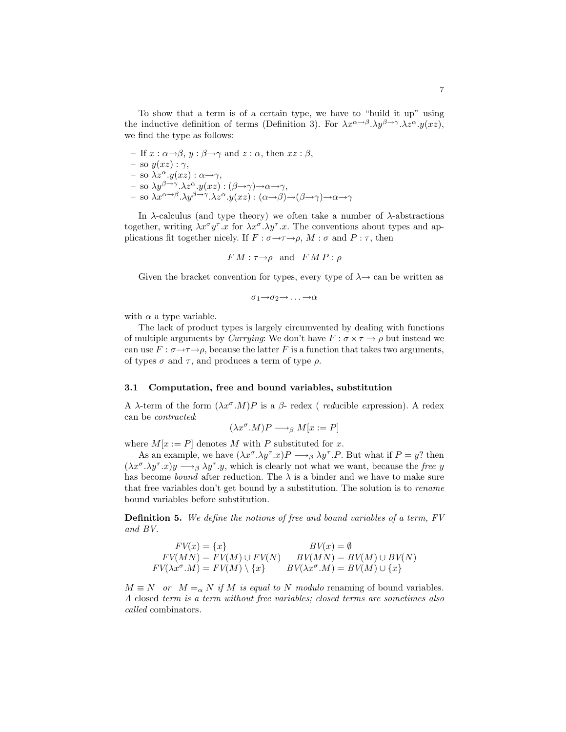To show that a term is of a certain type, we have to "build it up" using the inductive definition of terms (Definition 3). For  $\lambda x^{\alpha \rightarrow \beta} \cdot \lambda y^{\beta \rightarrow \gamma} \cdot \lambda z^{\alpha} \cdot y(xz)$ , we find the type as follows:

- If 
$$
x : \alpha \rightarrow \beta
$$
,  $y : \beta \rightarrow \gamma$  and  $z : \alpha$ , then  $xz : \beta$ ,  
\n- so  $y(xz) : \gamma$ ,  
\n- so  $\lambda z^{\alpha} \cdot y(xz) : \alpha \rightarrow \gamma$ ,  
\n- so  $\lambda y^{\beta \rightarrow \gamma} \cdot \lambda z^{\alpha} \cdot y(xz) : (\beta \rightarrow \gamma) \rightarrow \alpha \rightarrow \gamma$ ,  
\n- so  $\lambda x^{\alpha \rightarrow \beta} \cdot \lambda y^{\beta \rightarrow \gamma} \cdot \lambda z^{\alpha} \cdot y(xz) : (\alpha \rightarrow \beta) \rightarrow (\beta \rightarrow \gamma) \rightarrow \alpha \rightarrow \gamma$ 

In  $\lambda$ -calculus (and type theory) we often take a number of  $\lambda$ -abstractions together, writing  $\lambda x^{\sigma} y^{\tau} .x$  for  $\lambda x^{\sigma} . \lambda y^{\tau} .x$ . The conventions about types and applications fit together nicely. If  $F : \sigma \rightarrow \tau \rightarrow \rho$ ,  $M : \sigma$  and  $P : \tau$ , then

$$
F M : \tau \to \rho \quad \text{and} \quad F M P : \rho
$$

Given the bracket convention for types, every type of  $\lambda \rightarrow$  can be written as

$$
\sigma_1 \rightarrow \sigma_2 \rightarrow \ldots \rightarrow \alpha
$$

with  $\alpha$  a type variable.

The lack of product types is largely circumvented by dealing with functions of multiple arguments by *Currying*: We don't have  $F : \sigma \times \tau \to \rho$  but instead we can use  $F : \sigma \rightarrow \tau \rightarrow \rho$ , because the latter F is a function that takes two arguments, of types  $\sigma$  and  $\tau$ , and produces a term of type  $\rho$ .

#### 3.1 Computation, free and bound variables, substitution

A  $\lambda$ -term of the form  $(\lambda x^{\sigma}.M)P$  is a  $\beta$ -redex (*reducible expression*). A redex can be contracted:

$$
(\lambda x^{\sigma}.M)P \longrightarrow_{\beta} M[x := P]
$$

where  $M[x := P]$  denotes M with P substituted for x.

As an example, we have  $(\lambda x^{\sigma}.\lambda y^{\tau}.x)P \longrightarrow_{\beta} \lambda y^{\tau}.P$ . But what if  $P = y$ ? then  $(\lambda x^{\sigma}.\lambda y^{\tau}.x)y \longrightarrow_{\beta} \lambda y^{\tau}.y$ , which is clearly not what we want, because the free y has become *bound* after reduction. The  $\lambda$  is a binder and we have to make sure that free variables don't get bound by a substitution. The solution is to rename bound variables before substitution.

Definition 5. We define the notions of free and bound variables of a term, FV and BV.

$$
FV(x) = \{x\}
$$
  
\n
$$
FV(MN) = FV(M) \cup FV(N)
$$
  
\n
$$
BV(MN) = BV(M) \cup BV(MN)
$$
  
\n
$$
FV(\lambda x^{\sigma}.M) = FV(M) \setminus \{x\}
$$
  
\n
$$
BV(\lambda x^{\sigma}.M) = BV(M) \cup \{x\}
$$

 $M \equiv N$  or  $M =_{\alpha} N$  if M is equal to N modulo renaming of bound variables. A closed term is a term without free variables; closed terms are sometimes also called combinators.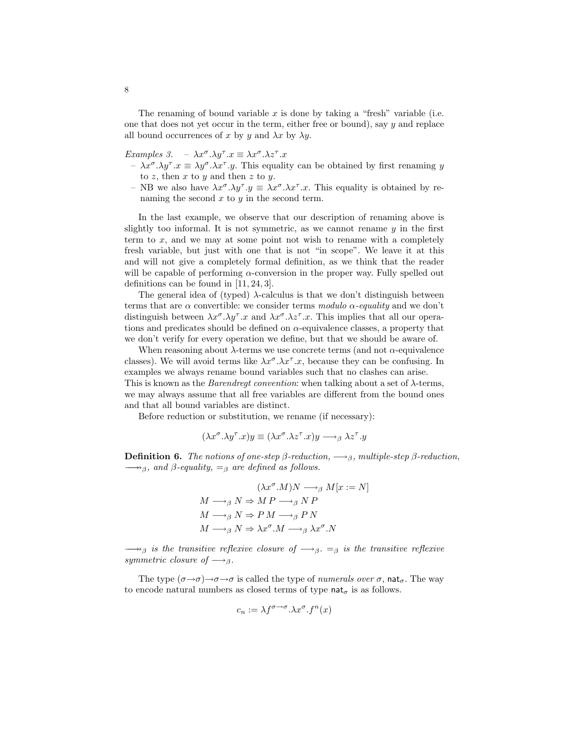The renaming of bound variable  $x$  is done by taking a "fresh" variable (i.e. one that does not yet occur in the term, either free or bound), say  $y$  and replace all bound occurrences of x by y and  $\lambda x$  by  $\lambda y$ .

Examples 3. –  $\lambda x^{\sigma} \cdot \lambda y^{\tau} \cdot x \equiv \lambda x^{\sigma} \cdot \lambda z^{\tau} \cdot x$ 

- $-\lambda x^{\sigma}.\lambda y^{\tau}.x \equiv \lambda y^{\sigma}.\lambda x^{\tau}.y.$  This equality can be obtained by first renaming y to z, then x to y and then z to y.
- NB we also have  $\lambda x^{\sigma}.\lambda y^{\tau} .y \equiv \lambda x^{\sigma}.\lambda x^{\tau} .x$ . This equality is obtained by renaming the second  $x$  to  $y$  in the second term.

In the last example, we observe that our description of renaming above is slightly too informal. It is not symmetric, as we cannot rename  $y$  in the first term to  $x$ , and we may at some point not wish to rename with a completely fresh variable, but just with one that is not "in scope". We leave it at this and will not give a completely formal definition, as we think that the reader will be capable of performing  $\alpha$ -conversion in the proper way. Fully spelled out definitions can be found in [11, 24, 3].

The general idea of (typed)  $\lambda$ -calculus is that we don't distinguish between terms that are  $\alpha$  convertible: we consider terms modulo  $\alpha$ -equality and we don't distinguish between  $\lambda x^{\sigma} \cdot \lambda y^{\tau} \cdot x$  and  $\lambda x^{\sigma} \cdot \lambda z^{\tau} \cdot x$ . This implies that all our operations and predicates should be defined on  $\alpha$ -equivalence classes, a property that we don't verify for every operation we define, but that we should be aware of.

When reasoning about  $\lambda$ -terms we use concrete terms (and not  $\alpha$ -equivalence classes). We will avoid terms like  $\lambda x^{\sigma} \cdot \lambda x^{\tau} \cdot x$ , because they can be confusing. In examples we always rename bound variables such that no clashes can arise. This is known as the *Barendregt convention*: when talking about a set of  $\lambda$ -terms, we may always assume that all free variables are different from the bound ones

and that all bound variables are distinct.

Before reduction or substitution, we rename (if necessary):

$$
(\lambda x^{\sigma}.\lambda y^{\tau}.x)y \equiv (\lambda x^{\sigma}.\lambda z^{\tau}.x)y \longrightarrow_{\beta} \lambda z^{\tau}.y
$$

**Definition 6.** The notions of one-step  $\beta$ -reduction,  $\rightarrow$ <sub> $\beta$ </sub>, multiple-step  $\beta$ -reduction,  $\rightarrow$ <sub>β</sub>, and β-equality,  $=$ <sub>β</sub> are defined as follows.

$$
(\lambda x^{\sigma}.M)N \longrightarrow_{\beta} M[x := N]
$$

$$
M \longrightarrow_{\beta} N \Rightarrow MP \longrightarrow_{\beta} NP
$$

$$
M \longrightarrow_{\beta} N \Rightarrow PM \longrightarrow_{\beta} PN
$$

$$
M \longrightarrow_{\beta} N \Rightarrow \lambda x^{\sigma}.M \longrightarrow_{\beta} \lambda x^{\sigma}.N
$$

 $\longrightarrow_{\beta}$  is the transitive reflexive closure of  $\longrightarrow_{\beta}$ . =<sub>β</sub> is the transitive reflexive symmetric closure of  $\longrightarrow_{\beta}$ .

The type  $(\sigma \rightarrow \sigma) \rightarrow \sigma \rightarrow \sigma$  is called the type of numerals over  $\sigma$ , nat<sub> $\sigma$ </sub>. The way to encode natural numbers as closed terms of type  $nat_{\sigma}$  is as follows.

$$
c_n := \lambda f^{\sigma \to \sigma}.\lambda x^{\sigma}.f^n(x)
$$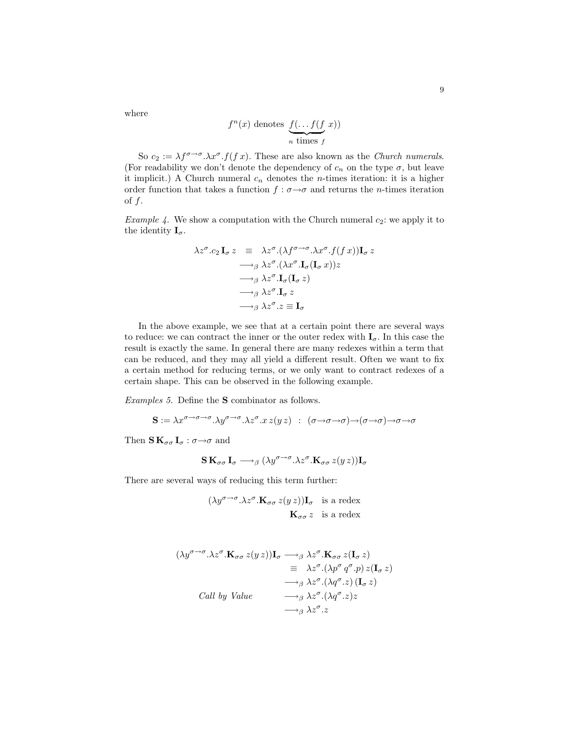where

$$
f^{n}(x) \text{ denotes } \underbrace{f(\ldots f(f \ x))}_{n \text{ times } f}
$$

So  $c_2 := \lambda f^{\sigma \to \sigma} \cdot \lambda x^{\sigma} \cdot f(f \, x)$ . These are also known as the *Church numerals*. (For readability we don't denote the dependency of  $c_n$  on the type  $\sigma$ , but leave it implicit.) A Church numeral  $c_n$  denotes the *n*-times iteration: it is a higher order function that takes a function  $f : \sigma \rightarrow \sigma$  and returns the *n*-times iteration of  $f$ .

*Example 4.* We show a computation with the Church numeral  $c_2$ : we apply it to the identity  $\mathbf{I}_{\sigma}$ .

$$
\lambda z^{\sigma}.c_2 \mathbf{I}_{\sigma} z \equiv \lambda z^{\sigma}.(\lambda f^{\sigma \to \sigma}. \lambda x^{\sigma}. f(f x)) \mathbf{I}_{\sigma} z
$$
  
\n
$$
\longrightarrow_{\beta} \lambda z^{\sigma}.(\lambda x^{\sigma}. \mathbf{I}_{\sigma}(\mathbf{I}_{\sigma} x)) z
$$
  
\n
$$
\longrightarrow_{\beta} \lambda z^{\sigma}. \mathbf{I}_{\sigma}(\mathbf{I}_{\sigma} z)
$$
  
\n
$$
\longrightarrow_{\beta} \lambda z^{\sigma}. \mathbf{I}_{\sigma} z
$$
  
\n
$$
\longrightarrow_{\beta} \lambda z^{\sigma}. z \equiv \mathbf{I}_{\sigma}
$$

In the above example, we see that at a certain point there are several ways to reduce: we can contract the inner or the outer redex with  $I_{\sigma}$ . In this case the result is exactly the same. In general there are many redexes within a term that can be reduced, and they may all yield a different result. Often we want to fix a certain method for reducing terms, or we only want to contract redexes of a certain shape. This can be observed in the following example.

Examples 5. Define the S combinator as follows.

$$
\mathbf{S}:=\lambda x^{\sigma\rightarrow \sigma\rightarrow \sigma}.\lambda y^{\sigma\rightarrow \sigma}.\lambda z^{\sigma}.x\,z(y\,z)\ :\ (\sigma\rightarrow \sigma\rightarrow \sigma)\rightarrow (\sigma\rightarrow \sigma)\rightarrow \sigma\rightarrow \sigma
$$

Then  $\mathbf{S} \mathbf{K}_{\sigma\sigma} \mathbf{I}_{\sigma} : \sigma \rightarrow \sigma$  and

$$
\mathbf{S} \mathbf{K}_{\sigma\sigma} \mathbf{I}_{\sigma} \longrightarrow_{\beta} (\lambda y^{\sigma\to\sigma}.\lambda z^{\sigma}.\mathbf{K}_{\sigma\sigma} z(y\,z)) \mathbf{I}_{\sigma}
$$

There are several ways of reducing this term further:

$$
(\lambda y^{\sigma \to \sigma}.\lambda z^{\sigma}.\mathbf{K}_{\sigma \sigma} z(y z)) \mathbf{I}_{\sigma} \text{ is a redex}
$$

$$
\mathbf{K}_{\sigma \sigma} z \text{ is a redex}
$$

$$
(\lambda y^{\sigma \to \sigma}.\lambda z^{\sigma}.\mathbf{K}_{\sigma\sigma} z(y z))\mathbf{I}_{\sigma} \longrightarrow_{\beta} \lambda z^{\sigma}.\mathbf{K}_{\sigma\sigma} z(\mathbf{I}_{\sigma} z)
$$
  
\n
$$
\equiv \lambda z^{\sigma}.\langle \lambda p^{\sigma} q^{\sigma} . p \rangle z(\mathbf{I}_{\sigma} z)
$$
  
\n
$$
\longrightarrow_{\beta} \lambda z^{\sigma}.\langle \lambda q^{\sigma} . z \rangle (\mathbf{I}_{\sigma} z)
$$
  
\nCall by Value  
\n
$$
\longrightarrow_{\beta} \lambda z^{\sigma}.\langle \lambda q^{\sigma} . z \rangle z
$$
  
\n
$$
\longrightarrow_{\beta} \lambda z^{\sigma} . z
$$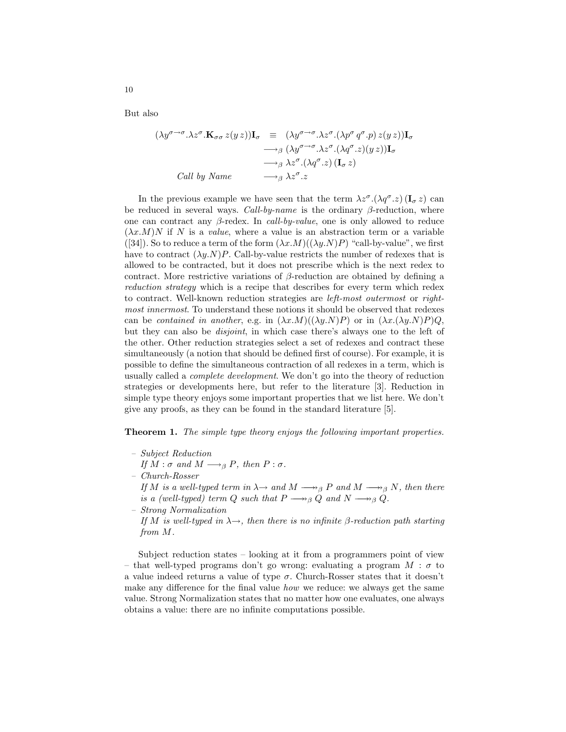But also

$$
(\lambda y^{\sigma \to \sigma}.\lambda z^{\sigma}.\mathbf{K}_{\sigma\sigma} z(y z))\mathbf{I}_{\sigma} \equiv (\lambda y^{\sigma \to \sigma}.\lambda z^{\sigma}.\langle \lambda p^{\sigma} q^{\sigma}.p) z(y z))\mathbf{I}_{\sigma}
$$
  

$$
\longrightarrow_{\beta} (\lambda y^{\sigma \to \sigma}.\lambda z^{\sigma}.(\lambda q^{\sigma}.z)(y z))\mathbf{I}_{\sigma}
$$
  

$$
\longrightarrow_{\beta} \lambda z^{\sigma}.(\lambda q^{\sigma}.z)(\mathbf{I}_{\sigma} z)
$$
  
Call by Name  

$$
\longrightarrow_{\beta} \lambda z^{\sigma}.z
$$

In the previous example we have seen that the term  $\lambda z^{\sigma}$ .  $(\lambda q^{\sigma} z)(\mathbf{I}_{\sigma} z)$  can be reduced in several ways. Call-by-name is the ordinary  $\beta$ -reduction, where one can contract any  $\beta$ -redex. In *call-by-value*, one is only allowed to reduce  $(\lambda x.M)N$  if N is a value, where a value is an abstraction term or a variable ([34]). So to reduce a term of the form  $(\lambda x.M)((\lambda y.N)P)$  "call-by-value", we first have to contract  $(\lambda y.N)P$ . Call-by-value restricts the number of redexes that is allowed to be contracted, but it does not prescribe which is the next redex to contract. More restrictive variations of  $\beta$ -reduction are obtained by defining a reduction strategy which is a recipe that describes for every term which redex to contract. Well-known reduction strategies are left-most outermost or rightmost innermost. To understand these notions it should be observed that redexes can be contained in another, e.g. in  $(\lambda x.M)((\lambda y.N)P)$  or in  $(\lambda x.(\lambda y.N)P)Q$ , but they can also be disjoint, in which case there's always one to the left of the other. Other reduction strategies select a set of redexes and contract these simultaneously (a notion that should be defined first of course). For example, it is possible to define the simultaneous contraction of all redexes in a term, which is usually called a complete development. We don't go into the theory of reduction strategies or developments here, but refer to the literature [3]. Reduction in simple type theory enjoys some important properties that we list here. We don't give any proofs, as they can be found in the standard literature [5].

Theorem 1. The simple type theory enjoys the following important properties.

- Subject Reduction
	- If  $M : \sigma$  and  $M \longrightarrow_{\beta} P$ , then  $P : \sigma$ .
- Church-Rosser

If M is a well-typed term in  $\lambda \to$  and  $M \longrightarrow_{\beta} P$  and  $M \longrightarrow_{\beta} N$ , then there is a (well-typed) term Q such that  $P \longrightarrow_{\beta} Q$  and  $N \longrightarrow_{\beta} Q$ .

– Strong Normalization If M is well-typed in  $\lambda \rightarrow$ , then there is no infinite β-reduction path starting from M.

Subject reduction states – looking at it from a programmers point of view – that well-typed programs don't go wrong: evaluating a program  $M : \sigma$  to a value indeed returns a value of type  $\sigma$ . Church-Rosser states that it doesn't make any difference for the final value how we reduce: we always get the same value. Strong Normalization states that no matter how one evaluates, one always obtains a value: there are no infinite computations possible.

10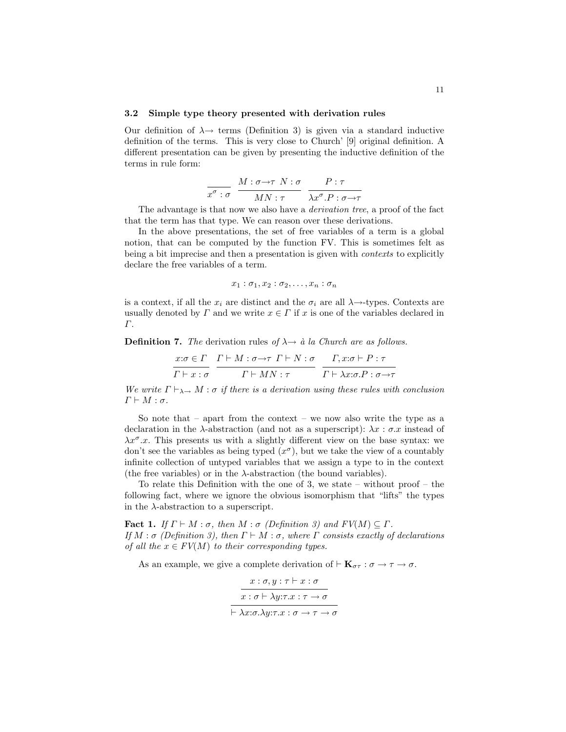#### 3.2 Simple type theory presented with derivation rules

Our definition of  $\lambda \rightarrow$  terms (Definition 3) is given via a standard inductive definition of the terms. This is very close to Church' [9] original definition. A different presentation can be given by presenting the inductive definition of the terms in rule form:

$$
\frac{}{\overline{x^{\sigma}}:\sigma} \frac{M:\sigma\to\tau N:\sigma}{MN:\tau} \frac{}{\lambda x^{\sigma}.P:\sigma\to\tau}
$$

The advantage is that now we also have a derivation tree, a proof of the fact that the term has that type. We can reason over these derivations.

In the above presentations, the set of free variables of a term is a global notion, that can be computed by the function FV. This is sometimes felt as being a bit imprecise and then a presentation is given with contexts to explicitly declare the free variables of a term.

$$
x_1 : \sigma_1, x_2 : \sigma_2, \ldots, x_n : \sigma_n
$$

is a context, if all the  $x_i$  are distinct and the  $\sigma_i$  are all  $\lambda \rightarrow$ -types. Contexts are usually denoted by  $\Gamma$  and we write  $x \in \Gamma$  if  $x$  is one of the variables declared in Γ.

**Definition 7.** The derivation rules of  $\lambda \rightarrow \hat{a}$  la Church are as follows.

$$
\frac{x:\sigma \in \Gamma}{\Gamma \vdash x:\sigma} \quad \frac{\Gamma \vdash M : \sigma \rightarrow \tau \quad \Gamma \vdash N : \sigma}{\Gamma \vdash MN : \tau} \quad \frac{\Gamma, x:\sigma \vdash P : \tau}{\Gamma \vdash \lambda x:\sigma.P : \sigma \rightarrow \tau}
$$

We write  $\Gamma \vdash_{\lambda \to} M : \sigma$  if there is a derivation using these rules with conclusion  $\Gamma \vdash M : \sigma.$ 

So note that – apart from the context – we now also write the type as a declaration in the  $\lambda$ -abstraction (and not as a superscript):  $\lambda x : \sigma x$  instead of  $\lambda x^{\sigma}.x$ . This presents us with a slightly different view on the base syntax: we don't see the variables as being typed  $(x^{\sigma})$ , but we take the view of a countably infinite collection of untyped variables that we assign a type to in the context (the free variables) or in the  $\lambda$ -abstraction (the bound variables).

To relate this Definition with the one of 3, we state – without proof – the following fact, where we ignore the obvious isomorphism that "lifts" the types in the  $\lambda$ -abstraction to a superscript.

**Fact 1.** If  $\Gamma \vdash M : \sigma$ , then  $M : \sigma$  (Definition 3) and  $FV(M) \subseteq \Gamma$ . If  $M : \sigma$  (Definition 3), then  $\Gamma \vdash M : \sigma$ , where  $\Gamma$  consists exactly of declarations of all the  $x \in FV(M)$  to their corresponding types.

As an example, we give a complete derivation of  $\vdash \mathbf{K}_{\sigma\tau} : \sigma \to \tau \to \sigma$ .

$$
x : \sigma, y : \tau \vdash x : \sigma
$$

$$
x : \sigma \vdash \lambda y : \tau.x : \tau \to \sigma
$$

$$
\vdash \lambda x : \sigma.\lambda y : \tau.x : \sigma \to \tau \to \sigma
$$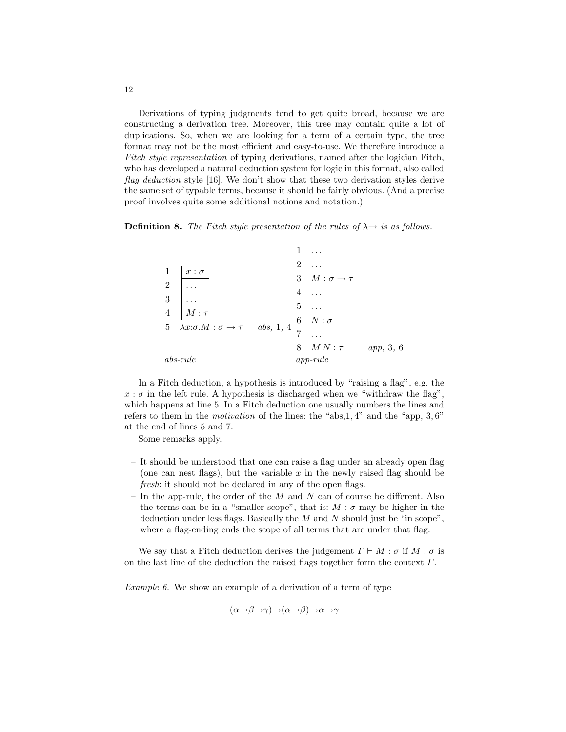Derivations of typing judgments tend to get quite broad, because we are constructing a derivation tree. Moreover, this tree may contain quite a lot of duplications. So, when we are looking for a term of a certain type, the tree format may not be the most efficient and easy-to-use. We therefore introduce a Fitch style representation of typing derivations, named after the logician Fitch, who has developed a natural deduction system for logic in this format, also called flag deduction style [16]. We don't show that these two derivation styles derive the same set of typable terms, because it should be fairly obvious. (And a precise proof involves quite some additional notions and notation.)

### **Definition 8.** The Fitch style presentation of the rules of  $\lambda \rightarrow$  is as follows.



In a Fitch deduction, a hypothesis is introduced by "raising a flag", e.g. the  $x : \sigma$  in the left rule. A hypothesis is discharged when we "withdraw the flag". which happens at line 5. In a Fitch deduction one usually numbers the lines and refers to them in the *motivation* of the lines: the "abs,  $1, 4$ " and the "app,  $3, 6$ " at the end of lines 5 and 7.

Some remarks apply.

- It should be understood that one can raise a flag under an already open flag (one can nest flags), but the variable  $x$  in the newly raised flag should be fresh: it should not be declared in any of the open flags.
- In the app-rule, the order of the  $M$  and  $N$  can of course be different. Also the terms can be in a "smaller scope", that is:  $M : \sigma$  may be higher in the deduction under less flags. Basically the  $M$  and  $N$  should just be "in scope", where a flag-ending ends the scope of all terms that are under that flag.

We say that a Fitch deduction derives the judgement  $\Gamma \vdash M : \sigma$  if  $M : \sigma$  is on the last line of the deduction the raised flags together form the context  $\Gamma$ .

Example 6. We show an example of a derivation of a term of type

$$
(\alpha \rightarrow \beta \rightarrow \gamma) \rightarrow (\alpha \rightarrow \beta) \rightarrow \alpha \rightarrow \gamma
$$

12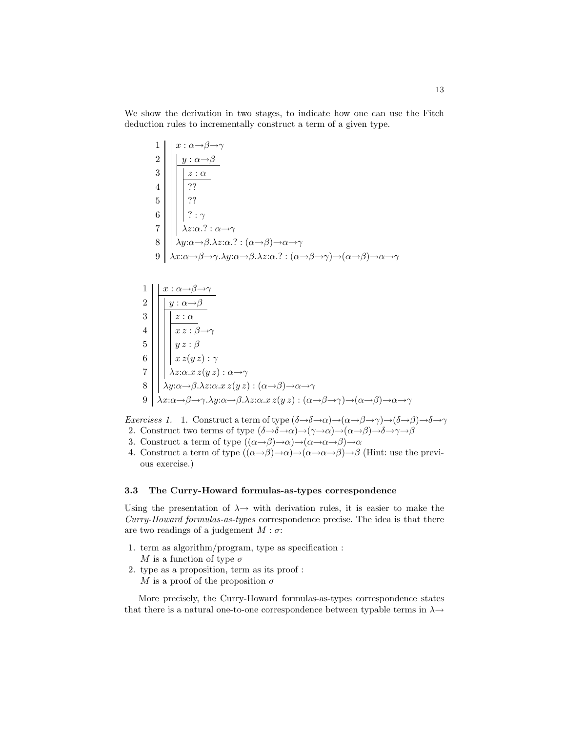We show the derivation in two stages, to indicate how one can use the Fitch deduction rules to incrementally construct a term of a given type.

1  
\n1  
\n2  
\n3  
\n4  
\n5  
\n6  
\n7  
\n8  
\n1  
\n
$$
y : \alpha \rightarrow \beta
$$
  
\n $z : \alpha$   
\n $\overline{?}$   
\n $\overline{?}$   
\n6  
\n $\lambda z : \alpha$   
\n $\lambda z : \alpha$   
\n $\lambda z : \alpha$   
\n $\lambda$   
\n $\lambda$   
\n $\lambda$   
\n $\lambda$   
\n $\lambda$   
\n $\lambda$   
\n $\lambda$   
\n $\lambda$   
\n $\lambda$   
\n $\lambda$   
\n $\lambda$   
\n $\lambda$   
\n $\lambda$   
\n $\lambda$   
\n $\lambda$   
\n $\lambda$   
\n $\lambda$   
\n $\lambda$   
\n $\lambda$   
\n $\lambda$   
\n $\lambda$   
\n $\lambda$   
\n $\lambda$   
\n $\lambda$   
\n $\lambda$   
\n $\lambda$   
\n $\lambda$   
\n $\lambda$   
\n $\lambda$   
\n $\lambda$   
\n $\lambda$   
\n $\lambda$   
\n $\lambda$   
\n $\lambda$   
\n $\lambda$   
\n $\lambda$   
\n $\lambda$   
\n $\lambda$   
\n $\lambda$   
\n $\lambda$   
\n $\lambda$   
\n $\lambda$   
\n $\lambda$   
\n $\lambda$   
\n $\lambda$   
\n $\lambda$   
\n $\lambda$   
\n $\lambda$   
\n $\lambda$   
\n $\lambda$   
\n $\lambda$   
\n $\lambda$   
\n $\lambda$   
\n $\lambda$   
\n $\lambda$   
\n $\lambda$   
\n $\lambda$   
\n $\lambda$   
\n $\lambda$   
\n $\lambda$   
\n $\lambda$   
\n $\lambda$   
\n $\lambda$ 

1 x : α→β→γ 2 y : α→β 3 z : α 4 x z : β→γ 5 y z : β 6 x z(y z) : γ 7 λz:α.x z(y z) : α→γ 8 λy:α→β.λz:α.x z(y z) : (α→β)→α→γ 9 λx:α→β→γ.λy:α→β.λz:α.x z(y z) : (α→β→γ)→(α→β)→α→γ

*Exercises 1.* 1. Construct a term of type  $(\delta \rightarrow \delta \rightarrow \alpha) \rightarrow (\alpha \rightarrow \beta \rightarrow \gamma) \rightarrow (\delta \rightarrow \beta) \rightarrow \delta \rightarrow \gamma$ 

- 2. Construct two terms of type  $(\delta \rightarrow \delta \rightarrow \alpha) \rightarrow (\gamma \rightarrow \alpha) \rightarrow (\alpha \rightarrow \beta) \rightarrow \delta \rightarrow \gamma \rightarrow \beta$
- 3. Construct a term of type  $((\alpha \rightarrow \beta) \rightarrow \alpha) \rightarrow (\alpha \rightarrow \alpha \rightarrow \beta) \rightarrow \alpha$
- 4. Construct a term of type  $((\alpha \rightarrow \beta) \rightarrow \alpha) \rightarrow (\alpha \rightarrow \alpha \rightarrow \beta) \rightarrow \beta$  (Hint: use the previous exercise.)

### 3.3 The Curry-Howard formulas-as-types correspondence

Using the presentation of  $\lambda \rightarrow$  with derivation rules, it is easier to make the Curry-Howard formulas-as-types correspondence precise. The idea is that there are two readings of a judgement  $M : \sigma$ :

- 1. term as algorithm/program, type as specification : M is a function of type  $\sigma$
- 2. type as a proposition, term as its proof : M is a proof of the proposition  $\sigma$

More precisely, the Curry-Howard formulas-as-types correspondence states that there is a natural one-to-one correspondence between typable terms in  $\lambda \rightarrow$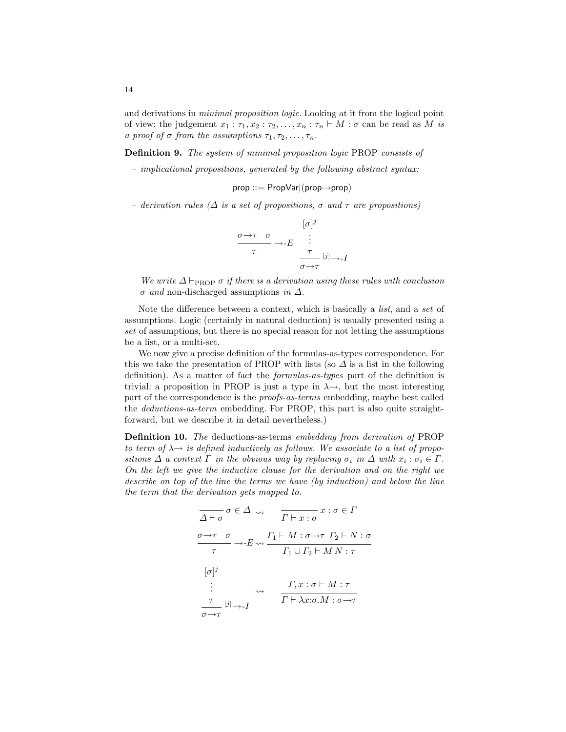and derivations in minimal proposition logic. Looking at it from the logical point of view: the judgement  $x_1 : \tau_1, x_2 : \tau_2, \ldots, x_n : \tau_n \vdash M : \sigma$  can be read as M is a proof of  $\sigma$  from the assumptions  $\tau_1, \tau_2, \ldots, \tau_n$ .

Definition 9. The system of minimal proposition logic PROP consists of

– implicational propositions, generated by the following abstract syntax:

$$
prop ::= PropVar|(prop \rightarrow prop)
$$

 $\overline{\phantom{a}}$  – derivation rules ( $\Delta$  is a set of propositions,  $\sigma$  and  $\tau$  are propositions)

$$
\frac{\sigma \rightarrow \tau \quad \sigma}{\tau} \rightarrow E \quad \begin{array}{c} [\sigma]^j \\ \vdots \\ [\sigma \rightarrow \tau \quad \sigma \rightarrow \tau \quad \sigma \rightarrow I \end{array}
$$

We write  $\Delta \vdash_{\text{PROP}} \sigma$  if there is a derivation using these rules with conclusion  $\sigma$  and non-discharged assumptions in  $\Delta$ .

Note the difference between a context, which is basically a list, and a set of assumptions. Logic (certainly in natural deduction) is usually presented using a set of assumptions, but there is no special reason for not letting the assumptions be a list, or a multi-set.

We now give a precise definition of the formulas-as-types correspondence. For this we take the presentation of PROP with lists (so  $\Delta$  is a list in the following definition). As a matter of fact the formulas-as-types part of the definition is trivial: a proposition in PROP is just a type in  $\lambda \rightarrow$ , but the most interesting part of the correspondence is the proofs-as-terms embedding, maybe best called the deductions-as-term embedding. For PROP, this part is also quite straightforward, but we describe it in detail nevertheless.)

Definition 10. The deductions-as-terms embedding from derivation of PROP to term of  $\lambda \rightarrow i$  is defined inductively as follows. We associate to a list of propositions  $\Delta$  a context  $\Gamma$  in the obvious way by replacing  $\sigma_i$  in  $\Delta$  with  $x_i : \sigma_i \in \Gamma$ . On the left we give the inductive clause for the derivation and on the right we describe on top of the line the terms we have (by induction) and below the line the term that the derivation gets mapped to.

$$
\overline{\Delta \vdash \sigma} \ \sigma \in \Delta \ \leadsto \ \overline{\Gamma \vdash x : \sigma} \ x : \sigma \in \Gamma
$$
\n
$$
\sigma \rightarrow \tau \ \sigma
$$
\n
$$
\tau \rightarrow -E \ \leadsto \ \frac{\Gamma_1 \vdash M : \sigma \rightarrow \tau \ \Gamma_2 \vdash N : \sigma}{\Gamma_1 \cup \Gamma_2 \vdash M \ N : \tau}
$$
\n
$$
[\sigma]^j
$$
\n
$$
\vdots \qquad \qquad \overline{\Gamma \vdash \lambda x : \sigma \vdash M : \tau}
$$
\n
$$
\overline{\sigma \rightarrow \tau}
$$
\n
$$
[\sigma] \rightarrow -I
$$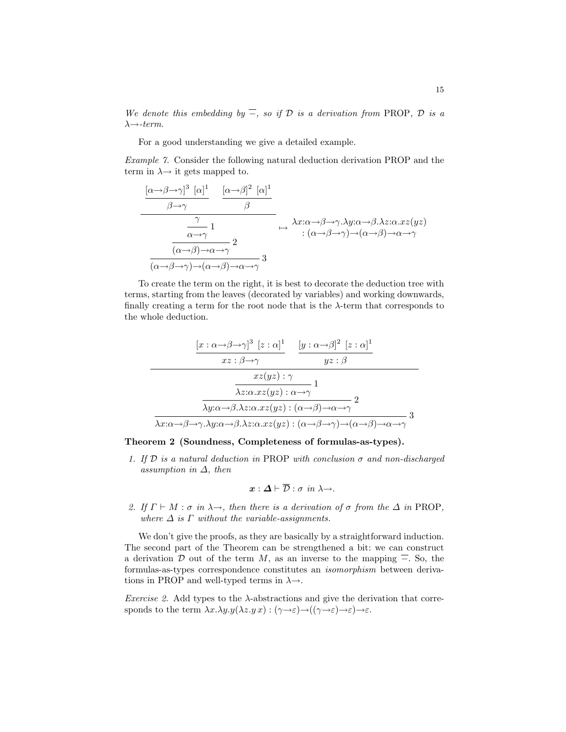We denote this embedding by  $\overline{-}$ , so if  $\mathcal D$  is a derivation from PROP,  $\mathcal D$  is a  $\lambda \rightarrow$ -term.

For a good understanding we give a detailed example.

Example 7. Consider the following natural deduction derivation PROP and the term in  $\lambda \rightarrow i\text{t}$  gets mapped to.

$$
\frac{\frac{[\alpha \to \beta \to \gamma]^3 [\alpha]^1}{\beta \to \gamma} \frac{[\alpha \to \beta]^2 [\alpha]^1}{\beta}}{\frac{\gamma}{\alpha \to \gamma} 1} \to \frac{\lambda x : \alpha \to \beta \to \gamma \ldots \lambda y : \alpha \to \beta \ldots \lambda z : \alpha x z (yz)}{\dots (\alpha \to \beta) \to \alpha \to \gamma} 2
$$
\n
$$
\frac{\frac{\gamma}{(\alpha \to \beta) \to \alpha \to \gamma} 2}{\dots (\alpha \to \beta \to \gamma) \to (\alpha \to \beta) \to \alpha \to \gamma} 3
$$

To create the term on the right, it is best to decorate the deduction tree with terms, starting from the leaves (decorated by variables) and working downwards, finally creating a term for the root node that is the  $\lambda$ -term that corresponds to the whole deduction.

$$
\frac{\left[x:\alpha\rightarrow\beta\rightarrow\gamma\right]^{3}\left[z:\alpha\right]^{1}}{xz:\beta\rightarrow\gamma} \quad \frac{\left[y:\alpha\rightarrow\beta\right]^{2}\left[z:\alpha\right]^{1}}{yz:\beta}
$$
\n
$$
\frac{xz(yz):\gamma}{\lambda z:\alpha.xz(yz):\alpha\rightarrow\gamma}1
$$
\n
$$
\frac{\lambda y:\alpha\rightarrow\beta.\lambda z:\alpha.xz(yz):\left(\alpha\rightarrow\beta\right)\rightarrow\alpha\rightarrow\gamma}{\lambda x:\alpha\rightarrow\beta\rightarrow\gamma.\lambda y:\alpha\rightarrow\beta.\lambda z:\alpha.xz(yz):\left(\alpha\rightarrow\beta\rightarrow\gamma\right)\rightarrow\left(\alpha\rightarrow\beta\right)\rightarrow\alpha\rightarrow\gamma}
$$

### Theorem 2 (Soundness, Completeness of formulas-as-types).

1. If  $\mathcal D$  is a natural deduction in PROP with conclusion  $\sigma$  and non-discharged assumption in  $\Delta$ , then

$$
\boldsymbol{x}:\boldsymbol{\varDelta} \vdash \overline{\mathcal{D}}:\sigma\,\,in\,\,\lambda \rightarrow.
$$

2. If  $\Gamma \vdash M : \sigma$  in  $\lambda \rightarrow$ , then there is a derivation of  $\sigma$  from the  $\Delta$  in PROP, where  $\Delta$  is  $\Gamma$  without the variable-assignments.

We don't give the proofs, as they are basically by a straightforward induction. The second part of the Theorem can be strengthened a bit: we can construct a derivation D out of the term M, as an inverse to the mapping  $\overline{-}$ . So, the formulas-as-types correspondence constitutes an isomorphism between derivations in PROP and well-typed terms in  $\lambda \rightarrow$ .

*Exercise 2.* Add types to the  $\lambda$ -abstractions and give the derivation that corresponds to the term  $\lambda x.\lambda y.y(\lambda z.yx) : (\gamma \rightarrow \varepsilon) \rightarrow ((\gamma \rightarrow \varepsilon) \rightarrow \varepsilon) \rightarrow \varepsilon$ .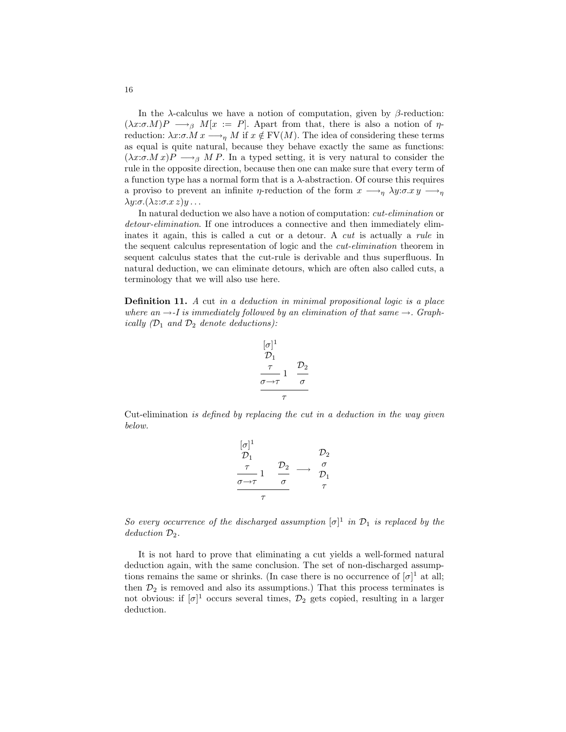In the  $\lambda$ -calculus we have a notion of computation, given by  $\beta$ -reduction:  $(\lambda x:\sigma.M)P \longrightarrow_{\beta} M[x := P]$ . Apart from that, there is also a notion of  $\eta$ reduction:  $\lambda x:\sigma.M x \longrightarrow_{\eta} M$  if  $x \notin FV(M)$ . The idea of considering these terms as equal is quite natural, because they behave exactly the same as functions:  $(\lambda x:\sigma.M\ x)P \longrightarrow_{\beta} MP.$  In a typed setting, it is very natural to consider the rule in the opposite direction, because then one can make sure that every term of a function type has a normal form that is a  $\lambda$ -abstraction. Of course this requires a proviso to prevent an infinite *η*-reduction of the form  $x \rightarrow \gamma$   $\lambda y: \sigma x y \rightarrow \gamma$  $\lambda y$ : $\sigma.(\lambda z:\sigma.x z)y...$ 

In natural deduction we also have a notion of computation: cut-elimination or detour-elimination. If one introduces a connective and then immediately eliminates it again, this is called a cut or a detour. A cut is actually a rule in the sequent calculus representation of logic and the cut-elimination theorem in sequent calculus states that the cut-rule is derivable and thus superfluous. In natural deduction, we can eliminate detours, which are often also called cuts, a terminology that we will also use here.

Definition 11. A cut in a deduction in minimal propositional logic is a place where an  $\rightarrow$ -I is immediately followed by an elimination of that same  $\rightarrow$ . Graphically  $(D_1 \text{ and } D_2 \text{ denote deductions})$ :

$$
\begin{array}{c}\n[\sigma]^1 \\
\mathcal{D}_1 \\
\frac{\tau}{\sigma \to \tau} 1 \quad \frac{\mathcal{D}_2}{\sigma} \\
\tau\n\end{array}
$$

Cut-elimination is defined by replacing the cut in a deduction in the way given below.

$$
\begin{array}{ccc}\n[\sigma]^1 & & \mathcal{D}_2 \\
\frac{\tau}{\sigma \to \tau} & 1 & \frac{\mathcal{D}_2}{\sigma} & \longrightarrow & \mathcal{D}_1 \\
\frac{\sigma \to \tau}{\tau} & & \tau\n\end{array}
$$

So every occurrence of the discharged assumption  $[\sigma]^1$  in  $\mathcal{D}_1$  is replaced by the  $deduction$   $\mathcal{D}_2$ .

It is not hard to prove that eliminating a cut yields a well-formed natural deduction again, with the same conclusion. The set of non-discharged assumptions remains the same or shrinks. (In case there is no occurrence of  $[\sigma]^1$  at all; then  $\mathcal{D}_2$  is removed and also its assumptions.) That this process terminates is not obvious: if  $[\sigma]^1$  occurs several times,  $\mathcal{D}_2$  gets copied, resulting in a larger deduction.

16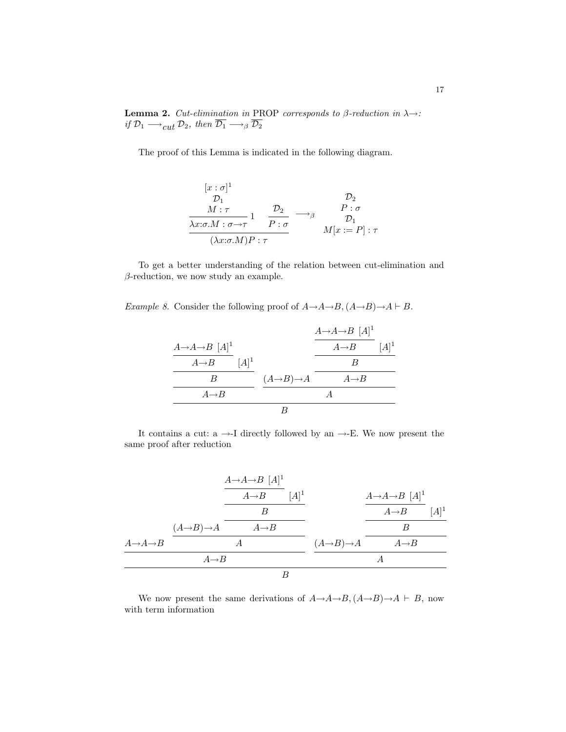**Lemma 2.** Cut-elimination in PROP corresponds to  $\beta$ -reduction in  $\lambda \rightarrow$ : if  $\mathcal{D}_1 \longrightarrow_{cut} \mathcal{D}_2$ , then  $\overline{\mathcal{D}_1} \longrightarrow_{\beta} \overline{\mathcal{D}_2}$ 

The proof of this Lemma is indicated in the following diagram.

$$
\begin{array}{ccc}\n[x:\sigma]^1 & & \mathcal{D}_1 \\
M:\tau & & \mathcal{D}_2 \\
\hline\n\frac{M:\tau}{\lambda x:\sigma.M:\sigma\to\tau} & P:\sigma & & P:\sigma \\
\hline\n(\lambda x:\sigma.M)P:\tau & & & M[x:=P]:\tau\n\end{array}
$$

To get a better understanding of the relation between cut-elimination and  $\beta$ -reduction, we now study an example.

Example 8. Consider the following proof of  $A \rightarrow A \rightarrow B$ ,  $(A \rightarrow B) \rightarrow A \vdash B$ .

|                                                    |                                   | $A \rightarrow A \rightarrow B$ $[A]$ <sup>1</sup> |                    |
|----------------------------------------------------|-----------------------------------|----------------------------------------------------|--------------------|
| $A \rightarrow A \rightarrow B$ $[A]$ <sup>1</sup> |                                   | $A \rightarrow B$                                  | $[A]$ <sup>1</sup> |
| $[A]$ <sup>1</sup><br>$A \rightarrow B$            |                                   | B                                                  |                    |
| В                                                  | $(A \rightarrow B) \rightarrow A$ | $A \rightarrow B$                                  |                    |
| $A \rightarrow B$                                  |                                   |                                                    |                    |
|                                                    |                                   |                                                    |                    |

It contains a cut: a  $\rightarrow$ -I directly followed by an  $\rightarrow$ -E. We now present the same proof after reduction

$$
\begin{array}{c|c}\nA \rightarrow A \rightarrow B & [A]^1 \\
\hline\n & A \rightarrow B & [A]^1 \\
\hline\n & B & \\
A \rightarrow A \rightarrow B & [A]^1 \\
\hline\n & A & A \rightarrow B & \\
\hline\n & A & \\
\hline\n & A \rightarrow B & \\
\hline\n & A \rightarrow B & \\
\hline\n & A \rightarrow B & \\
\hline\n & A \rightarrow B & \\
\hline\n & A \rightarrow B & \\
\hline\n & A \rightarrow B & \\
\hline\n & A \rightarrow B & \\
\hline\n & A \rightarrow B & \\
\hline\n & A \rightarrow B & \\
\hline\n & A \rightarrow B & \\
\hline\n & A \rightarrow B & \\
\hline\n & A \rightarrow B & \\
\hline\n & A \rightarrow B & \\
\hline\n & A \rightarrow B & \\
\hline\n & A \rightarrow B & \\
\hline\n & A \rightarrow B & \\
\hline\n & A \rightarrow B & \\
\hline\n & A \rightarrow B & \\
\hline\n & A \rightarrow B & \\
\hline\n & A \rightarrow B & \\
\hline\n & A \rightarrow B & \\
\hline\n & A \rightarrow B & \\
\hline\n & A \rightarrow B & \\
\hline\n & A \rightarrow B & \\
\hline\n & A \rightarrow B & \\
\hline\n & A \rightarrow B & \\
\hline\n & A \rightarrow B & \\
\hline\n & A \rightarrow B & \\
\hline\n & A \rightarrow B & \\
\hline\n & A \rightarrow B & \\
\hline\n & A \rightarrow B & \\
\hline\n & A \rightarrow B & \\
\hline\n & A \rightarrow B & \\
\hline\n & A \rightarrow B & \\
\hline\n & A \rightarrow B & \\
\hline\n & A \rightarrow B & \\
\hline\n & A \rightarrow B & \\
\hline\n & A \rightarrow B & \\
\hline\n & A \rightarrow B & \\
\hline\n & A \rightarrow B & \\
\hline\n & A \rightarrow B & \\
\hline\n & A \rightarrow B & \\
\hline\n & A \rightarrow B & \\
\hline\n & A \rightarrow B & \\
\hline\n & A \rightarrow B & \\
\hline\n & A \rightarrow B & \\
\hline\n & A \rightarrow B & \\
\hline\n & A \rightarrow B & \\
\hline\n & A \rightarrow B & \\
\hline\n & A \rightarrow B & \\
\hline\n & A \rightarrow B & \\
\hline\n & A \rightarrow B & \\
\hline\n & A \rightarrow B & \\
\hline\n & A \rightarrow B & \\
\hline\n & A \rightarrow B & \\
\hline\n & A \rightarrow B & \\
\hline\n & A \rightarrow B & \\
\hline\n & A \rightarrow B & \\
\hline\n & A \rightarrow B & \\
\hline\n & A \rightarrow B & \\
\hline\n & A \rightarrow B & \\
\hline\n & A \rightarrow B
$$

We now present the same derivations of  $A\rightarrow A\rightarrow B, (A\rightarrow B)\rightarrow A \vdash B$ , now with term information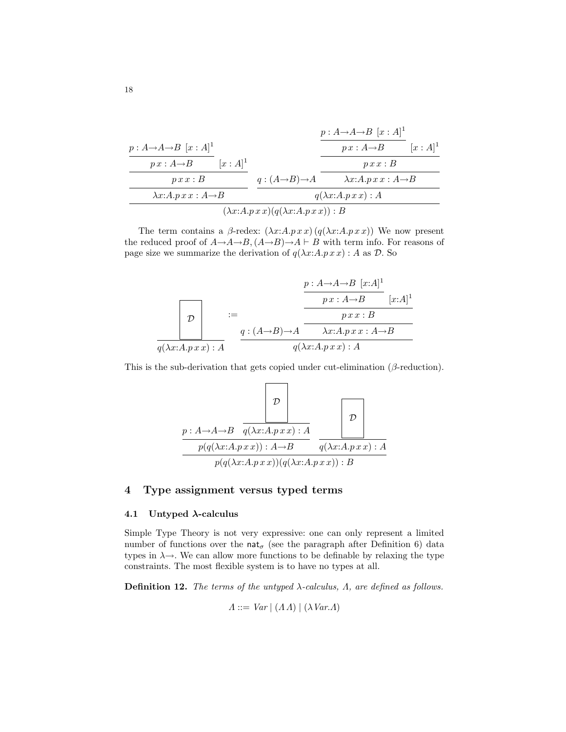|                                                      |                                                     | $p: A \rightarrow A \rightarrow B$ $[x: A]$ <sup>1</sup> |           |
|------------------------------------------------------|-----------------------------------------------------|----------------------------------------------------------|-----------|
| $p:A\rightarrow A\rightarrow B$ $[x:A]$ <sup>1</sup> |                                                     | $p x : A \rightarrow B$                                  | $[x:A]^1$ |
| $[x:A]^{\perp}$<br>$p x : A \rightarrow B$           |                                                     | p x x : B                                                |           |
| p x x : B                                            | $q:(A\rightarrow B)\rightarrow A$                   | $\lambda x:A.p x x:A \rightarrow B$                      |           |
| $\lambda x:A.p x x:A \rightarrow B$                  |                                                     | $q(\lambda x:A.p x x): A$                                |           |
|                                                      | $(\lambda x:A.p\ x\ x)(q(\lambda x:A.p\ x\ x)) : B$ |                                                          |           |

The term contains a  $\beta$ -redex:  $(\lambda x:A.p\ x\ x)(q(\lambda x:A.p\ x\ x))$  We now present the reduced proof of  $A\rightarrow A\rightarrow B$ ,  $(A\rightarrow B)\rightarrow A \vdash B$  with term info. For reasons of page size we summarize the derivation of  $q(\lambda x:A.p.x x) : A$  as  $D.$  So

$$
\frac{p:A\rightarrow A\rightarrow B[x:A]^{1}}{px:A\rightarrow B[x:A]^{1}}
$$

$$
\frac{p:A\rightarrow A\rightarrow B[x:A]^{1}}{px:A\rightarrow B[x:A]^{1}}
$$

$$
\frac{p:x:A\rightarrow B[x:A]^{1}}{px:x:B}
$$

$$
\frac{p:x:A\rightarrow B[x:A]^{1}}{qx:A\rightarrow B[x:A]^{1}}
$$

$$
\frac{p:x:A\rightarrow B[x:A]^{1}}{qx:A\rightarrow B[x:A]^{1}}
$$

$$
\frac{p:x:A\rightarrow B[x:A]^{1}}{qx:A\rightarrow B[x:A]^{1}}
$$

This is the sub-derivation that gets copied under cut-elimination ( $\beta$ -reduction).



## 4 Type assignment versus typed terms

#### 4.1 Untyped  $\lambda$ -calculus

Simple Type Theory is not very expressive: one can only represent a limited number of functions over the nat<sub> $\sigma$ </sub> (see the paragraph after Definition 6) data types in  $\lambda \rightarrow$ . We can allow more functions to be definable by relaxing the type constraints. The most flexible system is to have no types at all.

**Definition 12.** The terms of the untyped  $\lambda$ -calculus,  $\Lambda$ , are defined as follows.

$$
\Lambda ::= Var | (\Lambda \Lambda) | (\lambda \text{Var}.\Lambda)
$$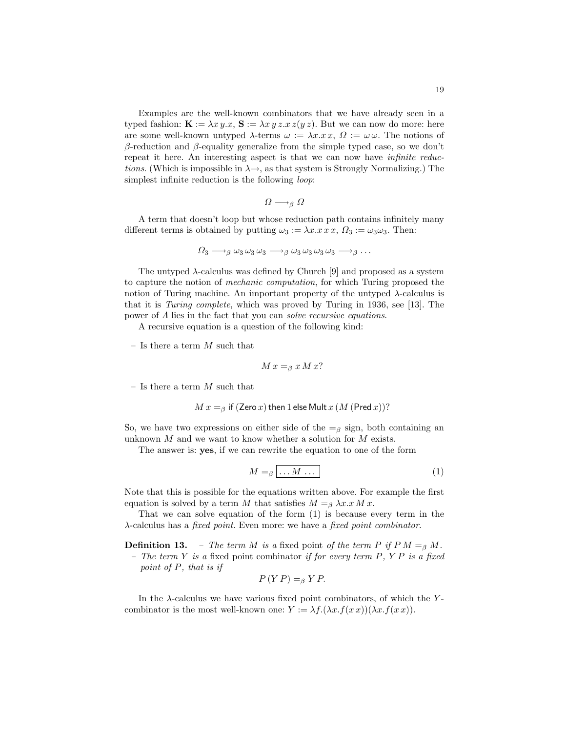Examples are the well-known combinators that we have already seen in a typed fashion:  $\mathbf{K} := \lambda x y \cdot x$ ,  $\mathbf{S} := \lambda x y \cdot x \cdot z(y \cdot z)$ . But we can now do more: here are some well-known untyped  $\lambda$ -terms  $\omega := \lambda x \cdot x, \Omega := \omega \omega$ . The notions of β-reduction and β-equality generalize from the simple typed case, so we don't repeat it here. An interesting aspect is that we can now have *infinite reduc*tions. (Which is impossible in  $\lambda \rightarrow$ , as that system is Strongly Normalizing.) The simplest infinite reduction is the following *loop*:

$$
\Omega \longrightarrow_{\beta} \Omega
$$

A term that doesn't loop but whose reduction path contains infinitely many different terms is obtained by putting  $\omega_3 := \lambda x.x x x$ ,  $\Omega_3 := \omega_3 \omega_3$ . Then:

$$
\Omega_3 \longrightarrow_{\beta} \omega_3 \omega_3 \omega_3 \longrightarrow_{\beta} \omega_3 \omega_3 \omega_3 \omega_3 \longrightarrow_{\beta} \ldots
$$

The untyped  $\lambda$ -calculus was defined by Church [9] and proposed as a system to capture the notion of mechanic computation, for which Turing proposed the notion of Turing machine. An important property of the untyped  $\lambda$ -calculus is that it is Turing complete, which was proved by Turing in 1936, see [13]. The power of  $\Lambda$  lies in the fact that you can *solve recursive equations*.

A recursive equation is a question of the following kind:

– Is there a term  $M$  such that

$$
M x =_{\beta} x M x?
$$

– Is there a term  $M$  such that

$$
M\,x =_\beta \text{ if } (\textsf{Zero}\,x) \text{ then } 1 \text{ else Mult } x\,(M\,(\textsf{Pred}\,x))?
$$

So, we have two expressions on either side of the  $=6$  sign, both containing an unknown M and we want to know whether a solution for M exists.

The answer is: yes, if we can rewrite the equation to one of the form

$$
M = \beta \left[ \dots M \dots \right] \tag{1}
$$

Note that this is possible for the equations written above. For example the first equation is solved by a term M that satisfies  $M = \beta \lambda x.x M x$ .

That we can solve equation of the form (1) is because every term in the λ-calculus has a fixed point. Even more: we have a fixed point combinator.

**Definition 13.** – The term M is a fixed point of the term P if  $PM =_{\beta} M$ .

– The term Y is a fixed point combinator if for every term  $P, Y P$  is a fixed point of P, that is if

$$
P(YP) =_{\beta} YP.
$$

In the  $\lambda$ -calculus we have various fixed point combinators, of which the Ycombinator is the most well-known one:  $Y := \lambda f.(\lambda x.f(x x))(\lambda x.f(x x)).$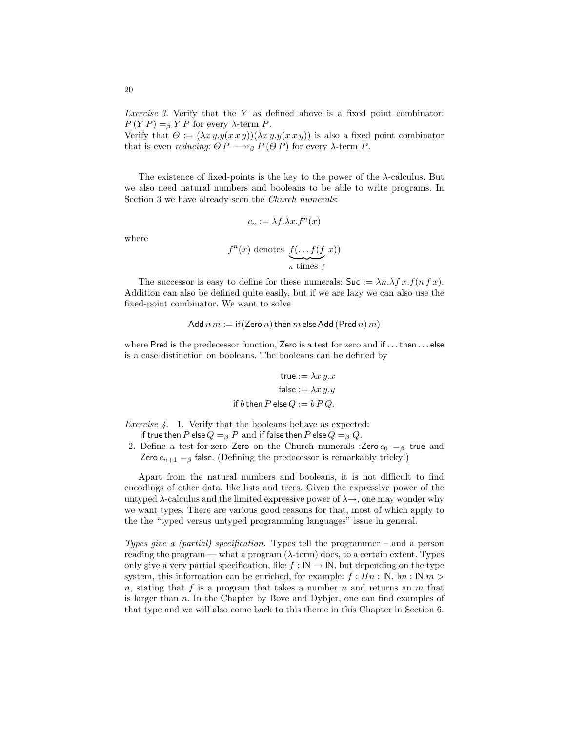*Exercise 3.* Verify that the  $Y$  as defined above is a fixed point combinator:  $P(Y P) =_{\beta} Y P$  for every  $\lambda$ -term P.

Verify that  $\Theta := (\lambda x y. y(x x y))(\lambda x y. y(x x y))$  is also a fixed point combinator that is even *reducing*:  $\Theta P \longrightarrow_{\beta} P(\Theta P)$  for every  $\lambda$ -term P.

The existence of fixed-points is the key to the power of the  $\lambda$ -calculus. But we also need natural numbers and booleans to be able to write programs. In Section 3 we have already seen the *Church numerals*:

$$
c_n := \lambda f. \lambda x. f^n(x)
$$

where

$$
f^{n}(x) \text{ denotes } \underbrace{f(\ldots f(f \mid x))}_{n \text{ times } f}
$$

The successor is easy to define for these numerals:  $\mathsf{Suc} := \lambda n.\lambda f \, x.f(n \, f \, x).$ Addition can also be defined quite easily, but if we are lazy we can also use the fixed-point combinator. We want to solve

Add 
$$
n m := \text{if}(\text{Zero } n)
$$
 then  $m$  else Add (Pred  $n$ )  $m$ )

where Pred is the predecessor function, Zero is a test for zero and if . . . then . . . else is a case distinction on booleans. The booleans can be defined by

$$
\begin{aligned} \mathsf{true} &:= \lambda x \, y.x \\ \mathsf{false} &:= \lambda x \, y.y \\ \text{if } b \, \mathsf{then} \, P \, \mathsf{else} \, Q &:= b \, P \, Q. \end{aligned}
$$

Exercise 4. 1. Verify that the booleans behave as expected: if true then P else  $Q =_{\beta} P$  and if false then P else  $Q =_{\beta} Q$ .

2. Define a test-for-zero Zero on the Church numerals :Zero  $c_0 =_\beta$  true and Zero  $c_{n+1} = \beta$  false. (Defining the predecessor is remarkably tricky!)

Apart from the natural numbers and booleans, it is not difficult to find encodings of other data, like lists and trees. Given the expressive power of the untyped  $\lambda$ -calculus and the limited expressive power of  $\lambda \rightarrow$ , one may wonder why we want types. There are various good reasons for that, most of which apply to the the "typed versus untyped programming languages" issue in general.

Types give a (partial) specification. Types tell the programmer – and a person reading the program — what a program  $(\lambda$ -term) does, to a certain extent. Types only give a very partial specification, like  $f : \mathbb{N} \to \mathbb{N}$ , but depending on the type system, this information can be enriched, for example:  $f : \Pi n : \mathbb{N} \to \mathbb{N}$ . $m >$ n, stating that f is a program that takes a number n and returns an  $m$  that is larger than n. In the Chapter by Bove and Dybjer, one can find examples of that type and we will also come back to this theme in this Chapter in Section 6.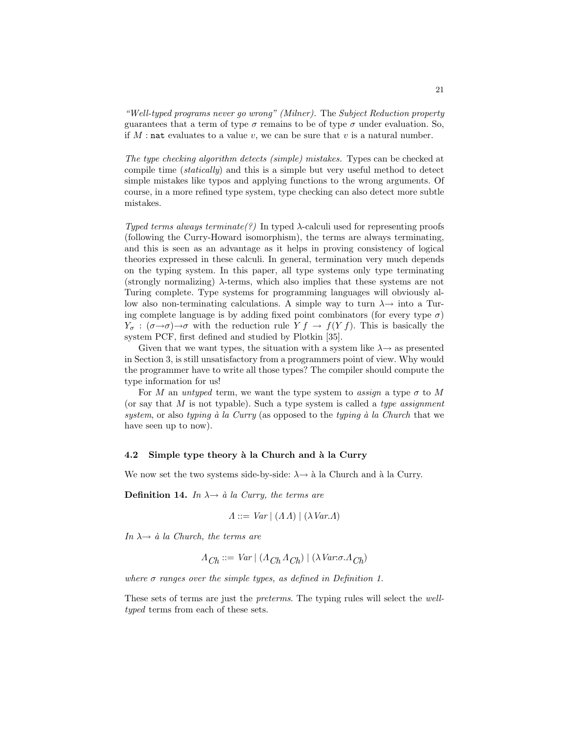"Well-typed programs never go wrong" (Milner). The Subject Reduction property guarantees that a term of type  $\sigma$  remains to be of type  $\sigma$  under evaluation. So, if  $M$  : nat evaluates to a value v, we can be sure that v is a natural number.

The type checking algorithm detects (simple) mistakes. Types can be checked at compile time (statically) and this is a simple but very useful method to detect simple mistakes like typos and applying functions to the wrong arguments. Of course, in a more refined type system, type checking can also detect more subtle mistakes.

Typed terms always terminate(?) In typed  $\lambda$ -calculi used for representing proofs (following the Curry-Howard isomorphism), the terms are always terminating, and this is seen as an advantage as it helps in proving consistency of logical theories expressed in these calculi. In general, termination very much depends on the typing system. In this paper, all type systems only type terminating (strongly normalizing)  $\lambda$ -terms, which also implies that these systems are not Turing complete. Type systems for programming languages will obviously allow also non-terminating calculations. A simple way to turn  $\lambda \rightarrow$  into a Turing complete language is by adding fixed point combinators (for every type  $\sigma$ )  $Y_{\sigma}$ :  $(\sigma \rightarrow \sigma) \rightarrow \sigma$  with the reduction rule  $Y f \rightarrow f(Y f)$ . This is basically the system PCF, first defined and studied by Plotkin [35].

Given that we want types, the situation with a system like  $\lambda \rightarrow$  as presented in Section 3, is still unsatisfactory from a programmers point of view. Why would the programmer have to write all those types? The compiler should compute the type information for us!

For M an untyped term, we want the type system to assign a type  $\sigma$  to M (or say that  $M$  is not typable). Such a type system is called a *type assignment* system, or also typing  $\dot{a}$  la Curry (as opposed to the typing  $\dot{a}$  la Church that we have seen up to now).

### 4.2 Simple type theory à la Church and à la Curry

We now set the two systems side-by-side:  $\lambda \rightarrow \lambda$  la Church and  $\lambda$  la Curry.

**Definition 14.** In  $\lambda \rightarrow \hat{a}$  la Curry, the terms are

$$
\Lambda ::= Var | (\Lambda \Lambda) | (\lambda \text{Var}.\Lambda)
$$

In  $\lambda \rightarrow \dot{a}$  la Church, the terms are

$$
\Lambda_{Ch} ::= Var \mid (\Lambda_{Ch} \Lambda_{Ch}) \mid (\lambda \text{Var:} \sigma. \Lambda_{Ch})
$$

where  $\sigma$  ranges over the simple types, as defined in Definition 1.

These sets of terms are just the preterms. The typing rules will select the welltyped terms from each of these sets.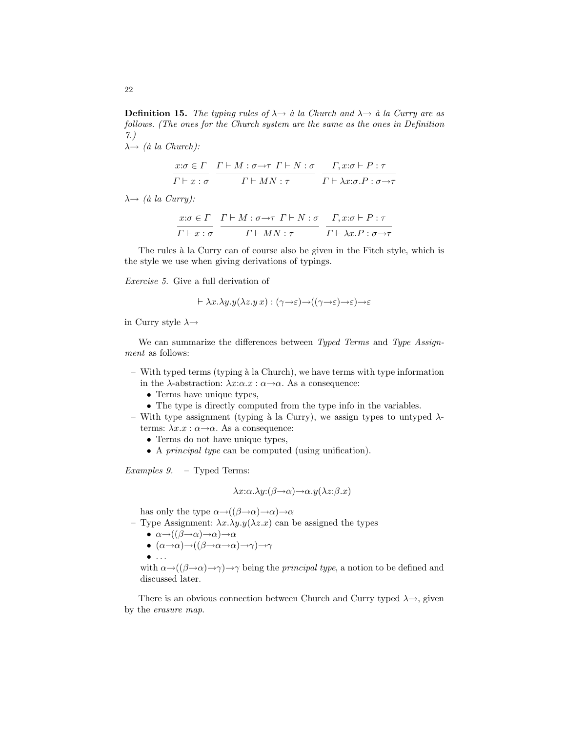**Definition 15.** The typing rules of  $\lambda \rightarrow \hat{a}$  la Church and  $\lambda \rightarrow \hat{a}$  la Curry are as follows. (The ones for the Church system are the same as the ones in Definition 7.)

 $\lambda \rightarrow$  (à la Church):

$$
\frac{x:\sigma \in \Gamma}{\Gamma \vdash x:\sigma} \quad \frac{\Gamma \vdash M:\sigma \to \tau \ \Gamma \vdash N:\sigma}{\Gamma \vdash MN:\tau} \quad \frac{\Gamma, x:\sigma \vdash P:\tau}{\Gamma \vdash \lambda x:\sigma.P:\sigma \to \tau}
$$

 $\lambda \rightarrow$  (à la Curry):

$$
\frac{x:\sigma \in \Gamma}{\Gamma \vdash x:\sigma} \quad \frac{\Gamma \vdash M : \sigma \rightarrow \tau \quad \Gamma \vdash N : \sigma}{\Gamma \vdash MN : \tau} \quad \frac{\Gamma, x:\sigma \vdash P : \tau}{\Gamma \vdash \lambda x.P : \sigma \rightarrow \tau}
$$

The rules à la Curry can of course also be given in the Fitch style, which is the style we use when giving derivations of typings.

Exercise 5. Give a full derivation of

$$
\vdash \lambda x. \lambda y. y (\lambda z. y x) : (\gamma \rightarrow \varepsilon) \rightarrow ((\gamma \rightarrow \varepsilon) \rightarrow \varepsilon) \rightarrow \varepsilon
$$

in Curry style  $\lambda \rightarrow$ 

We can summarize the differences between Typed Terms and Type Assignment as follows:

- $-$  With typed terms (typing à la Church), we have terms with type information in the  $\lambda$ -abstraction:  $\lambda x:\alpha.x:\alpha \rightarrow \alpha$ . As a consequence:
	- Terms have unique types,
	- The type is directly computed from the type info in the variables.
- With type assignment (typing à la Curry), we assign types to untyped  $\lambda$ terms:  $\lambda x.x : \alpha \rightarrow \alpha$ . As a consequence:
	- Terms do not have unique types,
	- A principal type can be computed (using unification).

Examples 9. – Typed Terms:

$$
\lambda x:\alpha.\lambda y:(\beta\rightarrow\alpha)\rightarrow\alpha.y(\lambda z:\beta.x)
$$

has only the type  $\alpha \rightarrow ((\beta \rightarrow \alpha) \rightarrow \alpha) \rightarrow \alpha$ 

- Type Assignment:  $\lambda x.\lambda y.y(\lambda z.x)$  can be assigned the types
	- $\alpha \rightarrow ((\beta \rightarrow \alpha) \rightarrow \alpha) \rightarrow \alpha$
	- $(\alpha \rightarrow \alpha) \rightarrow ((\beta \rightarrow \alpha \rightarrow \alpha) \rightarrow \gamma) \rightarrow \gamma$
	- $\bullet$  ...

with  $\alpha \rightarrow ((\beta \rightarrow \alpha) \rightarrow \gamma) \rightarrow \gamma$  being the *principal type*, a notion to be defined and discussed later.

There is an obvious connection between Church and Curry typed  $\lambda \rightarrow$ , given by the erasure map.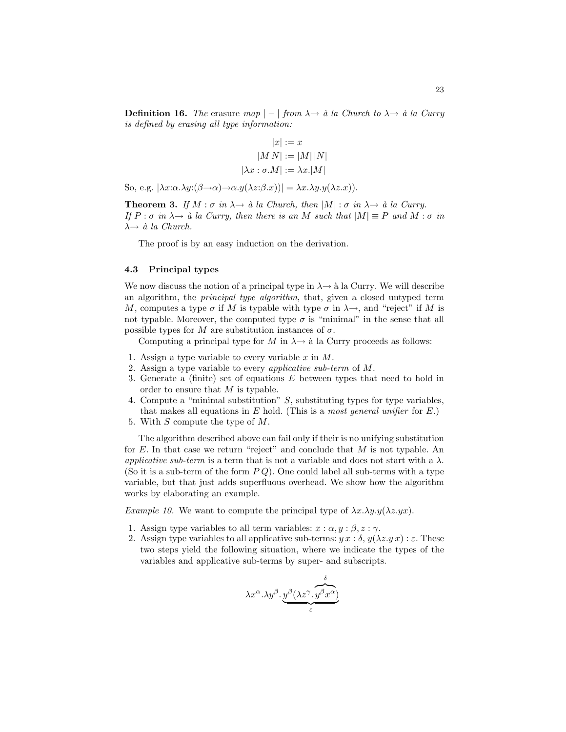**Definition 16.** The erasure map  $| - |$  from  $\lambda \rightarrow \hat{a}$  la Church to  $\lambda \rightarrow \hat{a}$  la Curry is defined by erasing all type information:

$$
|x| := x
$$

$$
|MN| := |M| |N|
$$

$$
|\lambda x : \sigma.M| := \lambda x. |M|
$$

So, e.g.  $|\lambda x:\alpha.\lambda y: (\beta \rightarrow \alpha) \rightarrow \alpha.y(\lambda z: \beta.x)| = \lambda x.\lambda y.y(\lambda z.x)$ .

**Theorem 3.** If  $M : \sigma$  in  $\lambda \rightarrow \hat{a}$  la Church, then  $|M| : \sigma$  in  $\lambda \rightarrow \hat{a}$  la Curry. If  $P : \sigma \in \Lambda \to \mathfrak{d}$  la Curry, then there is an M such that  $|M| \equiv P$  and  $M : \sigma \in \mathfrak{m}$  $\lambda \rightarrow \dot{a}$  la Church.

The proof is by an easy induction on the derivation.

### 4.3 Principal types

We now discuss the notion of a principal type in  $\lambda \rightarrow \lambda$  la Curry. We will describe an algorithm, the principal type algorithm, that, given a closed untyped term M, computes a type  $\sigma$  if M is typable with type  $\sigma$  in  $\lambda \rightarrow$ , and "reject" if M is not typable. Moreover, the computed type  $\sigma$  is "minimal" in the sense that all possible types for M are substitution instances of  $\sigma$ .

Computing a principal type for M in  $\lambda \rightarrow \lambda$  as Curry proceeds as follows:

- 1. Assign a type variable to every variable  $x$  in  $M$ .
- 2. Assign a type variable to every *applicative sub-term* of M.
- 3. Generate a (finite) set of equations  $E$  between types that need to hold in order to ensure that M is typable.
- 4. Compute a "minimal substitution" S, substituting types for type variables, that makes all equations in  $E$  hold. (This is a *most general unifier* for  $E$ .)
- 5. With  $S$  compute the type of  $M$ .

The algorithm described above can fail only if their is no unifying substitution for  $E$ . In that case we return "reject" and conclude that  $M$  is not typable. An applicative sub-term is a term that is not a variable and does not start with a  $\lambda$ . (So it is a sub-term of the form  $PQ$ ). One could label all sub-terms with a type variable, but that just adds superfluous overhead. We show how the algorithm works by elaborating an example.

*Example 10.* We want to compute the principal type of  $\lambda x.\lambda y.y(\lambda z.yx)$ .

- 1. Assign type variables to all term variables:  $x : \alpha, y : \beta, z : \gamma$ .
- 2. Assign type variables to all applicative sub-terms:  $y x : \delta, y(\lambda z, y x) : \varepsilon$ . These two steps yield the following situation, where we indicate the types of the variables and applicative sub-terms by super- and subscripts.

$$
\lambda x^\alpha.\lambda y^\beta.\underbrace{y^\beta(\lambda z^\gamma.\underbrace{y^\beta x^\alpha}_{\varepsilon})}
$$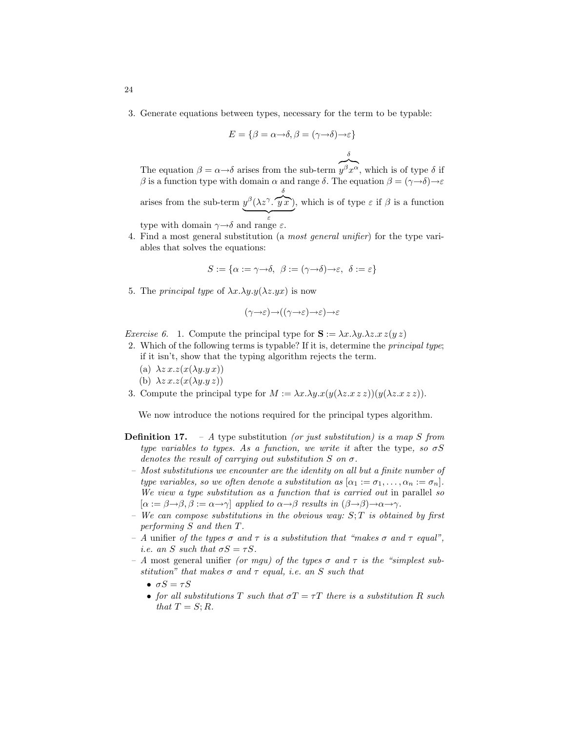3. Generate equations between types, necessary for the term to be typable:

$$
E = \{ \beta = \alpha \rightarrow \delta, \beta = (\gamma \rightarrow \delta) \rightarrow \varepsilon \}
$$

δ

The equation  $\beta = \alpha \rightarrow \delta$  arises from the sub-term  $\widehat{y^{\beta}x^{\alpha}}$ , which is of type  $\delta$  if β is a function type with domain  $\alpha$  and range δ. The equation  $\beta = (\gamma \rightarrow \delta) \rightarrow \varepsilon$ 

arises from the sub-term  $y^{\beta}(\lambda z^{\gamma})$ . δ  $\widehat{y}\,\widehat{x}$ )  ${\overbrace{\varepsilon}}$ , which is of type  $\varepsilon$  if  $\beta$  is a function

type with domain  $\gamma \rightarrow \delta$  and range  $\varepsilon$ .

4. Find a most general substitution (a most general unifier) for the type variables that solves the equations:

$$
S := \{ \alpha := \gamma \rightarrow \delta, \ \beta := (\gamma \rightarrow \delta) \rightarrow \varepsilon, \ \delta := \varepsilon \}
$$

5. The *principal type* of  $\lambda x.\lambda y.y(\lambda z.yx)$  is now

$$
(\gamma{\to}\varepsilon){\to}((\gamma{\to}\varepsilon){\to}\varepsilon){\to}\varepsilon
$$

*Exercise 6.* 1. Compute the principal type for  $\mathbf{S} := \lambda x. \lambda y. \lambda z. x z(y z)$ 

- 2. Which of the following terms is typable? If it is, determine the principal type; if it isn't, show that the typing algorithm rejects the term.
	- (a)  $\lambda z \, x.z(x(\lambda y \cdot y \cdot x))$
	- (b)  $\lambda z \, x.z(x(\lambda y.y z))$
- 3. Compute the principal type for  $M := \lambda x \cdot \lambda y \cdot x \cdot (y(\lambda z \cdot x \cdot z)) (y(\lambda z \cdot x \cdot z \cdot z)).$

We now introduce the notions required for the principal types algorithm.

- **Definition 17.** A type substitution (or just substitution) is a map S from type variables to types. As a function, we write it after the type, so  $\sigma S$ denotes the result of carrying out substitution  $S$  on  $\sigma$ .
	- Most substitutions we encounter are the identity on all but a finite number of type variables, so we often denote a substitution as  $[\alpha_1 := \sigma_1, \ldots, \alpha_n := \sigma_n].$ We view a type substitution as a function that is carried out in parallel so  $[\alpha := \beta \rightarrow \beta, \beta := \alpha \rightarrow \gamma]$  applied to  $\alpha \rightarrow \beta$  results in  $(\beta \rightarrow \beta) \rightarrow \alpha \rightarrow \gamma$ .
	- We can compose substitutions in the obvious way:  $S$ ; T is obtained by first performing S and then T.
	- A unifier of the types  $\sigma$  and  $\tau$  is a substitution that "makes  $\sigma$  and  $\tau$  equal", i.e. an S such that  $\sigma S = \tau S$ .
	- A most general unifier (or mqu) of the types  $\sigma$  and  $\tau$  is the "simplest substitution" that makes  $\sigma$  and  $\tau$  equal, i.e. an S such that
		- $\bullet$   $\sigma S = \tau S$
		- for all substitutions T such that  $\sigma T = \tau T$  there is a substitution R such that  $T = S; R$ .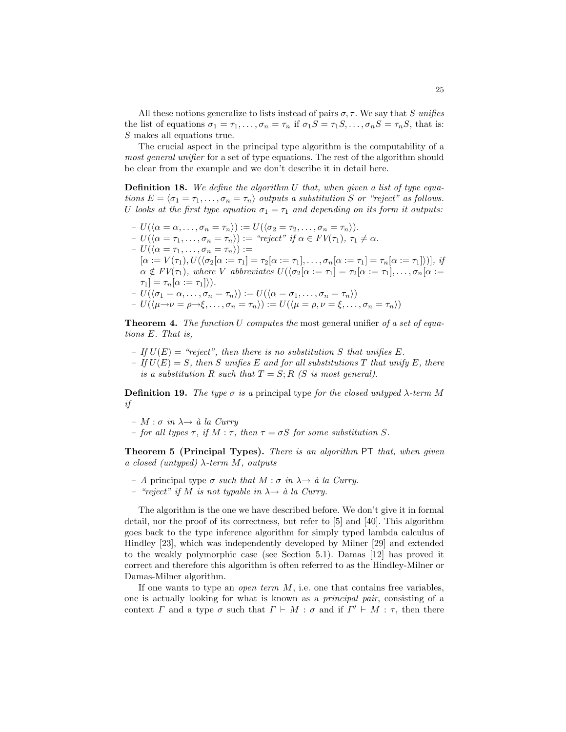All these notions generalize to lists instead of pairs  $\sigma$ ,  $\tau$ . We say that S unifies the list of equations  $\sigma_1 = \tau_1, \ldots, \sigma_n = \tau_n$  if  $\sigma_1 S = \tau_1 S, \ldots, \sigma_n S = \tau_n S$ , that is: S makes all equations true.

The crucial aspect in the principal type algorithm is the computability of a most general unifier for a set of type equations. The rest of the algorithm should be clear from the example and we don't describe it in detail here.

**Definition 18.** We define the algorithm U that, when given a list of type equations  $E = \langle \sigma_1 = \tau_1, \ldots, \sigma_n = \tau_n \rangle$  outputs a substitution S or "reject" as follows. U looks at the first type equation  $\sigma_1 = \tau_1$  and depending on its form it outputs:

 $-U(\langle \alpha = \alpha, \ldots, \sigma_n = \tau_n \rangle) := U(\langle \sigma_2 = \tau_2, \ldots, \sigma_n = \tau_n \rangle).$  $- U(\langle \alpha = \tau_1, \ldots, \sigma_n = \tau_n \rangle) := \text{``reject'' if } \alpha \in FV(\tau_1), \tau_1 \neq \alpha.$  $-U(\langle \alpha = \tau_1, \ldots, \sigma_n = \tau_n \rangle) :=$  $[\alpha := V(\tau_1), U(\langle \sigma_2[\alpha := \tau_1] = \tau_2[\alpha := \tau_1], \ldots, \sigma_n[\alpha := \tau_1] = \tau_n[\alpha := \tau_1])$ ), if  $\alpha \notin FV(\tau_1)$ , where V abbreviates  $U(\langle \sigma_2[\alpha := \tau_1] = \tau_2[\alpha := \tau_1], \ldots, \sigma_n[\alpha :=$  $\tau_1$ ] =  $\tau_n\alpha := \tau_1\vert$ ).  $-U(\langle \sigma_1 = \alpha, \ldots, \sigma_n = \tau_n \rangle) := U(\langle \alpha = \sigma_1, \ldots, \sigma_n = \tau_n \rangle)$  $-U(\langle \mu \rightarrow \nu = \rho \rightarrow \xi, \ldots, \sigma_n = \tau_n \rangle) := U(\langle \mu = \rho, \nu = \xi, \ldots, \sigma_n = \tau_n \rangle)$ 

**Theorem 4.** The function U computes the most general unifier of a set of equations E. That is,

- If  $U(E)$  = "reject", then there is no substitution S that unifies E.
- If  $U(E) = S$ , then S unifies E and for all substitutions T that unify E, there is a substitution R such that  $T = S; R$  (S is most general).

**Definition 19.** The type  $\sigma$  is a principal type for the closed untyped  $\lambda$ -term M if

- $M : \sigma \in \lambda \longrightarrow \hat{a} \text{ } la \text{ } Curry$
- for all types  $\tau$ , if  $M : \tau$ , then  $\tau = \sigma S$  for some substitution S.

Theorem 5 (Principal Types). There is an algorithm PT that, when given a closed (untyped)  $\lambda$ -term  $M$ , outputs

- A principal type  $\sigma$  such that  $M : \sigma$  in  $\lambda \rightarrow \hat{a}$  la Curry.
- "reject" if M is not typable in  $\lambda \rightarrow \hat{a}$  la Curry.

The algorithm is the one we have described before. We don't give it in formal detail, nor the proof of its correctness, but refer to [5] and [40]. This algorithm goes back to the type inference algorithm for simply typed lambda calculus of Hindley [23], which was independently developed by Milner [29] and extended to the weakly polymorphic case (see Section 5.1). Damas [12] has proved it correct and therefore this algorithm is often referred to as the Hindley-Milner or Damas-Milner algorithm.

If one wants to type an *open term M*, i.e. one that contains free variables, one is actually looking for what is known as a principal pair, consisting of a context  $\Gamma$  and a type  $\sigma$  such that  $\Gamma \vdash M : \sigma$  and if  $\Gamma' \vdash M : \tau$ , then there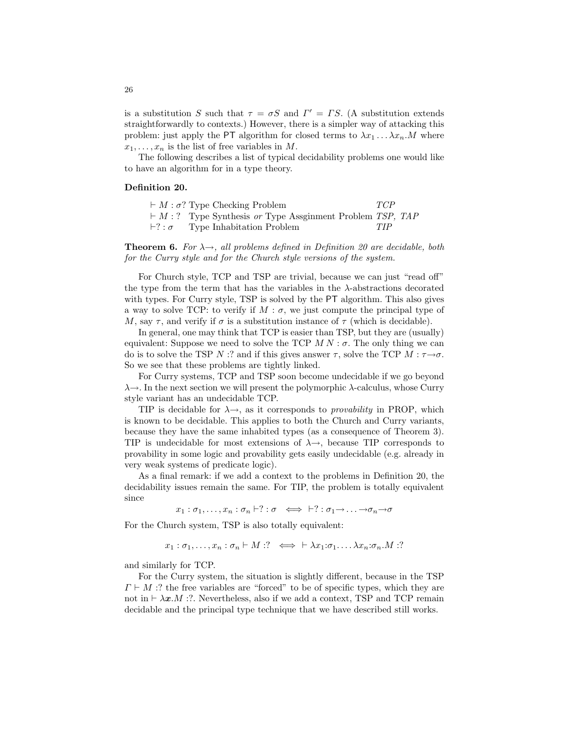is a substitution S such that  $\tau = \sigma S$  and  $\Gamma' = \Gamma S$ . (A substitution extends straightforwardly to contexts.) However, there is a simpler way of attacking this problem: just apply the PT algorithm for closed terms to  $\lambda x_1 \dots \lambda x_n$ . M where  $x_1, \ldots, x_n$  is the list of free variables in M.

The following describes a list of typical decidability problems one would like to have an algorithm for in a type theory.

#### Definition 20.

|                      | $\vdash M : \sigma$ ? Type Checking Problem                       | <i>TCP</i> |  |
|----------------------|-------------------------------------------------------------------|------------|--|
|                      | $\vdash M$ : ? Type Synthesis or Type Assginment Problem TSP, TAP |            |  |
| $\vdash$ ?: $\sigma$ | Type Inhabitation Problem                                         | TIP        |  |

**Theorem 6.** For  $\lambda \rightarrow$ , all problems defined in Definition 20 are decidable, both for the Curry style and for the Church style versions of the system.

For Church style, TCP and TSP are trivial, because we can just "read off" the type from the term that has the variables in the  $\lambda$ -abstractions decorated with types. For Curry style, TSP is solved by the  $PT$  algorithm. This also gives a way to solve TCP: to verify if  $M : \sigma$ , we just compute the principal type of M, say  $\tau$ , and verify if  $\sigma$  is a substitution instance of  $\tau$  (which is decidable).

In general, one may think that TCP is easier than TSP, but they are (usually) equivalent: Suppose we need to solve the TCP  $M N : \sigma$ . The only thing we can do is to solve the TSP N :? and if this gives answer  $\tau$ , solve the TCP  $M : \tau \rightarrow \sigma$ . So we see that these problems are tightly linked.

For Curry systems, TCP and TSP soon become undecidable if we go beyond  $\lambda \rightarrow$ . In the next section we will present the polymorphic  $\lambda$ -calculus, whose Curry style variant has an undecidable TCP.

TIP is decidable for  $\lambda \rightarrow$ , as it corresponds to *provability* in PROP, which is known to be decidable. This applies to both the Church and Curry variants, because they have the same inhabited types (as a consequence of Theorem 3). TIP is undecidable for most extensions of  $\lambda \rightarrow$ , because TIP corresponds to provability in some logic and provability gets easily undecidable (e.g. already in very weak systems of predicate logic).

As a final remark: if we add a context to the problems in Definition 20, the decidability issues remain the same. For TIP, the problem is totally equivalent since

 $x_1 : \sigma_1, \ldots, x_n : \sigma_n \vdash ? : \sigma \iff \vdash ? : \sigma_1 \rightarrow \ldots \rightarrow \sigma_n \rightarrow \sigma$ 

For the Church system, TSP is also totally equivalent:

$$
x_1 : \sigma_1, \ldots, x_n : \sigma_n \vdash M : ? \iff \vdash \lambda x_1 : \sigma_1, \ldots, \lambda x_n : \sigma_n . M : ?
$$

and similarly for TCP.

For the Curry system, the situation is slightly different, because in the TSP  $\Gamma \vdash M$ :? the free variables are "forced" to be of specific types, which they are not in  $\vdash \lambda x.M$  :?. Nevertheless, also if we add a context, TSP and TCP remain decidable and the principal type technique that we have described still works.

26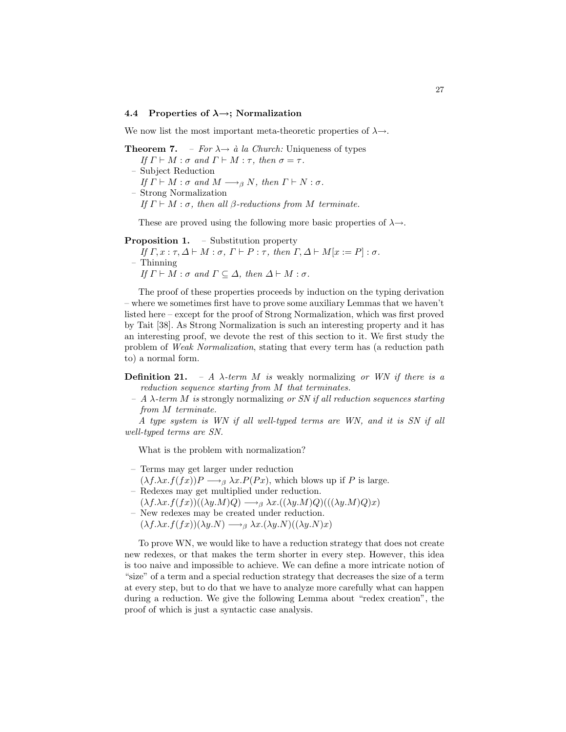#### 4.4 Properties of  $\lambda \rightarrow$ ; Normalization

We now list the most important meta-theoretic properties of  $\lambda \rightarrow$ .

**Theorem 7.** – For  $\lambda \rightarrow \hat{a}$  la Church: Uniqueness of types If  $\Gamma \vdash M : \sigma$  and  $\Gamma \vdash M : \tau$ , then  $\sigma = \tau$ . – Subject Reduction

- If  $\Gamma \vdash M : \sigma$  and  $M \longrightarrow_{\beta} N$ , then  $\Gamma \vdash N : \sigma$ .
- Strong Normalization
	- If  $\Gamma \vdash M : \sigma$ , then all  $\beta$ -reductions from M terminate.

These are proved using the following more basic properties of  $\lambda \rightarrow$ .

Proposition 1. – Substitution property

If  $\Gamma, x : \tau, \Delta \vdash M : \sigma, \Gamma \vdash P : \tau$ , then  $\Gamma, \Delta \vdash M[x := P] : \sigma$ . – Thinning If  $\Gamma \vdash M : \sigma$  and  $\Gamma \subseteq \Delta$ , then  $\Delta \vdash M : \sigma$ .

The proof of these properties proceeds by induction on the typing derivation – where we sometimes first have to prove some auxiliary Lemmas that we haven't listed here – except for the proof of Strong Normalization, which was first proved by Tait [38]. As Strong Normalization is such an interesting property and it has an interesting proof, we devote the rest of this section to it. We first study the problem of Weak Normalization, stating that every term has (a reduction path to) a normal form.

- **Definition 21.** A  $\lambda$ -term M is weakly normalizing or WN if there is a reduction sequence starting from M that terminates.
	- $A \lambda$ -term M is strongly normalizing or SN if all reduction sequences starting from M terminate.

A type system is WN if all well-typed terms are WN, and it is SN if all well-typed terms are SN.

What is the problem with normalization?

- Terms may get larger under reduction
	- $(\lambda f. \lambda x. f(fx))P \longrightarrow_{\beta} \lambda x.P(Px)$ , which blows up if P is large.
- Redexes may get multiplied under reduction.
- $(\lambda f. \lambda x. f(fx))((\lambda y. M)Q) \longrightarrow_{\beta} \lambda x.((\lambda y. M)Q)((\lambda y. M)Q)x)$
- New redexes may be created under reduction.  $(\lambda f.\lambda x.f(fx))(\lambda y.N) \longrightarrow_{\beta} \lambda x.(\lambda y.N)((\lambda y.N)x)$

To prove WN, we would like to have a reduction strategy that does not create new redexes, or that makes the term shorter in every step. However, this idea is too naive and impossible to achieve. We can define a more intricate notion of "size" of a term and a special reduction strategy that decreases the size of a term at every step, but to do that we have to analyze more carefully what can happen during a reduction. We give the following Lemma about "redex creation", the proof of which is just a syntactic case analysis.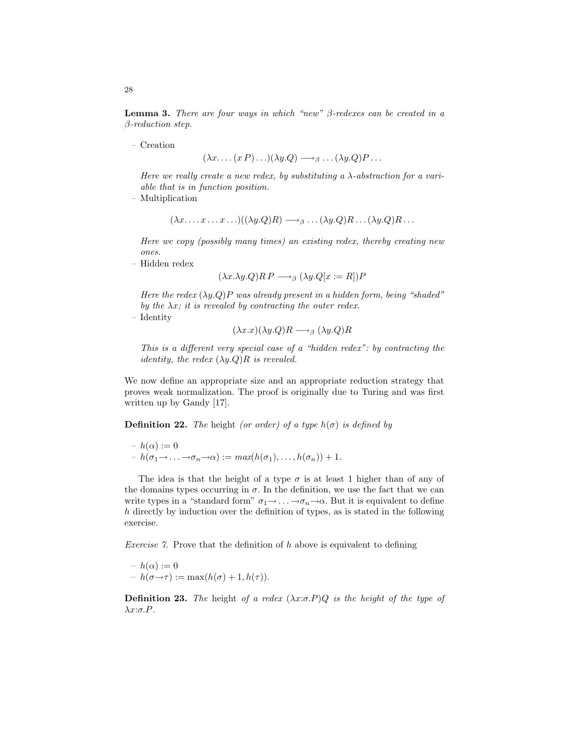**Lemma 3.** There are four ways in which "new"  $\beta$ -redexes can be created in a β-reduction step.

– Creation

$$
(\lambda x \dots (x P) \dots)(\lambda y.Q) \longrightarrow_{\beta} \dots (\lambda y.Q)P \dots
$$

Here we really create a new redex, by substituting a  $\lambda$ -abstraction for a variable that is in function position.

– Multiplication

$$
(\lambda x \ldots x \ldots x \ldots)((\lambda y.Q)R) \longrightarrow_{\beta} \ldots (\lambda y.Q)R \ldots (\lambda y.Q)R \ldots
$$

Here we copy (possibly many times) an existing redex, thereby creating new ones.

– Hidden redex

$$
(\lambda x.\lambda y.Q)RP \longrightarrow_{\beta} (\lambda y.Q[x := R])P
$$

Here the redex  $(\lambda y. Q)P$  was already present in a hidden form, being "shaded" by the  $\lambda x$ ; it is revealed by contracting the outer redex.

– Identity

$$
(\lambda x.x)(\lambda y.Q)R \longrightarrow_{\beta} (\lambda y.Q)R
$$

This is a different very special case of a "hidden redex": by contracting the *identity, the redex*  $(\lambda y.Q)R$  *is revealed.* 

We now define an appropriate size and an appropriate reduction strategy that proves weak normalization. The proof is originally due to Turing and was first written up by Gandy [17].

**Definition 22.** The height (or order) of a type  $h(\sigma)$  is defined by

$$
- h(\alpha) := 0
$$
  
- h(\sigma\_1 \to \ldots \to \sigma\_n \to \alpha) := max(h(\sigma\_1), \ldots, h(\sigma\_n)) + 1.

The idea is that the height of a type  $\sigma$  is at least 1 higher than of any of the domains types occurring in  $\sigma$ . In the definition, we use the fact that we can write types in a "standard form"  $\sigma_1 \rightarrow \ldots \rightarrow \sigma_n \rightarrow \alpha$ . But it is equivalent to define h directly by induction over the definition of types, as is stated in the following exercise.

*Exercise* 7. Prove that the definition of  $h$  above is equivalent to defining

 $-h(\alpha) := 0$  $-h(\sigma \rightarrow \tau) := \max(h(\sigma) + 1, h(\tau)).$ 

**Definition 23.** The height of a redex  $(\lambda x:\sigma.P)Q$  is the height of the type of λx:σ.P.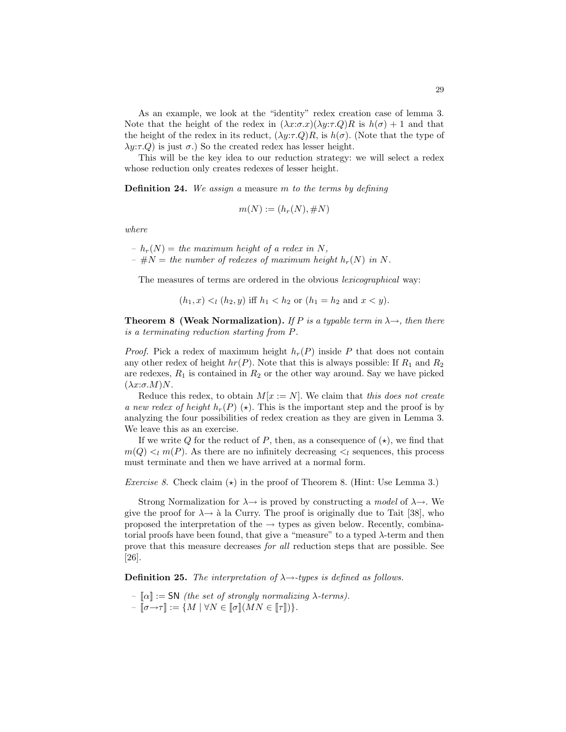As an example, we look at the "identity" redex creation case of lemma 3. Note that the height of the redex in  $(\lambda x:\sigma.x)(\lambda y:\tau.Q)R$  is  $h(\sigma) + 1$  and that the height of the redex in its reduct,  $(\lambda y:\tau.Q)R$ , is  $h(\sigma)$ . (Note that the type of  $\lambda y$ : $\tau$ .Q) is just  $\sigma$ .) So the created redex has lesser height.

This will be the key idea to our reduction strategy: we will select a redex whose reduction only creates redexes of lesser height.

**Definition 24.** We assign a measure  $m$  to the terms by defining

$$
m(N) := (h_r(N), \#N)
$$

where

 $h_r(N) =$  the maximum height of a redex in N, –  $\#N =$  the number of redexes of maximum height  $h_r(N)$  in N.

The measures of terms are ordered in the obvious *lexicographical* way:

 $(h_1, x) <_l (h_2, y)$  iff  $h_1 < h_2$  or  $(h_1 = h_2$  and  $x < y)$ .

**Theorem 8 (Weak Normalization).** If P is a typable term in  $\lambda \rightarrow$ , then there is a terminating reduction starting from P.

*Proof.* Pick a redex of maximum height  $h_r(P)$  inside P that does not contain any other redex of height  $hr(P)$ . Note that this is always possible: If  $R_1$  and  $R_2$ are redexes,  $R_1$  is contained in  $R_2$  or the other way around. Say we have picked  $(\lambda x:\sigma.M)N$ .

Reduce this redex, to obtain  $M[x := N]$ . We claim that this does not create a new redex of height  $h_r(P)$  ( $\star$ ). This is the important step and the proof is by analyzing the four possibilities of redex creation as they are given in Lemma 3. We leave this as an exercise.

If we write Q for the reduct of P, then, as a consequence of  $(\star)$ , we find that  $m(Q) \leq l$  m(P). As there are no infinitely decreasing  $\leq l$  sequences, this process must terminate and then we have arrived at a normal form.

*Exercise 8.* Check claim  $(\star)$  in the proof of Theorem 8. (Hint: Use Lemma 3.)

Strong Normalization for  $\lambda \rightarrow$  is proved by constructing a model of  $\lambda \rightarrow$ . We give the proof for  $\lambda \rightarrow \lambda$  la Curry. The proof is originally due to Tait [38], who proposed the interpretation of the  $\rightarrow$  types as given below. Recently, combinatorial proofs have been found, that give a "measure" to a typed  $\lambda$ -term and then prove that this measure decreases for all reduction steps that are possible. See [26].

**Definition 25.** The interpretation of  $\lambda \rightarrow$ -types is defined as follows.

- $\|\alpha\|$  := SN *(the set of strongly normalizing*  $\lambda$ *-terms)*.
- $\llbracket \sigma \rightarrow \tau \rrbracket := \{ M \mid \forall N \in \llbracket \sigma \rrbracket ( MN \in \llbracket \tau \rrbracket ) \}.$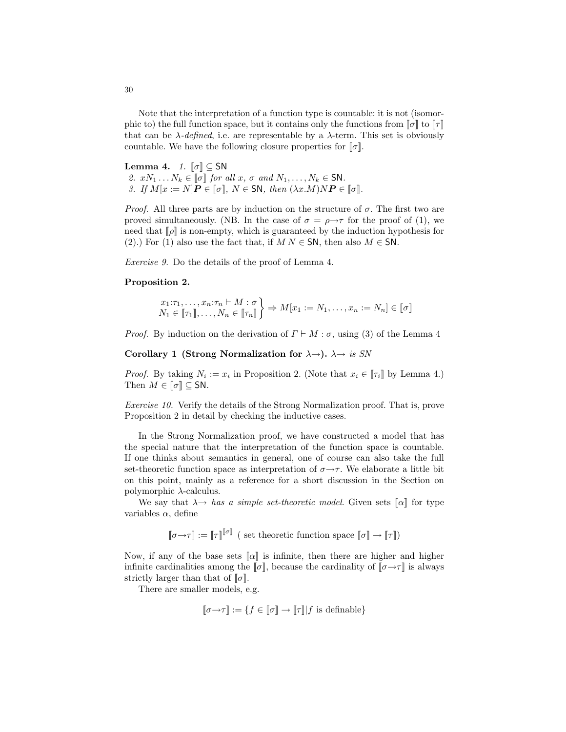Note that the interpretation of a function type is countable: it is not (isomorphic to) the full function space, but it contains only the functions from  $[\![\sigma]\!]$  to  $[\![\tau]\!]$ that can be  $\lambda$ -defined, i.e. are representable by a  $\lambda$ -term. This set is obviously countable. We have the following closure properties for  $[\![\sigma]\!]$ .

Lemma 4.  $1.$   $\lbrack \sigma \rbrack \subseteq SN$ 2.  $xN_1 \ldots N_k \in [\![\sigma]\!]$  for all  $x, \sigma$  and  $N_1, \ldots, N_k \in \mathsf{SN}$ . 3. If  $M[x := N]$  $\mathbf{P} \in [\![\sigma]\!]$ ,  $N \in \mathsf{SN}$ , then  $(\lambda x.M)NP \in [\![\sigma]\!]$ .

*Proof.* All three parts are by induction on the structure of  $\sigma$ . The first two are proved simultaneously. (NB. In the case of  $\sigma = \rho \rightarrow \tau$  for the proof of (1), we need that  $\|\rho\|$  is non-empty, which is guaranteed by the induction hypothesis for (2).) For (1) also use the fact that, if  $M N \in SN$ , then also  $M \in SN$ .

Exercise 9. Do the details of the proof of Lemma 4.

#### Proposition 2.

$$
x_1:\tau_1,\ldots,x_n:\tau_n \vdash M:\sigmaN_1 \in [\![\tau_1]\!],\ldots,N_n \in [\![\tau_n]\!]\} \Rightarrow M[x_1 := N_1,\ldots,x_n := N_n] \in [\![\sigma]\!]
$$

*Proof.* By induction on the derivation of  $\Gamma \vdash M : \sigma$ , using (3) of the Lemma 4

Corollary 1 (Strong Normalization for  $\lambda \rightarrow$ ).  $\lambda \rightarrow i$ s SN

*Proof.* By taking  $N_i := x_i$  in Proposition 2. (Note that  $x_i \in [\![\tau_i]\!]$  by Lemma 4.) Then  $M \in [\![\sigma]\!] \subseteq SN$ .

Exercise 10. Verify the details of the Strong Normalization proof. That is, prove Proposition 2 in detail by checking the inductive cases.

In the Strong Normalization proof, we have constructed a model that has the special nature that the interpretation of the function space is countable. If one thinks about semantics in general, one of course can also take the full set-theoretic function space as interpretation of  $\sigma \rightarrow \tau$ . We elaborate a little bit on this point, mainly as a reference for a short discussion in the Section on polymorphic  $\lambda$ -calculus.

We say that  $\lambda \rightarrow has$  a simple set-theoretic model. Given sets  $\llbracket \alpha \rrbracket$  for type variables  $\alpha$ , define

$$
[\![\sigma \rightarrow \tau]\!] := [\![\tau]\!]^{[\![\sigma]\!]}
$$
 (set theoretic function space  $[\![\sigma]\!] \rightarrow [\![\tau]\!])$ 

Now, if any of the base sets  $\llbracket \alpha \rrbracket$  is infinite, then there are higher and higher infinite cardinalities among the  $[\![\sigma]\!]$ , because the cardinality of  $[\![\sigma \rightarrow \tau]\!]$  is always strictly larger than that of  $[\![\sigma]\!]$ .

There are smaller models, e.g.

$$
\llbracket \sigma{\to}\tau\rrbracket:=\{f\in\llbracket\sigma\rrbracket\to\llbracket\tau\rrbracket|f\text{ is definable}\}
$$

30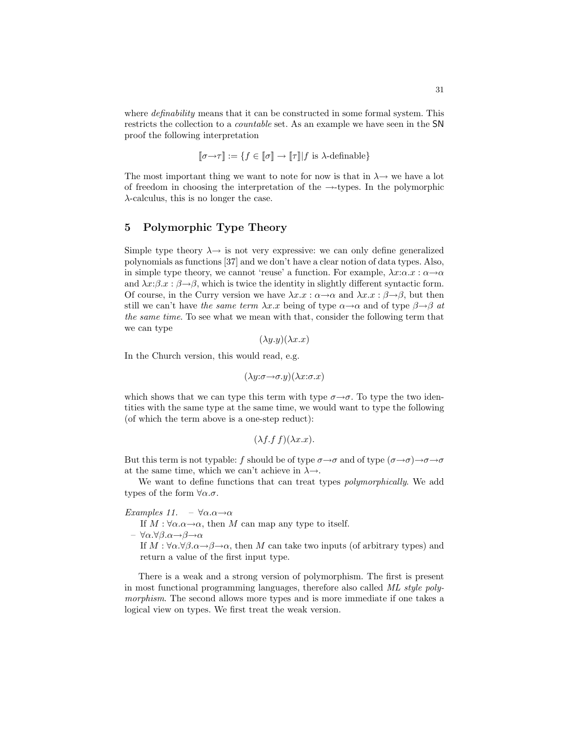where *definability* means that it can be constructed in some formal system. This restricts the collection to a countable set. As an example we have seen in the SN proof the following interpretation

$$
\llbracket \sigma{\to}\tau\rrbracket:=\{f\in\llbracket\sigma\rrbracket\to\llbracket\tau\rrbracket|f\text{ is }\lambda\text{-definable}\}
$$

The most important thing we want to note for now is that in  $\lambda \rightarrow$  we have a lot of freedom in choosing the interpretation of the →-types. In the polymorphic  $\lambda$ -calculus, this is no longer the case.

## 5 Polymorphic Type Theory

Simple type theory  $\lambda \rightarrow$  is not very expressive: we can only define generalized polynomials as functions [37] and we don't have a clear notion of data types. Also, in simple type theory, we cannot 'reuse' a function. For example,  $\lambda x:\alpha.x:\alpha \rightarrow \alpha$ and  $\lambda x:\beta \rightarrow \beta$ , which is twice the identity in slightly different syntactic form. Of course, in the Curry version we have  $\lambda x.x : \alpha \rightarrow \alpha$  and  $\lambda x.x : \beta \rightarrow \beta$ , but then still we can't have the same term  $\lambda x.x$  being of type  $\alpha \rightarrow \alpha$  and of type  $\beta \rightarrow \beta$  at the same time. To see what we mean with that, consider the following term that we can type

$$
(\lambda y.y)(\lambda x.x)
$$

In the Church version, this would read, e.g.

 $(\lambda y:\sigma \rightarrow \sigma.y)(\lambda x:\sigma.x)$ 

which shows that we can type this term with type  $\sigma \rightarrow \sigma$ . To type the two identities with the same type at the same time, we would want to type the following (of which the term above is a one-step reduct):

$$
(\lambda f.f f)(\lambda x.x).
$$

But this term is not typable: f should be of type  $\sigma \rightarrow \sigma$  and of type  $(\sigma \rightarrow \sigma) \rightarrow \sigma \rightarrow \sigma$ at the same time, which we can't achieve in  $\lambda \rightarrow$ .

We want to define functions that can treat types polymorphically. We add types of the form  $\forall \alpha.\sigma$ .

Examples 11. –  $\forall \alpha.\alpha \rightarrow \alpha$ 

If  $M : \forall \alpha \ldotp \alpha \rightarrow \alpha$ , then M can map any type to itself.

- ∀α.∀β.α→β→α
	- If  $M : \forall \alpha. \forall \beta. \alpha \rightarrow \beta \rightarrow \alpha$ , then M can take two inputs (of arbitrary types) and return a value of the first input type.

There is a weak and a strong version of polymorphism. The first is present in most functional programming languages, therefore also called ML style polymorphism. The second allows more types and is more immediate if one takes a logical view on types. We first treat the weak version.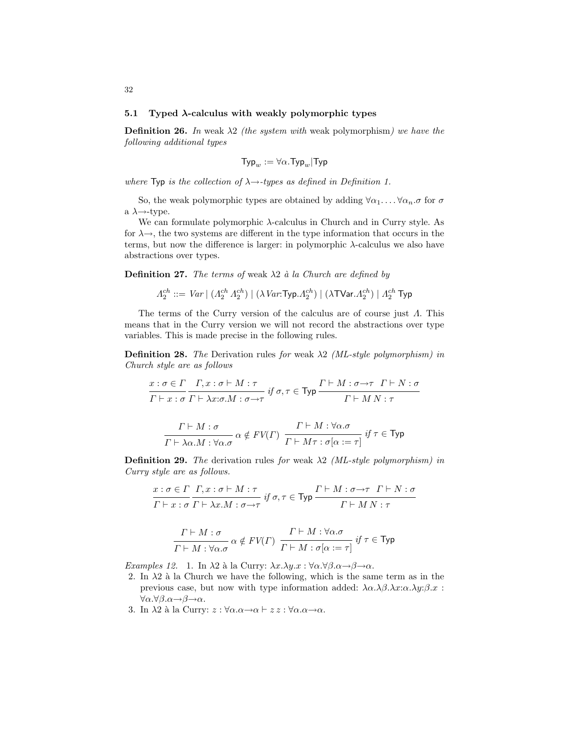### 5.1 Typed  $\lambda$ -calculus with weakly polymorphic types

**Definition 26.** In weak  $\lambda$ 2 (the system with weak polymorphism) we have the following additional types

$$
\mathsf{Typ}_w := \forall \alpha.\mathsf{Typ}_w | \mathsf{Typ}
$$

where Typ is the collection of  $\lambda \rightarrow$ -types as defined in Definition 1.

So, the weak polymorphic types are obtained by adding  $\forall \alpha_1, \ldots, \forall \alpha_n$  for  $\sigma$ a  $\lambda \rightarrow$ -type.

We can formulate polymorphic  $\lambda$ -calculus in Church and in Curry style. As for  $\lambda \rightarrow$ , the two systems are different in the type information that occurs in the terms, but now the difference is larger: in polymorphic  $\lambda$ -calculus we also have abstractions over types.

**Definition 27.** The terms of weak  $\lambda$ 2 à la Church are defined by

$$
\varLambda_2^{ch}::=\mathit{Var}\mid (\varLambda_2^{ch}\varLambda_2^{ch})\mid (\lambda\mathit{Var}.\mathsf{Typ}.\varLambda_2^{ch})\mid (\lambda\mathsf{TVar}.\varLambda_2^{ch})\mid \varLambda_2^{ch}\mathsf{Typ}
$$

The terms of the Curry version of the calculus are of course just Λ. This means that in the Curry version we will not record the abstractions over type variables. This is made precise in the following rules.

**Definition 28.** The Derivation rules for weak  $\lambda$ 2 (ML-style polymorphism) in Church style are as follows

$$
\frac{x:\sigma\in\varGamma}{\varGamma\vdash x:\sigma}\frac{\varGamma,x:\sigma\vdash M:\tau}{\varGamma\vdash\lambda x:\sigma.M:\sigma\to\tau}\text{ if }\sigma,\tau\in\mathsf{Typ}\frac{\varGamma\vdash M:\sigma\to\tau\;\varGamma\vdash N:\sigma}{\varGamma\vdash M\,N:\tau}
$$

$$
\frac{\Gamma \vdash M : \sigma}{\Gamma \vdash \lambda \alpha.M : \forall \alpha.\sigma} \alpha \notin FV(\Gamma) \frac{\Gamma \vdash M : \forall \alpha.\sigma}{\Gamma \vdash M\tau : \sigma[\alpha := \tau]} \text{ if } \tau \in \text{Typ}
$$

**Definition 29.** The derivation rules for weak  $\lambda$ 2 (ML-style polymorphism) in Curry style are as follows.

$$
\frac{x:\sigma\in\Gamma}{\Gamma\vdash x:\sigma}\frac{\Gamma,x:\sigma\vdash M:\tau}{\Gamma\vdash\lambda x.M:\sigma\to\tau}\text{ if }\sigma,\tau\in\mathsf{Typ}\frac{\Gamma\vdash M:\sigma\to\tau\quad\Gamma\vdash N:\sigma}{\Gamma\vdash M\,N:\tau}
$$

$$
\frac{\varGamma \vdash M : \sigma}{\varGamma \vdash M : \forall \alpha.\sigma} \alpha \notin FV(\varGamma) \xrightarrow{\varGamma \vdash M : \forall \alpha.\sigma}{\varGamma \vdash M : \sigma[\alpha := \tau]} if \tau \in \mathrm{Typ}
$$

Examples 12. 1. In  $\lambda$ 2 à la Curry:  $\lambda x.\lambda y.x : \forall \alpha.\forall \beta.\alpha \rightarrow \beta \rightarrow \alpha$ .

- 2. In  $\lambda$ 2 à la Church we have the following, which is the same term as in the previous case, but now with type information added:  $\lambda \alpha . \lambda \beta . \lambda x : \alpha . \lambda y : \beta . x :$  $\forall \alpha \cdot \forall \beta \cdot \alpha \rightarrow \beta \rightarrow \alpha$ .
- 3. In  $\lambda$ 2 à la Curry:  $z : \forall \alpha . \alpha \rightarrow \alpha \vdash z z : \forall \alpha . \alpha \rightarrow \alpha$ .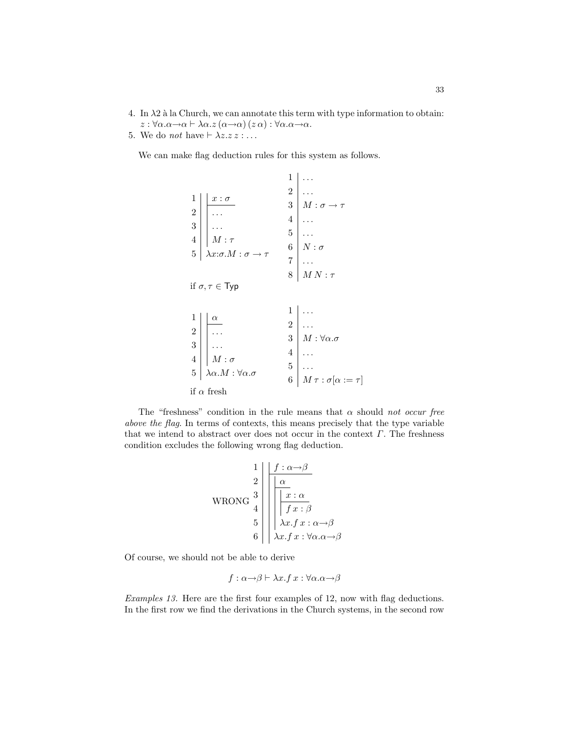- 4. In  $\lambda$ 2 à la Church, we can annotate this term with type information to obtain:  $z : \forall \alpha . \alpha \rightarrow \alpha \vdash \lambda \alpha . z \, (\alpha \rightarrow \alpha) \, (z \, \alpha) : \forall \alpha . \alpha \rightarrow \alpha.$
- 5. We do *not* have  $\vdash \lambda z.z z : \dots$

We can make flag deduction rules for this system as follows.

```
1 \mid x : \sigma2 \mid \cdot \dots3 \mid \cdot \dots4 \mid M : \tau5\,|\,\, \lambda x{:}\sigma.M : \sigma \to \tau1 \mid \ldots2 \mid \dots3 \mid M : \sigma \rightarrow \tau4 \mid \dots5 \mid \ldots6 \mid N : \sigma7 \mid \ldots\mid M N : \tauif \sigma, \tau \in \mathsf{Typ}1 \mid \alpha2 \mid \cdot \dots3 \mid \cdot \dots4 \mid M : \sigma5\mid \lambda\alpha.M:\forall \alpha.\sigma1 \mid \ldots2 \mid \dots3 \mid M : \forall \alpha.\sigma4 \mid \dots5 \mid \ldots6 \mid M\,\tau : \sigma\mathbb{I}\alpha := \tau\mathbb{I}if \alpha fresh
```
The "freshness" condition in the rule means that  $\alpha$  should not occur free above the flag. In terms of contexts, this means precisely that the type variable that we intend to abstract over does not occur in the context  $\Gamma$ . The freshness condition excludes the following wrong flag deduction.

$$
\text{WRONG} \begin{array}{c} 1 \\ 2 \\ 3 \\ 4 \\ 5 \\ 6 \end{array} \begin{array}{c} \begin{array}{c} f:\alpha \rightarrow \beta \\ \hline \alpha \\ \hline x:\alpha \\ \hline f x:\beta \\ \lambda x.f \ x:\alpha \rightarrow \beta \\ \lambda x.f \ x:\forall \alpha.\alpha \rightarrow \beta \end{array} \end{array}
$$

Of course, we should not be able to derive

$$
f: \alpha \rightarrow \beta \vdash \lambda x.f \, x : \forall \alpha . \alpha \rightarrow \beta
$$

Examples 13. Here are the first four examples of 12, now with flag deductions. In the first row we find the derivations in the Church systems, in the second row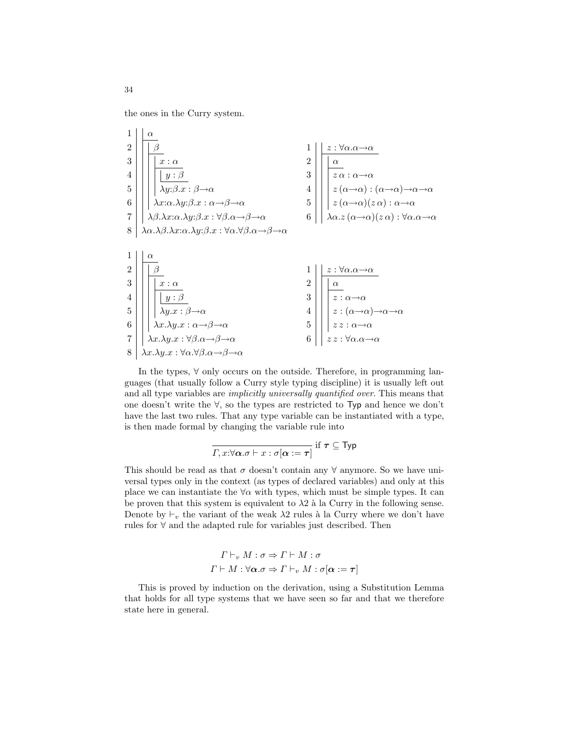the ones in the Curry system.



In the types, ∀ only occurs on the outside. Therefore, in programming languages (that usually follow a Curry style typing discipline) it is usually left out and all type variables are implicitly universally quantified over. This means that one doesn't write the  $\forall$ , so the types are restricted to Typ and hence we don't have the last two rules. That any type variable can be instantiated with a type, is then made formal by changing the variable rule into

$$
\overline{\Gamma, x:\forall \alpha.\sigma \vdash x:\sigma[\alpha:=\boldsymbol{\tau}]} \text{ if } \boldsymbol{\tau} \subseteq \text{Typ}
$$

This should be read as that  $\sigma$  doesn't contain any  $\forall$  anymore. So we have universal types only in the context (as types of declared variables) and only at this place we can instantiate the  $\forall \alpha$  with types, which must be simple types. It can be proven that this system is equivalent to  $\lambda$ 2 à la Curry in the following sense. Denote by  $\vdash_v$  the variant of the weak  $\lambda$ 2 rules à la Curry where we don't have rules for ∀ and the adapted rule for variables just described. Then

$$
\Gamma \vdash_v M : \sigma \Rightarrow \Gamma \vdash M : \sigma
$$

$$
\Gamma \vdash M : \forall \alpha . \sigma \Rightarrow \Gamma \vdash_v M : \sigma[\alpha := \tau]
$$

This is proved by induction on the derivation, using a Substitution Lemma that holds for all type systems that we have seen so far and that we therefore state here in general.

34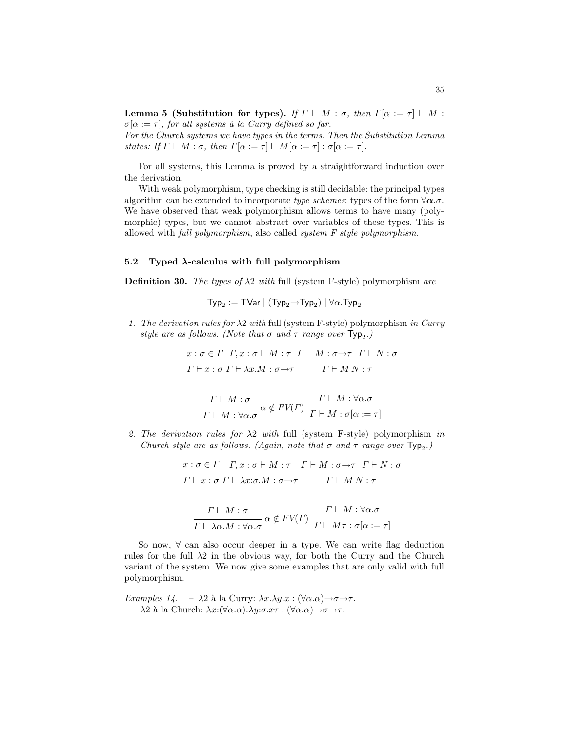Lemma 5 (Substitution for types). If  $\Gamma \vdash M : \sigma$ , then  $\Gamma[\alpha := \tau] \vdash M :$  $\sigma[\alpha := \tau]$ , for all systems à la Curry defined so far.

For the Church systems we have types in the terms. Then the Substitution Lemma states: If  $\Gamma \vdash M : \sigma$ , then  $\Gamma[\alpha := \tau] \vdash M[\alpha := \tau] : \sigma[\alpha := \tau]$ .

For all systems, this Lemma is proved by a straightforward induction over the derivation.

With weak polymorphism, type checking is still decidable: the principal types algorithm can be extended to incorporate type schemes: types of the form  $\forall \alpha.\sigma$ . We have observed that weak polymorphism allows terms to have many (polymorphic) types, but we cannot abstract over variables of these types. This is allowed with full polymorphism, also called system F style polymorphism.

### 5.2 Typed  $\lambda$ -calculus with full polymorphism

**Definition 30.** The types of  $\lambda$ 2 with full (system F-style) polymorphism are

$$
\mathsf{Typ}_2 := \mathsf{TVar} \mathop{\mid} (\mathsf{Typ}_2 \mathbin{\rightarrow} \mathsf{Typ}_2) \mathop{\mid} \forall \alpha . \mathsf{Typ}_2
$$

1. The derivation rules for  $\lambda 2$  with full (system F-style) polymorphism in Curry style are as follows. (Note that  $\sigma$  and  $\tau$  range over  $\text{Typ}_2$ .)

$$
\frac{x:\sigma\in\Gamma}{\Gamma\vdash x:\sigma}\frac{\Gamma,x:\sigma\vdash M:\tau}{\Gamma\vdash\lambda x.M:\sigma\to\tau}\frac{\Gamma\vdash M:\sigma\to\tau\quad\Gamma\vdash N:\sigma}{\Gamma\vdash M\,N:\tau}
$$

$$
\frac{\Gamma \vdash M : \sigma}{\Gamma \vdash M : \forall \alpha.\sigma} \alpha \notin FV(\Gamma) \frac{\Gamma \vdash M : \forall \alpha.\sigma}{\Gamma \vdash M : \sigma[\alpha := \tau]}
$$

2. The derivation rules for  $\lambda$ 2 with full (system F-style) polymorphism in Church style are as follows. (Again, note that  $\sigma$  and  $\tau$  range over  $\text{Typ}_2$ .)

$$
x : \sigma \in \Gamma \quad T, x : \sigma \vdash M : \tau \quad \Gamma \vdash M : \sigma \rightarrow \tau \quad \Gamma \vdash N : \sigma
$$
  

$$
\Gamma \vdash x : \sigma \quad \Gamma \vdash \lambda x : \sigma \ldots M : \sigma \rightarrow \tau \quad \Gamma \vdash M \, N : \tau
$$
  

$$
\Gamma \vdash M : \sigma \qquad \qquad \Gamma \vdash M : \forall \alpha . \sigma
$$

$$
\overline{\Gamma \vdash \lambda \alpha.M : \forall \alpha.\sigma} \alpha \notin FV(\Gamma) \quad \overline{\Gamma \vdash M\tau : \sigma[\alpha := \tau]}
$$

So now,  $\forall$  can also occur deeper in a type. We can write flag deduction rules for the full  $\lambda$ 2 in the obvious way, for both the Curry and the Church variant of the system. We now give some examples that are only valid with full polymorphism.

Examples 14. –  $\lambda$ 2 à la Curry:  $\lambda x.\lambda y.x : (\forall \alpha.\alpha) \rightarrow \sigma \rightarrow \tau$ . – λ2 `a la Church: λx:(∀α.α).λy:σ.xτ : (∀α.α)→σ→τ .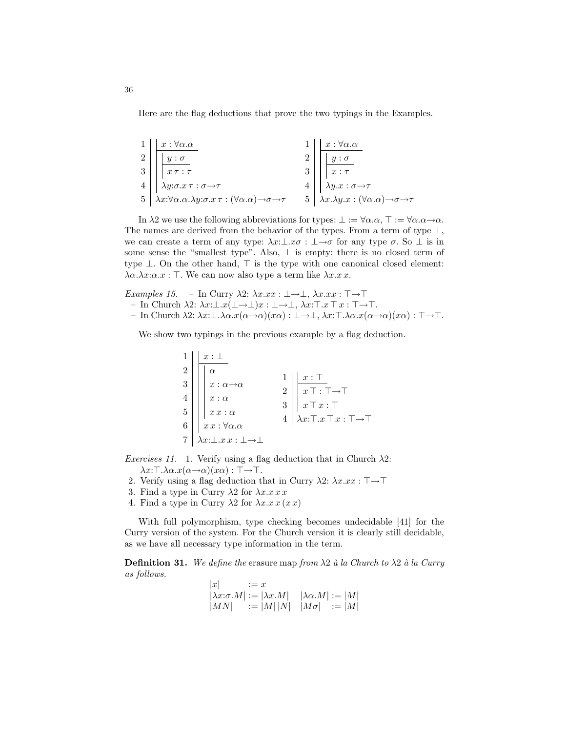Here are the flag deductions that prove the two typings in the Examples.

|                | $1 \mid x : \forall \alpha \ldotp \alpha$                                                                                   | $1 \mid x : \forall \alpha \ldotp \alpha$                                                       |
|----------------|-----------------------------------------------------------------------------------------------------------------------------|-------------------------------------------------------------------------------------------------|
| 2              | $y:\sigma$                                                                                                                  | $y : \sigma$                                                                                    |
| 3 <sup>1</sup> | $x \, \tau : \tau$                                                                                                          | $\vert x : \tau \vert$                                                                          |
|                | $\lambda y:\!\sigma.x\,\tau:\sigma{\rightarrow}\tau$                                                                        | $\lambda y.x : \sigma \rightarrow \tau$                                                         |
|                | 5   $\lambda x:\forall \alpha.\alpha.\lambda y:\sigma.x \tau : (\forall \alpha.\alpha) \rightarrow \sigma \rightarrow \tau$ | $5 \mid \lambda x. \lambda y. x : (\forall \alpha. \alpha) \rightarrow \sigma \rightarrow \tau$ |

In  $\lambda$ 2 we use the following abbreviations for types:  $\bot := \forall \alpha \ldots \alpha \vdash \exists \alpha \ldots \alpha \rightarrow \alpha$ . The names are derived from the behavior of the types. From a term of type  $\perp$ , we can create a term of any type:  $\lambda x:\bot.x\sigma:\bot\rightarrow\sigma$  for any type  $\sigma$ . So  $\bot$  is in some sense the "smallest type". Also,  $\perp$  is empty: there is no closed term of type  $\perp$ . On the other hand,  $\top$  is the type with one canonical closed element:  $\lambda \alpha \cdot \lambda x \cdot \alpha \cdot x$ : T. We can now also type a term like  $\lambda x \cdot x \cdot x$ .

Examples 15. – In Curry  $\lambda 2$ :  $\lambda x . x x : \bot \rightarrow \bot, \lambda x . x x : \top \rightarrow \top$ 

- In Church  $λ2$ :  $λx$ : ⊥. $x(⊥→⊥)x$  : ⊥→⊥,  $λx$ : ⊤. $x ⊤ x$  : ⊤→⊤.
- In Church  $λ2$ :  $λx$ :⊥. $λα.x(α→α)(xa)$ : ⊥→⊥,  $λx$ : Τ. $λα.x(α→α)(xa)$ : Τ→Τ.

We show two typings in the previous example by a flag deduction.

$$
\begin{array}{c|c|c} 1 & x:\bot \\ 2 & \overline{\smash{\big)}\ x:\alpha} \\ 3 & x:\alpha \\ 4 & x:\alpha \\ 5 & x:\alpha \\ 6 & x:\bot \ldots x \end{array} \qquad \qquad \begin{array}{c} 1 & x:\top \\ 2 & \overline{x:\top} \to \top \\ 3 & x:\top \ldots \top \\ 4 & \lambda x:\top \ldots x \end{array}
$$

Exercises 11. 1. Verify using a flag deduction that in Church  $\lambda$ 2:  $\lambda x: \top . \lambda \alpha . x(\alpha \rightarrow \alpha)(x\alpha) : \top \rightarrow \top.$ 

- 2. Verify using a flag deduction that in Curry  $\lambda 2$ :  $\lambda x . x x : \top \rightarrow \top$
- 3. Find a type in Curry  $\lambda 2$  for  $\lambda x . x x x$
- 4. Find a type in Curry  $\lambda 2$  for  $\lambda x . x x (x x)$

With full polymorphism, type checking becomes undecidable [41] for the Curry version of the system. For the Church version it is clearly still decidable, as we have all necessary type information in the term.

**Definition 31.** We define the erasure map from  $\lambda$ 2 à la Church to  $\lambda$ 2 à la Curry as follows.

$$
|x| := x
$$
  
\n
$$
|\lambda x:\sigma.M| := |\lambda x.M| \quad |\lambda \alpha.M| := |M|
$$
  
\n
$$
|MN| := |M||N| \quad |M\sigma| := |M|
$$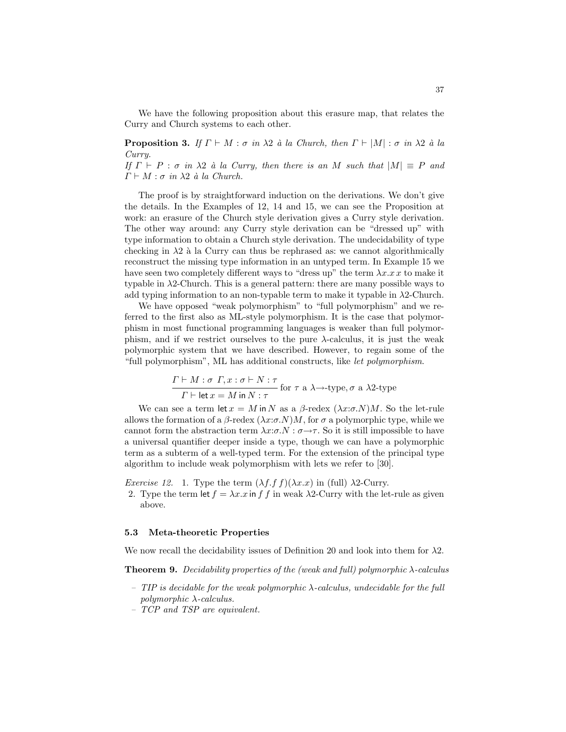We have the following proposition about this erasure map, that relates the Curry and Church systems to each other.

**Proposition 3.** If  $\Gamma \vdash M : \sigma$  in  $\lambda 2$  à la Church, then  $\Gamma \vdash |M| : \sigma$  in  $\lambda 2$  à la Curry.

If  $\Gamma \vdash P : \sigma$  in  $\lambda 2$  à la Curry, then there is an M such that  $|M| \equiv P$  and  $\Gamma \vdash M : \sigma \text{ in } \lambda 2 \text{ à la Church.}$ 

The proof is by straightforward induction on the derivations. We don't give the details. In the Examples of 12, 14 and 15, we can see the Proposition at work: an erasure of the Church style derivation gives a Curry style derivation. The other way around: any Curry style derivation can be "dressed up" with type information to obtain a Church style derivation. The undecidability of type checking in  $\lambda$ 2 à la Curry can thus be rephrased as: we cannot algorithmically reconstruct the missing type information in an untyped term. In Example 15 we have seen two completely different ways to "dress up" the term  $\lambda x.x$  to make it typable in  $\lambda$ 2-Church. This is a general pattern: there are many possible ways to add typing information to an non-typable term to make it typable in λ2-Church.

We have opposed "weak polymorphism" to "full polymorphism" and we referred to the first also as ML-style polymorphism. It is the case that polymorphism in most functional programming languages is weaker than full polymorphism, and if we restrict ourselves to the pure  $\lambda$ -calculus, it is just the weak polymorphic system that we have described. However, to regain some of the "full polymorphism", ML has additional constructs, like let polymorphism.

$$
\frac{\varGamma\vdash M:\sigma\varGamma,x:\sigma\vdash N:\tau}{\varGamma\vdash \mathsf{let}\,x=M\mathbin{\mathsf{in}}\,N:\tau}\ \text{for}\ \tau\ \text{a}\ \lambda{\to}\text{-type}, \sigma\ \text{a}\ \lambda2\text{-type}
$$

We can see a term let  $x = M$  in N as a  $\beta$ -redex  $(\lambda x:\sigma.N)M$ . So the let-rule allows the formation of a  $\beta$ -redex  $(\lambda x:\sigma.N)M$ , for  $\sigma$  a polymorphic type, while we cannot form the abstraction term  $\lambda x:\sigma N:\sigma\to\tau$ . So it is still impossible to have a universal quantifier deeper inside a type, though we can have a polymorphic term as a subterm of a well-typed term. For the extension of the principal type algorithm to include weak polymorphism with lets we refer to [30].

*Exercise 12.* 1. Type the term  $(\lambda f.f)(\lambda x.x)$  in (full)  $\lambda$ 2-Curry.

2. Type the term let  $f = \lambda x.x$  in f f in weak  $\lambda$ 2-Curry with the let-rule as given above.

#### 5.3 Meta-theoretic Properties

We now recall the decidability issues of Definition 20 and look into them for  $\lambda$ 2.

**Theorem 9.** Decidability properties of the (weak and full) polymorphic  $\lambda$ -calculus

- TIP is decidable for the weak polymorphic  $\lambda$ -calculus, undecidable for the full polymorphic λ-calculus.
- TCP and TSP are equivalent.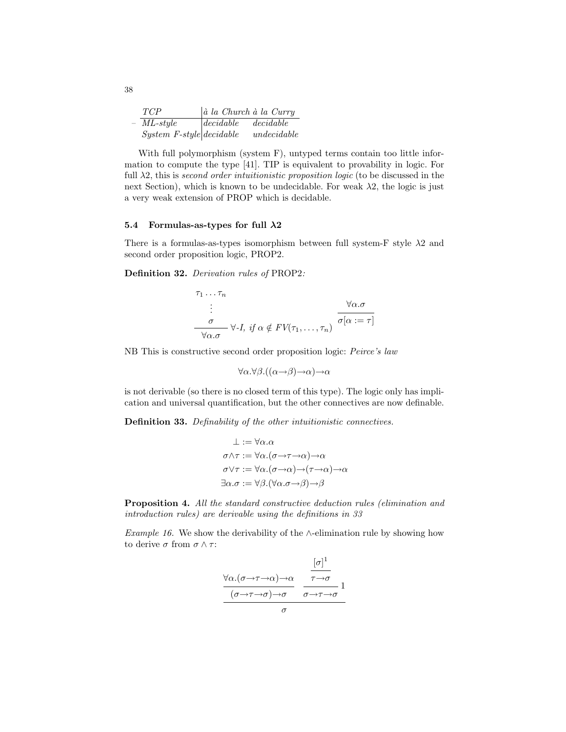| <b>TCP</b>                   | $\alpha$ la Church à la Curry |             |
|------------------------------|-------------------------------|-------------|
| $ML$ -style                  | decidable                     | decidable   |
| $System$ F-style $decidable$ |                               | undecidable |

With full polymorphism (system F), untyped terms contain too little information to compute the type [41]. TIP is equivalent to provability in logic. For full  $\lambda$ 2, this is second order intuitionistic proposition logic (to be discussed in the next Section), which is known to be undecidable. For weak  $\lambda$ 2, the logic is just a very weak extension of PROP which is decidable.

### 5.4 Formulas-as-types for full  $\lambda$ 2

There is a formulas-as-types isomorphism between full system-F style  $\lambda$ 2 and second order proposition logic, PROP2.

Definition 32. Derivation rules of PROP2:

$$
\tau_1 \dots \tau_n
$$
\n
$$
\vdots
$$
\n
$$
\sigma
$$
\n
$$
\forall \alpha.\sigma
$$
\n
$$
\forall \alpha.\sigma
$$
\n
$$
\forall \alpha.\sigma
$$
\n
$$
\forall \alpha.\sigma
$$
\n
$$
\forall \alpha.\sigma
$$

NB This is constructive second order proposition logic: Peirce's law

$$
\forall \alpha. \forall \beta. ((\alpha \rightarrow \beta) \rightarrow \alpha) \rightarrow \alpha
$$

is not derivable (so there is no closed term of this type). The logic only has implication and universal quantification, but the other connectives are now definable.

Definition 33. Definability of the other intuitionistic connectives.

$$
\bot := \forall \alpha.\alpha
$$
  
\n
$$
\sigma \land \tau := \forall \alpha.(\sigma \to \tau \to \alpha) \to \alpha
$$
  
\n
$$
\sigma \lor \tau := \forall \alpha.(\sigma \to \alpha) \to (\tau \to \alpha) \to \alpha
$$
  
\n
$$
\exists \alpha. \sigma := \forall \beta.(\forall \alpha. \sigma \to \beta) \to \beta
$$

Proposition 4. All the standard constructive deduction rules (elimination and introduction rules) are derivable using the definitions in 33

Example 16. We show the derivability of the ∧-elimination rule by showing how to derive  $\sigma$  from  $\sigma \wedge \tau$ :

$$
\frac{\forall \alpha.(\sigma \to \tau \to \alpha) \to \alpha}{(\sigma \to \tau \to \sigma) \to \sigma} \frac{\left[\sigma\right]^1}{\sigma \to \tau \to \sigma} 1
$$

38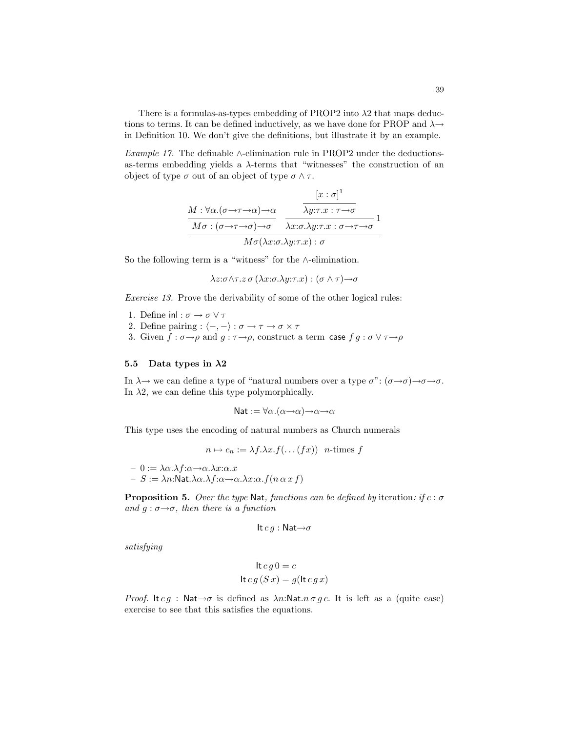There is a formulas-as-types embedding of PROP2 into  $\lambda$ 2 that maps deductions to terms. It can be defined inductively, as we have done for PROP and  $\lambda \rightarrow$ in Definition 10. We don't give the definitions, but illustrate it by an example.

Example 17. The definable  $\wedge$ -elimination rule in PROP2 under the deductionsas-terms embedding yields a  $\lambda$ -terms that "witnesses" the construction of an object of type  $\sigma$  out of an object of type  $\sigma \wedge \tau$ .

$$
\frac{M : \forall \alpha.(\sigma \to \tau \to \alpha) \to \alpha}{M\sigma : (\sigma \to \tau \to \sigma) \to \sigma} \frac{\overline{\lambda y : \tau . x : \tau \to \sigma}}{\lambda x : \sigma . \lambda y : \tau . x : \sigma \to \tau \to \sigma} \frac{1}{M\sigma(\lambda x : \sigma . \lambda y : \tau . x : \sigma \to \tau \to \sigma)}
$$

So the following term is a "witness" for the ∧-elimination.

 $\lambda z:\sigma \wedge \tau.z \sigma (\lambda x:\sigma.\lambda y:\tau.x): (\sigma \wedge \tau) \rightarrow \sigma$ 

Exercise 13. Prove the derivability of some of the other logical rules:

- 1. Define inl :  $\sigma \rightarrow \sigma \vee \tau$
- 2. Define pairing :  $\langle -, \rangle : \sigma \to \tau \to \sigma \times \tau$
- 3. Given  $f : \sigma \rightarrow \rho$  and  $g : \tau \rightarrow \rho$ , construct a term case  $f g : \sigma \vee \tau \rightarrow \rho$

## 5.5 Data types in  $\lambda$ 2

In  $\lambda \rightarrow$  we can define a type of "natural numbers over a type  $\sigma$ ":  $(\sigma \rightarrow \sigma) \rightarrow \sigma \rightarrow \sigma$ . In  $\lambda$ 2, we can define this type polymorphically.

$$
\mathsf{Nat} := \forall \alpha. (\alpha \rightarrow \alpha) \rightarrow \alpha \rightarrow \alpha
$$

This type uses the encoding of natural numbers as Church numerals

$$
n \mapsto c_n := \lambda f. \lambda x. f( \dots (fx)) \quad n \text{-times } f
$$

– 0 := λα.λf:α→α.λx:α.x – S := λn:Nat.λα.λf:α→α.λx:α.f(n α x f)

**Proposition 5.** Over the type Nat, functions can be defined by iteration: if  $c : \sigma$ and  $g: \sigma \rightarrow \sigma$ , then there is a function

$$
\mathsf{lt}\, cg : \mathsf{Nat}{\rightarrow}\sigma
$$

satisfying

$$
\operatorname{lt} cg0 = c
$$
  

$$
\operatorname{lt} cg(Sx) = g(\operatorname{lt} cgx)
$$

*Proof.* It cg : Nat $\rightarrow \sigma$  is defined as  $\lambda n:\mathbb{N}$ at. $n \sigma g c$ . It is left as a (quite ease) exercise to see that this satisfies the equations.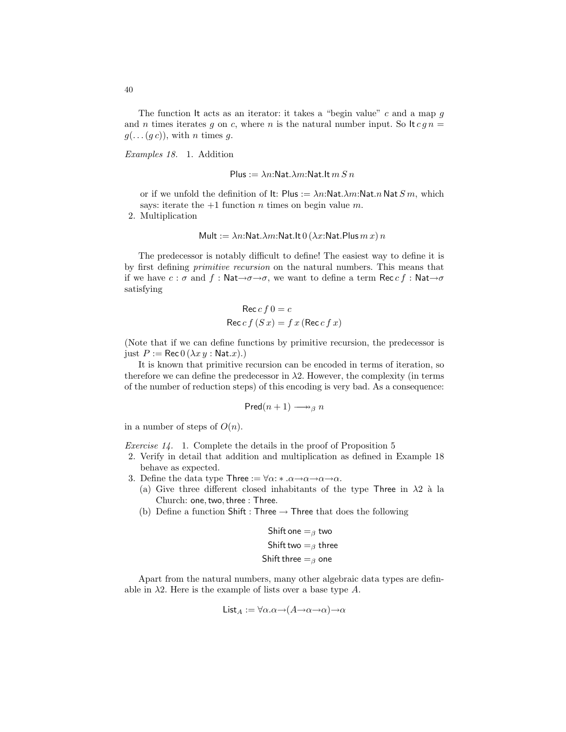Examples 18. 1. Addition

Plus := 
$$
\lambda n
$$
:Nat. $\lambda m$ :Nat. $\lambda m$ 

or if we unfold the definition of It: Plus :=  $\lambda n:$ Nat. $\lambda m:$ Nat. $n$  Nat  $S m$ , which says: iterate the  $+1$  function *n* times on begin value *m*.

2. Multiplication

Mult := 
$$
\lambda n
$$
:Nat. $\lambda m$ :Nat.It 0 ( $\lambda x$ :Nat.Plus  $m x$ ) n

The predecessor is notably difficult to define! The easiest way to define it is by first defining primitive recursion on the natural numbers. This means that if we have  $c : \sigma$  and f: Nat $\rightarrow \sigma \rightarrow \sigma$ , we want to define a term Rec  $cf : \text{Nat} \rightarrow \sigma$ satisfying

$$
Rec c f 0 = c
$$
  

$$
Rec c f (S x) = f x (Rec c f x)
$$

(Note that if we can define functions by primitive recursion, the predecessor is just  $P := \text{Rec } 0 (\lambda x y : \text{Nat}.x)$ .

It is known that primitive recursion can be encoded in terms of iteration, so therefore we can define the predecessor in  $\lambda$ 2. However, the complexity (in terms of the number of reduction steps) of this encoding is very bad. As a consequence:

$$
Pred(n + 1) \longrightarrow_{\beta} n
$$

in a number of steps of  $O(n)$ .

Exercise 14. 1. Complete the details in the proof of Proposition 5

- 2. Verify in detail that addition and multiplication as defined in Example 18 behave as expected.
- 3. Define the data type Three :=  $\forall \alpha$ : \* . $\alpha \rightarrow \alpha \rightarrow \alpha \rightarrow \alpha$ .
	- (a) Give three different closed inhabitants of the type Three in  $\lambda$ 2 à la Church: one, two, three : Three.
	- (b) Define a function Shift : Three  $\rightarrow$  Three that does the following

Shift one = 
$$
\beta
$$
 two  
\nShift two =  $\beta$  three  
\nShift three =  $\beta$  one

Apart from the natural numbers, many other algebraic data types are definable in  $\lambda$ 2. Here is the example of lists over a base type A.

$$
\mathsf{List}_A := \forall \alpha . \alpha \rightarrow (A \rightarrow \alpha \rightarrow \alpha) \rightarrow \alpha
$$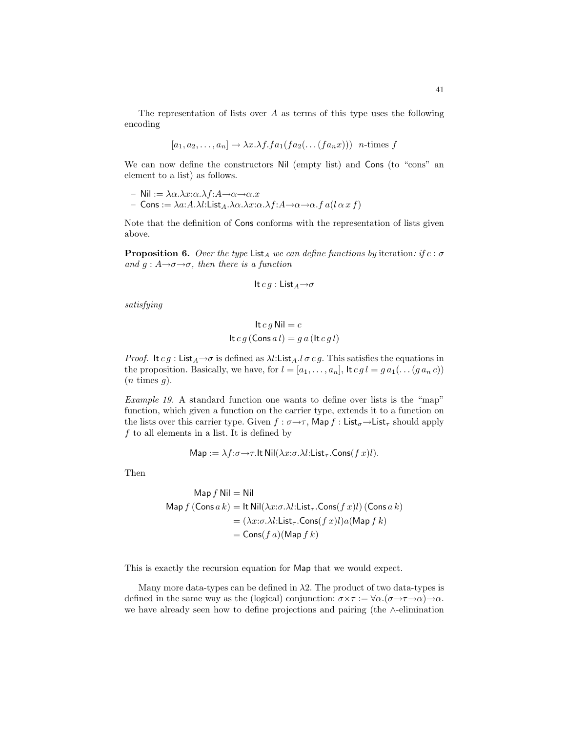The representation of lists over  $A$  as terms of this type uses the following encoding

$$
[a_1, a_2,..., a_n] \mapsto \lambda x. \lambda f. f a_1(f a_2(...(f a_n x))) \ \ n \text{-times } f
$$

We can now define the constructors Nil (empty list) and Cons (to "cons" an element to a list) as follows.

$$
- Nil := \lambda \alpha . \lambda x : \alpha . \lambda f : A \to \alpha \to \alpha . x
$$
  
- Cons := \lambda a : A . \lambda l : List\_A . \lambda \alpha . \lambda x : \alpha . \lambda f : A \to \alpha \to \alpha . f \ a (l \alpha x f)

Note that the definition of Cons conforms with the representation of lists given above.

**Proposition 6.** Over the type List<sub>A</sub> we can define functions by iteration: if  $c : \sigma$ and  $g : A \rightarrow \sigma \rightarrow \sigma$ , then there is a function

$$
\mathsf{lt}\, cg:\mathsf{List}_A{\rightarrow}\sigma
$$

satisfying

$$
\text{lt } cg \text{ Nil} = c
$$
  

$$
\text{lt } cg (\text{Cons } a l) = ga (\text{lt } cg l)
$$

*Proof.* It  $cg:$  List  $_A \rightarrow \sigma$  is defined as  $\lambda l$ : List  $_A.l \sigma c g$ . This satisfies the equations in the proposition. Basically, we have, for  $l = [a_1, \ldots, a_n]$ ,  $\text{lt } cg \, l = ga_1(\ldots (ga_n c))$  $(n \times g)$ .

Example 19. A standard function one wants to define over lists is the "map" function, which given a function on the carrier type, extends it to a function on the lists over this carrier type. Given  $f : \sigma \rightarrow \tau$ , Map f: List<sub> $\sigma$ </sub> $\rightarrow$ List<sub> $\tau$ </sub> should apply  $f$  to all elements in a list. It is defined by

$$
\mathsf{Map} := \lambda f \mathpunct{:}\! \sigma \rightarrow \tau.\mathsf{lt}\, \mathsf{Nil}(\lambda x \mathpunct{:}\! \sigma.\lambda l \mathpunct{:}\! \mathsf{List}_{\tau}.\mathsf{Cons}(f\,x)l).
$$

Then

Map f Nil = Nil  
\nMap 
$$
f
$$
 (Cons  $a k$ ) = It Nil( $\lambda x:\sigma.\lambda l:\text{List}_{\tau}.\text{Cons}(f\ x)l$ ) (Cons  $a k$ )  
\n= ( $\lambda x:\sigma.\lambda l:\text{List}_{\tau}.\text{Cons}(f\ x)l$ ) $a$ (Map  $f k$ )  
\n= Cons $(f\ a)$ (Map  $f k$ )

This is exactly the recursion equation for Map that we would expect.

Many more data-types can be defined in  $\lambda$ 2. The product of two data-types is defined in the same way as the (logical) conjunction:  $\sigma \times \tau := \forall \alpha . (\sigma \rightarrow \tau \rightarrow \alpha) \rightarrow \alpha$ . we have already seen how to define projections and pairing (the ∧-elimination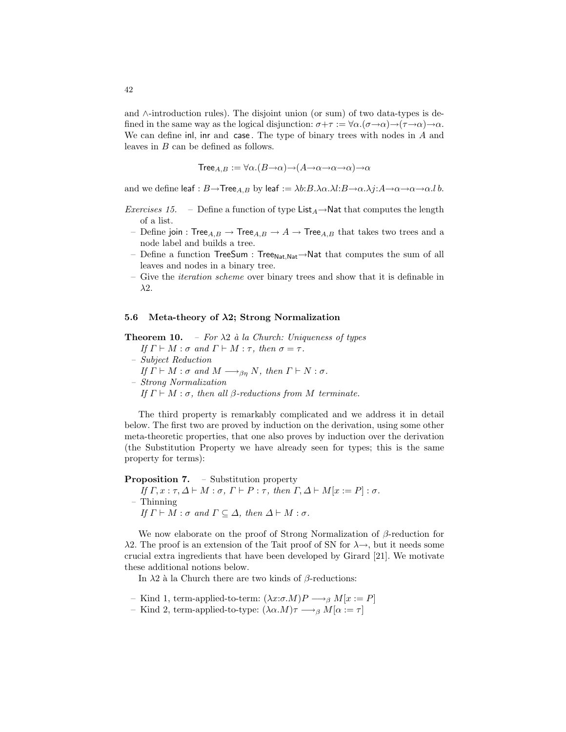and ∧-introduction rules). The disjoint union (or sum) of two data-types is defined in the same way as the logical disjunction:  $\sigma+\tau := \forall \alpha.(\sigma \rightarrow \alpha) \rightarrow (\tau \rightarrow \alpha) \rightarrow \alpha$ . We can define inl, inr and case. The type of binary trees with nodes in A and leaves in B can be defined as follows.

$$
\mathsf{Tree}_{A,B} := \forall \alpha.(B \rightarrow \alpha) \rightarrow (A \rightarrow \alpha \rightarrow \alpha \rightarrow \alpha) \rightarrow \alpha
$$

and we define leaf :  $B\rightarrow$ Tree<sub>A,B</sub> by leaf :=  $\lambda b:B.\lambda \alpha.\lambda l:B\rightarrow \alpha.\lambda j:A\rightarrow \alpha \rightarrow \alpha.\lambda b.$ 

- Exercises 15. Define a function of type List  $_A \rightarrow$ Nat that computes the length of a list.
- Define join :  $Tree_{A,B} \rightarrow Tree_{A,B} \rightarrow A \rightarrow Tree_{A,B}$  that takes two trees and a node label and builds a tree.
- Define a function TreeSum : TreeNat,Nat→Nat that computes the sum of all leaves and nodes in a binary tree.
- Give the iteration scheme over binary trees and show that it is definable in λ2.

### 5.6 Meta-theory of  $\lambda$ 2; Strong Normalization

**Theorem 10.** – For  $\lambda$ 2 à la Church: Uniqueness of types

- If  $\Gamma \vdash M : \sigma$  and  $\Gamma \vdash M : \tau$ , then  $\sigma = \tau$ .
- Subject Reduction If  $\Gamma \vdash M : \sigma$  and  $M \longrightarrow_{\beta\eta} N$ , then  $\Gamma \vdash N : \sigma$ . – Strong Normalization
	- If  $\Gamma \vdash M : \sigma$ , then all  $\beta$ -reductions from M terminate.

The third property is remarkably complicated and we address it in detail below. The first two are proved by induction on the derivation, using some other meta-theoretic properties, that one also proves by induction over the derivation (the Substitution Property we have already seen for types; this is the same property for terms):

## Proposition 7. – Substitution property

If  $\Gamma, x : \tau, \Delta \vdash M : \sigma, \Gamma \vdash P : \tau$ , then  $\Gamma, \Delta \vdash M[x := P] : \sigma$ . – Thinning If  $\Gamma \vdash M : \sigma$  and  $\Gamma \subseteq \Delta$ , then  $\Delta \vdash M : \sigma$ .

We now elaborate on the proof of Strong Normalization of  $\beta$ -reduction for λ2. The proof is an extension of the Tait proof of SN for λ→, but it needs some crucial extra ingredients that have been developed by Girard [21]. We motivate these additional notions below.

In  $\lambda$ 2 à la Church there are two kinds of  $\beta$ -reductions:

- Kind 1, term-applied-to-term:  $(\lambda x:\sigma.M)P \longrightarrow_{\beta} M[x := P]$
- Kind 2, term-applied-to-type:  $(\lambda \alpha.M)\tau \longrightarrow_{\beta} M[\alpha := \tau]$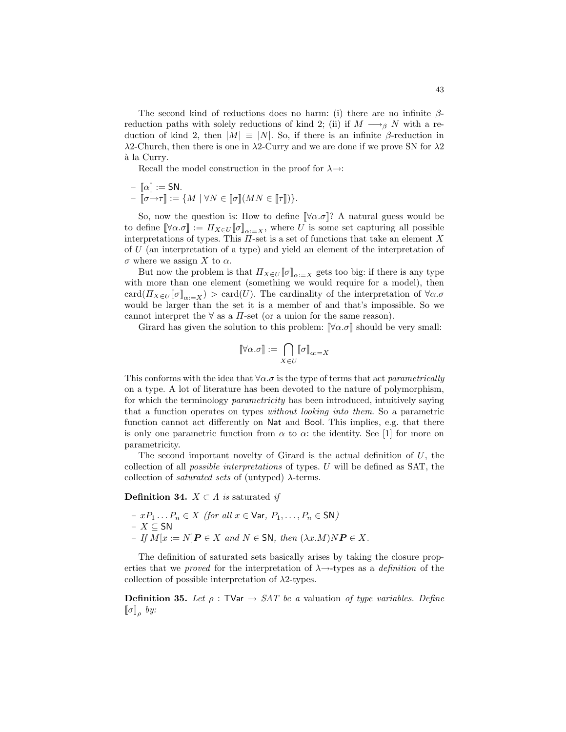The second kind of reductions does no harm: (i) there are no infinite  $\beta$ reduction paths with solely reductions of kind 2; (ii) if  $M \longrightarrow_{\beta} N$  with a reduction of kind 2, then  $|M| \equiv |N|$ . So, if there is an infinite  $\beta$ -reduction in  $\lambda$ 2-Church, then there is one in  $\lambda$ 2-Curry and we are done if we prove SN for  $\lambda$ 2 `a la Curry.

Recall the model construction in the proof for  $\lambda \rightarrow$ :

- $\|\alpha\| :=$  SN.
- $\llbracket \sigma \rightarrow \tau \rrbracket := \{ M \mid \forall N \in \llbracket \sigma \rrbracket (MN \in \llbracket \tau \rrbracket ) \}.$

So, now the question is: How to define  $[\![\forall \alpha.\sigma]\!]$ ? A natural guess would be to define  $[\![\forall \alpha.\sigma]\!] := \prod_{X \in U} [\![\sigma]\!]_{\alpha:=X}$ , where U is some set capturing all possible interpretations of types. This  $\Pi$ -set is a set of functions that take an element X of U (an interpretation of a type) and yield an element of the interpretation of  $\sigma$  where we assign X to  $\alpha$ .

But now the problem is that  $\Pi_{X\in U}[\![\sigma]\!]_{\alpha:=X}$  gets too big: if there is any type with more than one element (something we would require for a model), then card $(\Pi_{X\in U}[\![\sigma]\!]_{\alpha:=X})$  > card(U). The cardinality of the interpretation of  $\forall \alpha.\sigma$ would be larger than the set it is a member of and that's impossible. So we cannot interpret the  $\forall$  as a  $\Pi$ -set (or a union for the same reason).

Girard has given the solution to this problem:  $[\forall \alpha \, \sigma]$  should be very small:

$$
[\![\forall \alpha.\sigma]\!] := \bigcap_{X \in U} [\![\sigma]\!]_{\alpha:=X}
$$

This conforms with the idea that  $\forall \alpha \sigma$  is the type of terms that act parametrically on a type. A lot of literature has been devoted to the nature of polymorphism, for which the terminology parametricity has been introduced, intuitively saying that a function operates on types without looking into them. So a parametric function cannot act differently on Nat and Bool. This implies, e.g. that there is only one parametric function from  $\alpha$  to  $\alpha$ : the identity. See [1] for more on parametricity.

The second important novelty of Girard is the actual definition of  $U$ , the collection of all *possible interpretations* of types.  $U$  will be defined as SAT, the collection of *saturated sets* of (untyped)  $\lambda$ -terms.

**Definition 34.**  $X \subset A$  is saturated if

 $- xP_1 \ldots P_n \in X$  (for all  $x \in \text{Var}, P_1, \ldots, P_n \in \text{SN}$ )  $- X \subseteq SN$ – If M[x := N]P ∈ X and N ∈ SN, then (λx.M)NP ∈ X.

The definition of saturated sets basically arises by taking the closure properties that we proved for the interpretation of  $\lambda \rightarrow$ -types as a *definition* of the collection of possible interpretation of  $\lambda$ 2-types.

**Definition 35.** Let  $\rho$ : TVar  $\rightarrow$  SAT be a valuation of type variables. Define  $[\![\sigma]\!]_\rho$  by: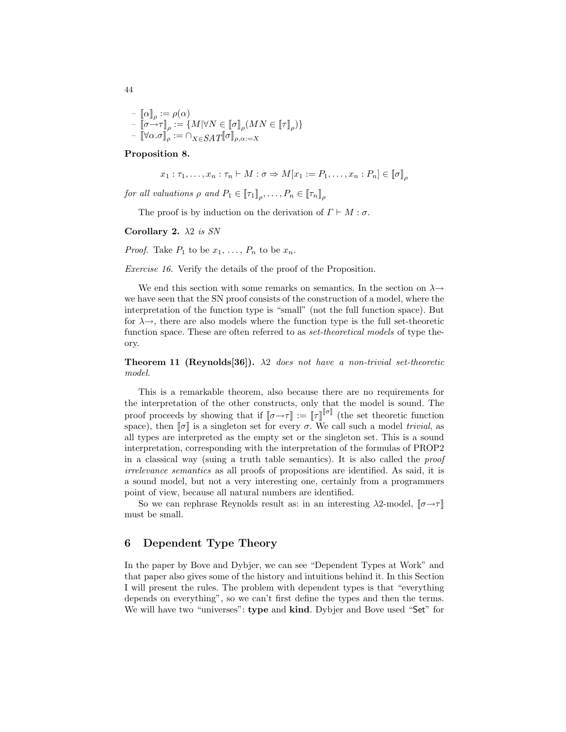$$
\begin{array}{ll} & -\text{ }\llbracket \alpha \rrbracket_{\rho} := \rho(\alpha) \\ & -\text{ }\llbracket \sigma \mathbin{\rightarrow} \tau \rrbracket_{\rho} := \{M | \forall N \in \llbracket \sigma \rrbracket_{\rho} (MN \in \llbracket \tau \rrbracket_{\rho}) \} \\ & - \text{ } \llbracket \forall \alpha . \sigma \rrbracket_{\rho} := \cap_{X \in SAT} \llbracket \sigma \rrbracket_{\rho, \alpha := X} \end{array}
$$

#### Proposition 8.

$$
x_1 : \tau_1, \dots, x_n : \tau_n \vdash M : \sigma \Rightarrow M[x_1 := P_1, \dots, x_n : P_n] \in [\![\sigma]\!]_\rho
$$

for all valuations  $\rho$  and  $P_1 \in \llbracket \tau_1 \rrbracket_\rho, \ldots, P_n \in \llbracket \tau_n \rrbracket_\rho$ 

The proof is by induction on the derivation of  $\Gamma \vdash M : \sigma$ .

#### Corollary 2.  $\lambda$ 2 is SN

*Proof.* Take  $P_1$  to be  $x_1, \ldots, P_n$  to be  $x_n$ .

Exercise 16. Verify the details of the proof of the Proposition.

We end this section with some remarks on semantics. In the section on  $\lambda \rightarrow$ we have seen that the SN proof consists of the construction of a model, where the interpretation of the function type is "small" (not the full function space). But for  $\lambda \rightarrow$ , there are also models where the function type is the full set-theoretic function space. These are often referred to as *set-theoretical models* of type theory.

**Theorem 11 (Reynolds**[36]).  $\lambda$ 2 does not have a non-trivial set-theoretic model.

This is a remarkable theorem, also because there are no requirements for the interpretation of the other constructs, only that the model is sound. The proof proceeds by showing that if  $\llbracket \sigma \rightarrow \tau \rrbracket := \llbracket \tau \rrbracket^{\llbracket \sigma \rrbracket}$  (the set theoretic function space), then  $\llbracket \sigma \rrbracket$  is a singleton set for every  $\sigma$ . We call such a model trivial, as all types are interpreted as the empty set or the singleton set. This is a sound interpretation, corresponding with the interpretation of the formulas of PROP2 in a classical way (suing a truth table semantics). It is also called the proof irrelevance semantics as all proofs of propositions are identified. As said, it is a sound model, but not a very interesting one, certainly from a programmers point of view, because all natural numbers are identified.

So we can rephrase Reynolds result as: in an interesting  $\lambda$ 2-model,  $[\![\sigma \rightarrow \tau]\!]$ must be small.

## 6 Dependent Type Theory

In the paper by Bove and Dybjer, we can see "Dependent Types at Work" and that paper also gives some of the history and intuitions behind it. In this Section I will present the rules. The problem with dependent types is that "everything depends on everything", so we can't first define the types and then the terms. We will have two "universes": type and kind. Dybjer and Bove used "Set" for

44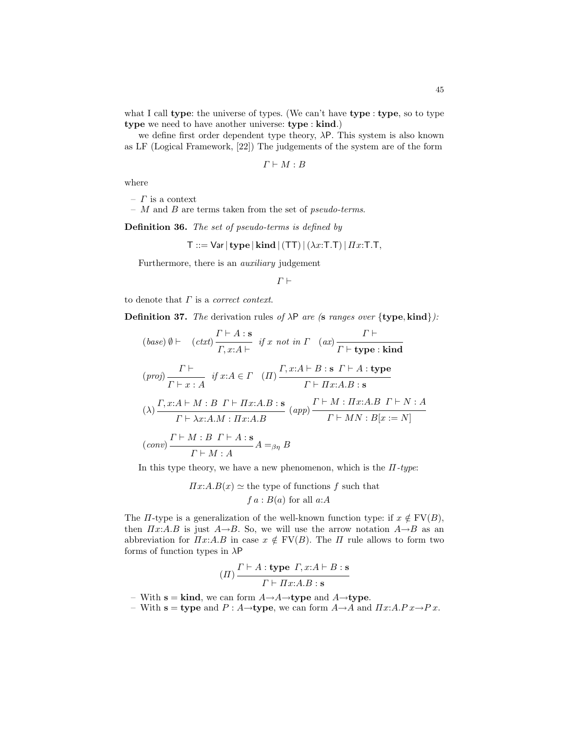what I call type: the universe of types. (We can't have type : type, so to type type we need to have another universe: type : kind.)

we define first order dependent type theory,  $\lambda P$ . This system is also known as LF (Logical Framework, [22]) The judgements of the system are of the form

$$
\varGamma \vdash M : B
$$

where

 $\Gamma$  is a context

–  $M$  and  $B$  are terms taken from the set of *pseudo-terms*.

Definition 36. The set of pseudo-terms is defined by

$$
T ::= Var | \text{type} | \text{kind} | (TT) | (\lambda x{:}T.T) | \Pi x{:}T.T,
$$

Furthermore, there is an auxiliary judgement

 $\Gamma \vdash$ 

to denote that  $\Gamma$  is a *correct context*.

**Definition 37.** The derivation rules of  $\lambda P$  are (s ranges over {type, kind}):

$$
(base) \emptyset \vdash (ctxt) \frac{\Gamma \vdash A : \mathbf{s}}{\Gamma, x : A \vdash} \text{ if } x \text{ not in } \Gamma \text{ (ax)} \frac{\Gamma \vdash}{\Gamma \vdash \mathbf{type} : \mathbf{kind}}
$$
\n
$$
(proj) \frac{\Gamma \vdash}{\Gamma \vdash x : A} \text{ if } x : A \in \Gamma \text{ (}\Pi\text{)} \frac{\Gamma, x : A \vdash B : \mathbf{s} \Gamma \vdash A : \mathbf{type}}{\Gamma \vdash \Pi x : A.B : \mathbf{s}}
$$
\n
$$
(\lambda) \frac{\Gamma, x : A \vdash M : B \Gamma \vdash \Pi x : A.B : \mathbf{s}}{\Gamma \vdash \lambda x : A.M : \Pi x : A.B} \text{ (app)} \frac{\Gamma \vdash M : \Pi x : A.B \Gamma \vdash N : A}{\Gamma \vdash MN : B[x := N]}
$$
\n
$$
(conv) \frac{\Gamma \vdash M : B \Gamma \vdash A : \mathbf{s}}{\Gamma \vdash M : A} A =_{\beta \eta} B
$$

In this type theory, we have a new phenomenon, which is the  $\Pi$ -type:

$$
\Pi x:A.B(x) \simeq \text{the type of functions } f \text{ such that}
$$

$$
f a:B(a) \text{ for all } a:A
$$

The *II*-type is a generalization of the well-known function type: if  $x \notin FV(B)$ , then  $\Pi x:A.B$  is just  $A\rightarrow B$ . So, we will use the arrow notation  $A\rightarrow B$  as an abbreviation for  $\Pi x:A.B$  in case  $x \notin FV(B)$ . The  $\Pi$  rule allows to form two forms of function types in  $\lambda P$ 

$$
(II)\frac{\Gamma\vdash A:\textbf{type }\Gamma,x:A\vdash B:s}{\Gamma\vdash \Pi x:A.B:s}
$$

- With  $s =$ **kind**, we can form  $A \rightarrow A \rightarrow$ **type** and  $A \rightarrow$ **type.**
- With  $s = type$  and  $P : A \rightarrow type$ , we can form  $A \rightarrow A$  and  $\Pi x:A.P x \rightarrow Px$ .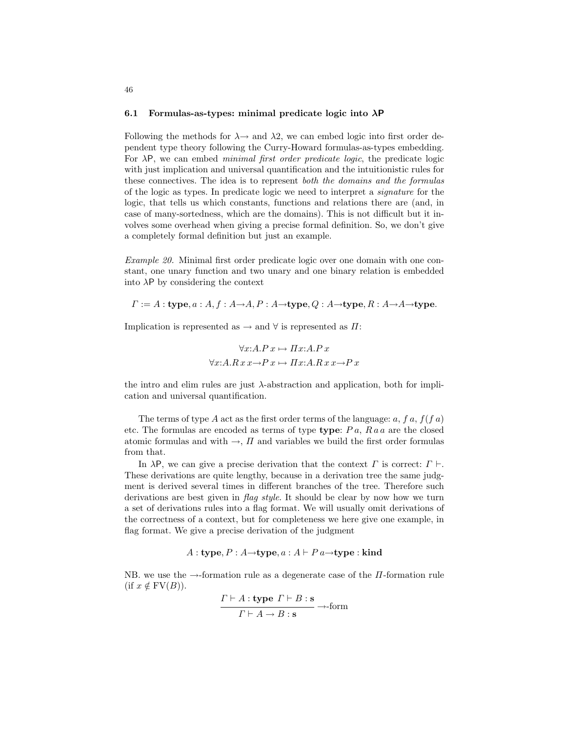#### 6.1 Formulas-as-types: minimal predicate logic into  $\lambda P$

Following the methods for  $\lambda \rightarrow$  and  $\lambda 2$ , we can embed logic into first order dependent type theory following the Curry-Howard formulas-as-types embedding. For  $\lambda$ P, we can embed *minimal first order predicate logic*, the predicate logic with just implication and universal quantification and the intuitionistic rules for these connectives. The idea is to represent both the domains and the formulas of the logic as types. In predicate logic we need to interpret a signature for the logic, that tells us which constants, functions and relations there are (and, in case of many-sortedness, which are the domains). This is not difficult but it involves some overhead when giving a precise formal definition. So, we don't give a completely formal definition but just an example.

Example 20. Minimal first order predicate logic over one domain with one constant, one unary function and two unary and one binary relation is embedded into  $\lambda P$  by considering the context

$$
\Gamma := A : \text{type}, a : A, f : A \rightarrow A, P : A \rightarrow \text{type}, Q : A \rightarrow \text{type}, R : A \rightarrow A \rightarrow \text{type}.
$$

Implication is represented as  $\rightarrow$  and  $\forall$  is represented as  $\Pi$ :

$$
\forall x:A.P \ x \mapsto \Pi x:A.P \ x
$$

$$
\forall x:A.R \ x \ x \mapsto \Pi x:A.R \ x \ x \mapsto P \ x
$$

the intro and elim rules are just  $\lambda$ -abstraction and application, both for implication and universal quantification.

The terms of type A act as the first order terms of the language: a, f a,  $f(f a)$ etc. The formulas are encoded as terms of type type:  $Pa$ ,  $Ra$  a are the closed atomic formulas and with  $\rightarrow$ ,  $\Pi$  and variables we build the first order formulas from that.

In  $\lambda P$ , we can give a precise derivation that the context  $\Gamma$  is correct:  $\Gamma \vdash$ . These derivations are quite lengthy, because in a derivation tree the same judgment is derived several times in different branches of the tree. Therefore such derivations are best given in flag style. It should be clear by now how we turn a set of derivations rules into a flag format. We will usually omit derivations of the correctness of a context, but for completeness we here give one example, in flag format. We give a precise derivation of the judgment

## $A: \text{type}, P: A \rightarrow \text{type}, a: A \vdash P \cdot a \rightarrow \text{type}: \text{kind}$

NB. we use the  $\rightarrow$ -formation rule as a degenerate case of the *Π*-formation rule  $(if x \notin FV(B)).$ 

$$
\frac{\Gamma \vdash A : \text{type } \Gamma \vdash B : \text{s}}{\Gamma \vdash A \to B : \text{s}} \to \text{form}
$$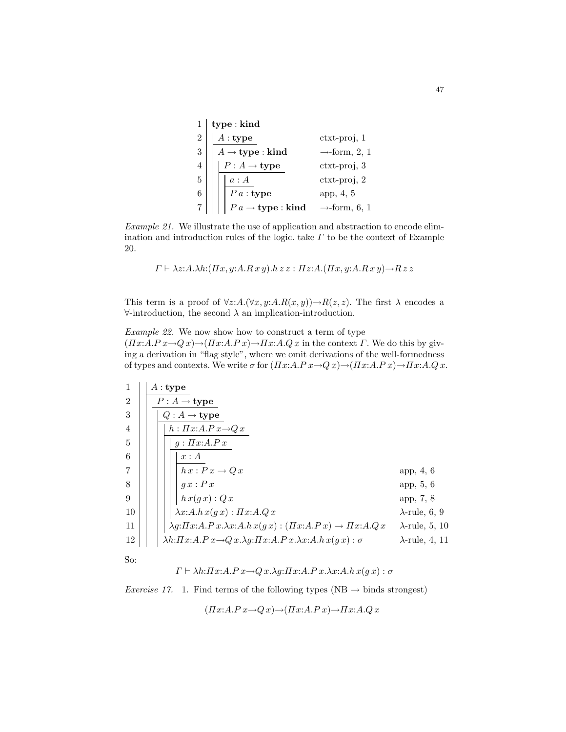

Example 21. We illustrate the use of application and abstraction to encode elimination and introduction rules of the logic. take  $\Gamma$  to be the context of Example 20.

$$
\Gamma \vdash \lambda z:A.\lambda h:(\Pi x,y:A.R\ x\ y).h\ z\ z:\ \Pi z:A.(\Pi x,y:A.R\ x\ y) \rightarrow R\ z\ z
$$

This term is a proof of  $\forall z:A.(\forall x,y:A.R(x,y))\rightarrow R(z,z)$ . The first  $\lambda$  encodes a  $\forall$ -introduction, the second  $\lambda$  an implication-introduction.

Example 22. We now show how to construct a term of type  $(IIx:A.P.x\rightarrow Qx)\rightarrow(IIx:A.P.x)\rightarrow(IIx:A.Q.x)$  in the context  $\Gamma$ . We do this by giving a derivation in "flag style", where we omit derivations of the well-formedness of types and contexts. We write  $\sigma$  for  $(\Pi x:A.P.x \rightarrow Qx) \rightarrow (\Pi x:A.P.x) \rightarrow \Pi x:A.Q.x$ .

| 1              | $A:$ type                                                                                             |                        |
|----------------|-------------------------------------------------------------------------------------------------------|------------------------|
| $\overline{2}$ | $P: A \rightarrow$ type                                                                               |                        |
| 3              | $Q: A \rightarrow$ type                                                                               |                        |
| $\overline{4}$ | $h: \Pi x:A.P x \rightarrow Q x$                                                                      |                        |
| $\overline{5}$ | $q: \Pi x:A.P x$                                                                                      |                        |
| 6              | x:A                                                                                                   |                        |
| $\overline{7}$ | $h x : P x \rightarrow Q x$                                                                           | app, 4, 6              |
| 8              | q x : P x                                                                                             | app, 5, 6              |
| 9              | h x(g x):Q x                                                                                          | app, 7, 8              |
| 10             | $\lambda x:A.h x(g x) : \Pi x:A.Q x$                                                                  | $\lambda$ -rule, 6, 9  |
| 11             | $\lambda g \colon I\!\!I x: A.P x. \lambda x: A.h x(g x) : (I\!\!I x: A.P x) \to I\!\!I x: A.Q x$     | $\lambda$ -rule, 5, 10 |
| 12             | $\lambda h \colon I x:A.P x \rightarrow Q x.\lambda g \colon I x:A.P x.\lambda x:A.h x(g x) : \sigma$ | $\lambda$ -rule, 4, 11 |

So:

$$
\Gamma \vdash \lambda h:\Pi x:A.P\ x \rightarrow Q\ x.\lambda g:\Pi x:A.P\ x.\lambda x:A.h\ x(g\ x): \sigma
$$

*Exercise 17.* 1. Find terms of the following types (NB  $\rightarrow$  binds strongest)

$$
(Hx:A.P\,x \rightarrow Q\,x) \rightarrow (Hx:A.P\,x) \rightarrow Hx:A.Q\,x
$$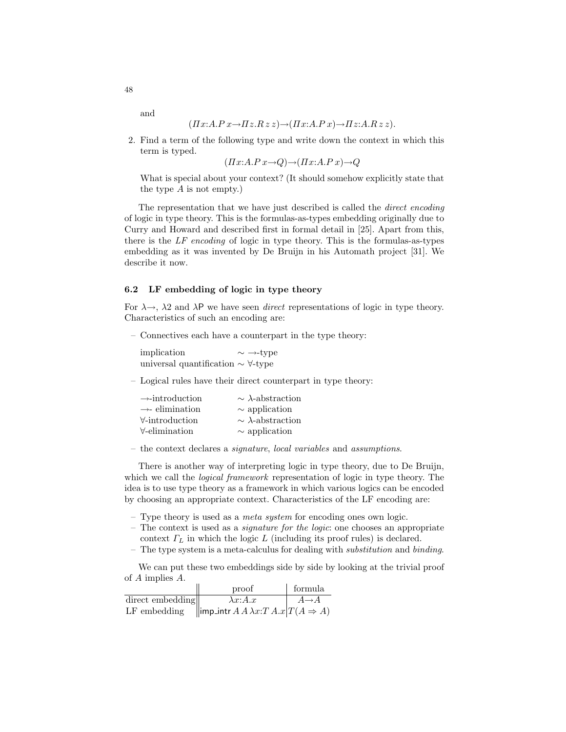and

$$
(Hx:A.P\,x \to Hz.R\,z\,z) \to (Hx:A.P\,x) \to Hz:A.R\,z\,z).
$$

2. Find a term of the following type and write down the context in which this term is typed.

 $(Hx:A.P.x\rightarrow Q) \rightarrow (Hx:A.P.x) \rightarrow Q$ 

What is special about your context? (It should somehow explicitly state that the type  $A$  is not empty.)

The representation that we have just described is called the direct encoding of logic in type theory. This is the formulas-as-types embedding originally due to Curry and Howard and described first in formal detail in [25]. Apart from this, there is the LF encoding of logic in type theory. This is the formulas-as-types embedding as it was invented by De Bruijn in his Automath project [31]. We describe it now.

## 6.2 LF embedding of logic in type theory

For  $\lambda \rightarrow \lambda 2$  and  $\lambda P$  we have seen *direct* representations of logic in type theory. Characteristics of such an encoding are:

– Connectives each have a counterpart in the type theory:

implication  $∼ \rightarrow$ -type universal quantification ∼ ∀-type

– Logical rules have their direct counterpart in type theory:

| $\rightarrow$ -introduction | $\sim \lambda$ -abstraction |
|-----------------------------|-----------------------------|
| $\rightarrow$ - elimination | $\sim$ application          |
| $\forall$ -introduction     | $\sim \lambda$ -abstraction |
| $\forall$ -elimination      | $\sim$ application          |

– the context declares a signature, local variables and assumptions.

There is another way of interpreting logic in type theory, due to De Bruijn, which we call the *logical framework* representation of logic in type theory. The idea is to use type theory as a framework in which various logics can be encoded by choosing an appropriate context. Characteristics of the LF encoding are:

- Type theory is used as a *meta system* for encoding ones own logic.
- The context is used as a signature for the logic: one chooses an appropriate context  $\Gamma_L$  in which the logic L (including its proof rules) is declared.
- The type system is a meta-calculus for dealing with substitution and binding.

We can put these two embeddings side by side by looking at the trivial proof of A implies A.

|                  | proof                                                                                         | formula           |
|------------------|-----------------------------------------------------------------------------------------------|-------------------|
| direct embedding | $\lambda x: A.x$                                                                              | $A \rightarrow A$ |
|                  | LF embedding $\lim_{\rho \to 0} \lim_{\rho \to 0} A A \lambda x : T A.x   T(A \Rightarrow A)$ |                   |

48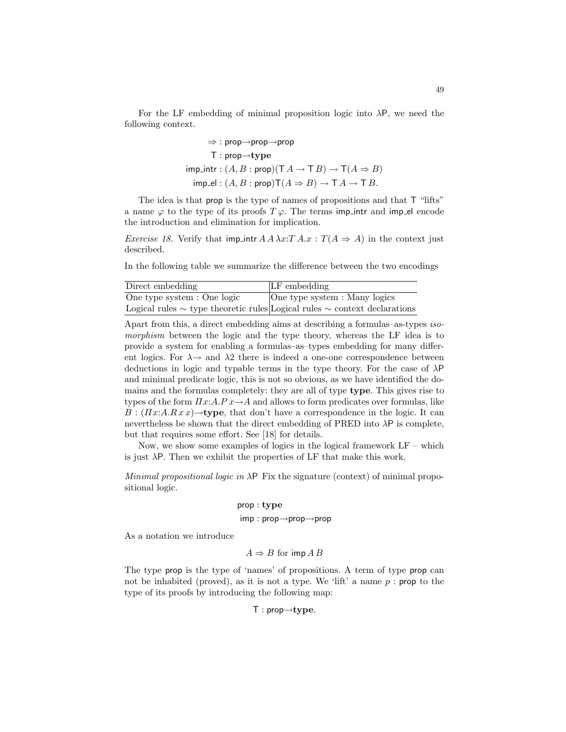For the LF embedding of minimal proposition logic into  $\lambda P$ , we need the following context.

$$
\Rightarrow : \text{prop} \rightarrow \text{prop}
$$
  
\n
$$
\top : \text{prop} \rightarrow \text{type}
$$
  
\n
$$
\text{imp\_intr} : (A, B : \text{prop})(\top A \rightarrow \top B) \rightarrow \top (A \Rightarrow B)
$$
  
\n
$$
\text{imp\_el} : (A, B : \text{prop})\top (A \Rightarrow B) \rightarrow \top A \rightarrow \top B.
$$

The idea is that prop is the type of names of propositions and that T "lifts" a name  $\varphi$  to the type of its proofs  $T\varphi$ . The terms implintr and implel encode the introduction and elimination for implication.

*Exercise 18.* Verify that imp intr  $A A \lambda x$ :  $T A.x$  :  $T(A \Rightarrow A)$  in the context just described.

In the following table we summarize the difference between the two encodings

| Direct embedding            | LF embedding                                                                        |
|-----------------------------|-------------------------------------------------------------------------------------|
| One type system : One logic | One type system : Many logics                                                       |
|                             | Logical rules $\sim$ type theoretic rules Logical rules $\sim$ context declarations |

Apart from this, a direct embedding aims at describing a formulas–as-types isomorphism between the logic and the type theory, whereas the LF idea is to provide a system for enabling a formulas–as–types embedding for many different logics. For  $\lambda \rightarrow$  and  $\lambda$ 2 there is indeed a one-one correspondence between deductions in logic and typable terms in the type theory. For the case of λP and minimal predicate logic, this is not so obvious, as we have identified the domains and the formulas completely: they are all of type type. This gives rise to types of the form  $\Pi x:A.P.x \rightarrow A$  and allows to form predicates over formulas, like  $B: (IIx:A.R x x) \rightarrow$ type, that don't have a correspondence in the logic. It can nevertheless be shown that the direct embedding of PRED into  $\lambda P$  is complete, but that requires some effort. See [18] for details.

Now, we show some examples of logics in the logical framework  $LF -$  which is just  $\lambda$ P. Then we exhibit the properties of LF that make this work.

Minimal propositional logic in  $\lambda P$  Fix the signature (context) of minimal propositional logic.

#### prop : type

#### imp : prop→prop→prop

As a notation we introduce

$$
A \Rightarrow B
$$
 for  $\text{imp } A B$ 

The type prop is the type of 'names' of propositions. A term of type prop can not be inhabited (proved), as it is not a type. We 'lift' a name  $p$ : prop to the type of its proofs by introducing the following map:

T : prop→type.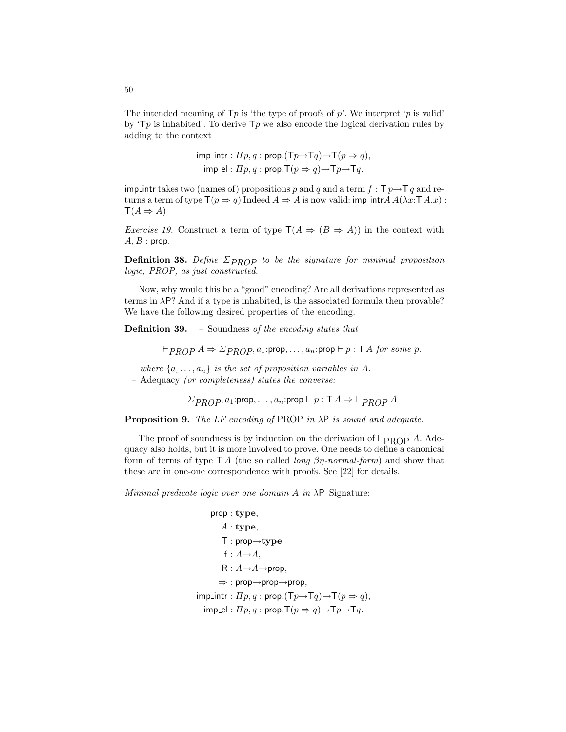The intended meaning of  $\mathsf{T}p$  is 'the type of proofs of p'. We interpret 'p is valid' by ' $Tp$  is inhabited'. To derive  $Tp$  we also encode the logical derivation rules by adding to the context

$$
\mathsf{imp\_intr}: \Pi p, q: \mathsf{prop}.(\mathsf{T} p \to \mathsf{T} q) \to \mathsf{T}(p \Rightarrow q),
$$

$$
\mathsf{imp\_el}: \Pi p, q: \mathsf{prop}. \mathsf{T}(p \Rightarrow q) \to \mathsf{T} p \to \mathsf{T} q.
$$

imp intr takes two (names of) propositions p and q and a term  $f : \mathsf{T} p \rightarrow \mathsf{T} q$  and returns a term of type  $\mathsf{T}(p \Rightarrow q)$  Indeed  $A \Rightarrow A$  is now valid: imp\_intr $A A(\lambda x: \mathsf{T} A.x)$ :  $\mathsf{T}(A \Rightarrow A)$ 

*Exercise 19.* Construct a term of type  $T(A \Rightarrow (B \Rightarrow A))$  in the context with  $A, B$ : prop.

**Definition 38.** Define  $\Sigma_{PROP}$  to be the signature for minimal proposition logic, PROP, as just constructed.

Now, why would this be a "good" encoding? Are all derivations represented as terms in  $\lambda P$ ? And if a type is inhabited, is the associated formula then provable? We have the following desired properties of the encoding.

Definition 39. – Soundness of the encoding states that

 $\vdash_{PROP} A \Rightarrow \Sigma_{PROP}, a_1: \text{prop}, \ldots, a_n: \text{prop} \vdash p : \top A \text{ for some } p.$ 

where  $\{a, \ldots, a_n\}$  is the set of proposition variables in A. – Adequacy (or completeness) states the converse:

 $\sum_{P\mid P\cap P} a_1: \text{prop}, \ldots, a_n: \text{prop} \vdash p : \mathsf{T} A \Rightarrow \vdash_{P\mid P\cap P} A$ 

**Proposition 9.** The LF encoding of PROP in  $\lambda$ P is sound and adequate.

The proof of soundness is by induction on the derivation of  $\vdash_{\text{PROP}} A$ . Adequacy also holds, but it is more involved to prove. One needs to define a canonical form of terms of type  $TA$  (the so called *long*  $\beta\eta$ *-normal-form*) and show that these are in one-one correspondence with proofs. See [22] for details.

Minimal predicate logic over one domain  $A$  in  $\lambda P$  Signature:

$$
prop: type,
$$
  
\n*A* : type,  
\n
$$
T: prop \rightarrow type
$$
  
\n
$$
f: A \rightarrow A,
$$
  
\n
$$
R: A \rightarrow A \rightarrow prop,
$$
  
\n
$$
\Rightarrow: prop \rightarrow prop \rightarrow prop,
$$
  
\n
$$
imp_intr: IP, q: prop.(Tp \rightarrow Tq) \rightarrow T(p \Rightarrow q),
$$
  
\n
$$
imp_e: IP, q: prop.T(p \Rightarrow q) \rightarrow Tp \rightarrow Tq.
$$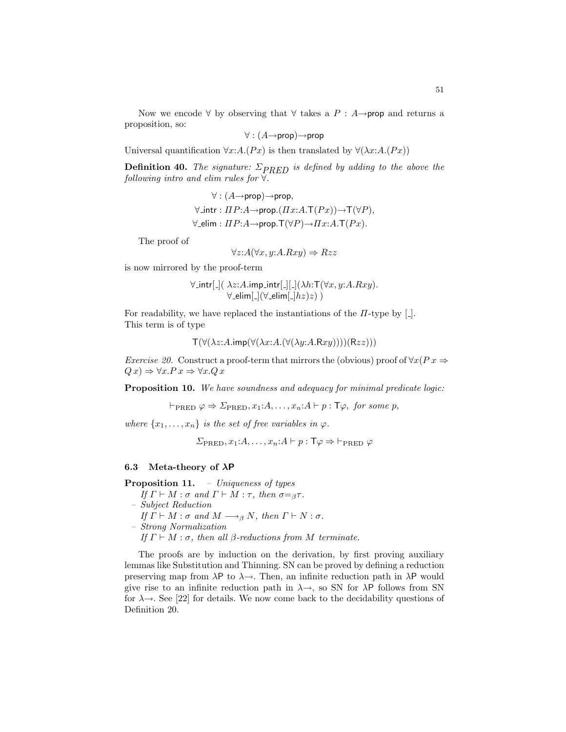Now we encode  $\forall$  by observing that  $\forall$  takes a P : A→prop and returns a proposition, so:

$$
\forall : (A{\rightarrow} \mathsf{prop}) {\rightarrow} \mathsf{prop}
$$

Universal quantification  $\forall x:A.(Px)$  is then translated by  $\forall (\lambda x:A.(Px))$ 

**Definition 40.** The signature:  $\Sigma_{PRED}$  is defined by adding to the above the following intro and elim rules for ∀.

$$
\forall : (A \rightarrow \text{prop}) \rightarrow \text{prop},
$$
  

$$
\forall \text{...intr}: \Pi P: A \rightarrow \text{prop}.(\Pi x: A.\mathsf{T}(Px)) \rightarrow \mathsf{T}(\forall P),
$$
  

$$
\forall \text{...elim}: \Pi P: A \rightarrow \text{prop}. \mathsf{T}(\forall P) \rightarrow \Pi x: A.\mathsf{T}(Px).
$$

The proof of

$$
\forall z: A(\forall x, y: A.Rxy) \Rightarrow Rzz
$$

is now mirrored by the proof-term

$$
\forall \text{...intr}[\text{...}]\, (\lambda z: A.\text{imp}\text{...intr}[\text{...}][\text{...}]\, (\lambda h:\text{T}(\forall x, y: A.Rxy).\n \forall \text{...elim}[\text{...}][hz)z) )
$$

For readability, we have replaced the instantiations of the  $\Pi$ -type by [...]. This term is of type

 $T(\forall (\lambda z:A.\mathsf{imp}(\forall (\lambda x:A.(\forall (\lambda y:A.Rxy))))(Rzz)))$ 

Exercise 20. Construct a proof-term that mirrors the (obvious) proof of  $\forall x (P x \Rightarrow P)$  $Q(x) \Rightarrow \forall x.P \, x \Rightarrow \forall x.Q \, x$ 

**Proposition 10.** We have soundness and adequacy for minimal predicate logic:

 $\vdash_{\text{PRED}} \varphi \Rightarrow \varSigma_{\text{PRED}}, x_1: A, \ldots, x_n: A \vdash p : \mathsf{T}\varphi, \text{ for some } p,$ 

where  $\{x_1, \ldots, x_n\}$  is the set of free variables in  $\varphi$ .

 $\Sigma_{\text{PRED}}, x_1:A, \ldots, x_n:A \vdash p : \mathsf{T}\varphi \Rightarrow \vdash_{\text{PRED}} \varphi$ 

### 6.3 Meta-theory of λP

Proposition 11. – Uniqueness of types

If  $\Gamma \vdash M : \sigma$  and  $\Gamma \vdash M : \tau$ , then  $\sigma =_{\beta} \tau$ .

- Subject Reduction
- If  $\Gamma \vdash M : \sigma$  and  $M \longrightarrow_{\beta} N$ , then  $\Gamma \vdash N : \sigma$ .
- Strong Normalization
- If  $\Gamma \vdash M : \sigma$ , then all  $\beta$ -reductions from M terminate.

The proofs are by induction on the derivation, by first proving auxiliary lemmas like Substitution and Thinning. SN can be proved by defining a reduction preserving map from  $\lambda P$  to  $\lambda \rightarrow$ . Then, an infinite reduction path in  $\lambda P$  would give rise to an infinite reduction path in  $\lambda \rightarrow$ , so SN for  $\lambda$ P follows from SN for  $\lambda \rightarrow$ . See [22] for details. We now come back to the decidability questions of Definition 20.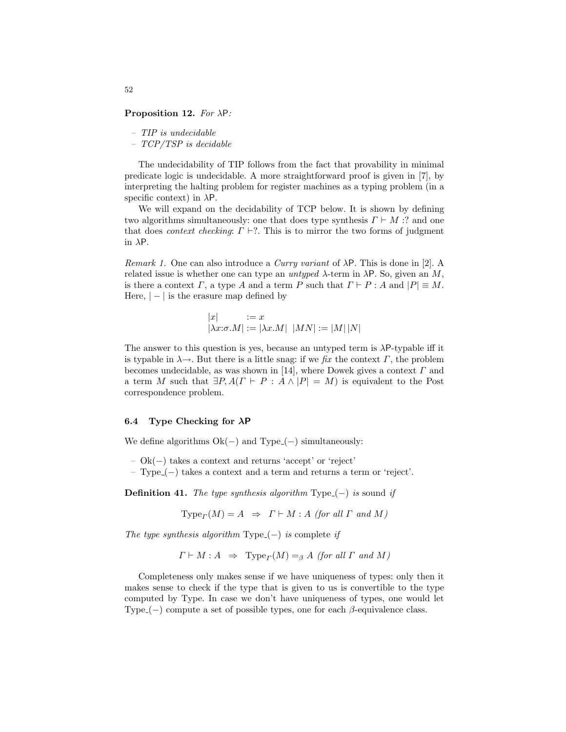#### **Proposition 12.** For  $\lambda$ P:

- TIP is undecidable
- TCP/TSP is decidable

The undecidability of TIP follows from the fact that provability in minimal predicate logic is undecidable. A more straightforward proof is given in [7], by interpreting the halting problem for register machines as a typing problem (in a specific context) in  $\lambda P$ .

We will expand on the decidability of TCP below. It is shown by defining two algorithms simultaneously: one that does type synthesis  $\Gamma \vdash M : ?$  and one that does *context checking*:  $\Gamma \vdash ?$ . This is to mirror the two forms of judgment in  $\lambda P$ .

*Remark 1.* One can also introduce a *Curry variant* of  $\lambda$ P. This is done in [2]. A related issue is whether one can type an *untyped*  $\lambda$ -term in  $\lambda$ P. So, given an M, is there a context  $\Gamma$ , a type A and a term P such that  $\Gamma \vdash P : A$  and  $|P| \equiv M$ . Here,  $|-|$  is the erasure map defined by

$$
|x| := x
$$
  

$$
|\lambda x:\sigma.M| := |\lambda x.M| \ |MN| := |M| \, |N|
$$

The answer to this question is yes, because an untyped term is  $\lambda P$ -typable iff it is typable in  $\lambda \rightarrow$ . But there is a little snag: if we fix the context  $\Gamma$ , the problem becomes undecidable, as was shown in [14], where Dowek gives a context  $\Gamma$  and a term M such that  $\exists P, A(\Gamma \vdash P : A \land |P| = M)$  is equivalent to the Post correspondence problem.

### 6.4 Type Checking for  $\lambda$ P

We define algorithms  $Ok(-)$  and Type  $(-)$  simultaneously:

- Ok(−) takes a context and returns 'accept' or 'reject'
- Type (−) takes a context and a term and returns a term or 'reject'.

**Definition 41.** The type synthesis algorithm Type  $(-)$  is sound if

$$
Type_{\Gamma}(M) = A \Rightarrow \Gamma \vdash M : A \text{ (for all } \Gamma \text{ and } M)
$$

The type synthesis algorithm Type  $(-)$  is complete if

$$
\Gamma \vdash M : A \;\; \Rightarrow \;\; \text{Type}_{\Gamma}(M) =_{\beta} A \text{ (for all } \Gamma \text{ and } M)
$$

Completeness only makes sense if we have uniqueness of types: only then it makes sense to check if the type that is given to us is convertible to the type computed by Type. In case we don't have uniqueness of types, one would let Type  $(-)$  compute a set of possible types, one for each  $\beta$ -equivalence class.

52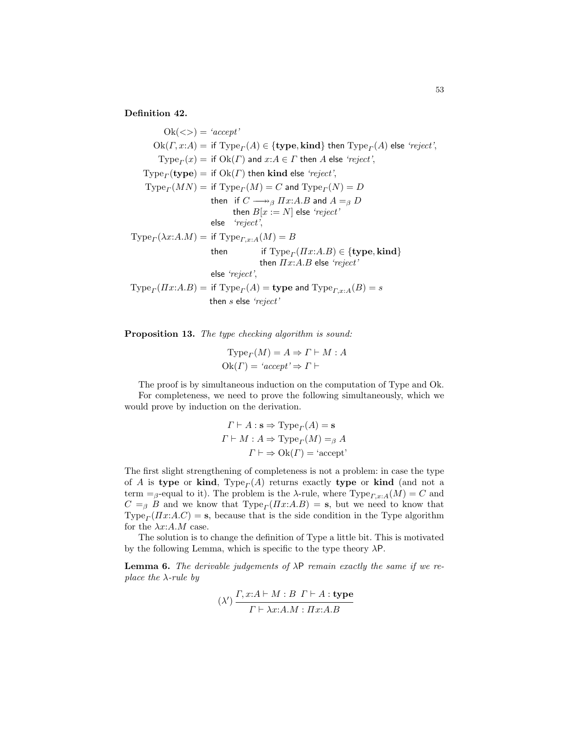## Definition 42.

$$
Ok(<>>) = 'accept'
$$
  
\n
$$
Ok(\Gamma, x:A) = \text{if Type}_{\Gamma}(A) \in \{\text{type}, \text{kind}\} \text{ then Type}_{\Gamma}(A) \text{ else 'reject'},
$$
\n
$$
\text{Type}_{\Gamma}(x) = \text{if OK}(\Gamma) \text{ and } x:A \in \Gamma \text{ then } A \text{ else 'reject'},
$$
\n
$$
\text{Type}_{\Gamma}(\text{type}) = \text{if OK}(\Gamma) \text{ then kind else 'reject'},
$$
\n
$$
\text{Type}_{\Gamma}(MN) = \text{if Type}_{\Gamma}(M) = C \text{ and Type}_{\Gamma}(N) = D
$$
\n
$$
\text{then } \text{if } C \longrightarrow_{\beta} \Pi x:A.B \text{ and } A =_{\beta} D
$$
\n
$$
\text{then } B[x := N] \text{ else 'reject'}.
$$
\n
$$
\text{Type}_{\Gamma}(\lambda x:A.M) = \text{if Type}_{\Gamma,x:A}(M) = B
$$
\n
$$
\text{then } \text{if Type}_{\Gamma}(\Pi x:A.B) \in \{\text{type}, \text{kind}\} \text{ then } \Pi x:A.B \text{ else 'reject'} \text{ else } 'reject'},
$$
\n
$$
\text{Type}_{\Gamma}(\Pi x:A.B) = \text{if Type}_{\Gamma}(A) = \text{type and Type}_{\Gamma,x:A}(B) = s
$$
\n
$$
\text{then } s \text{ else 'reject'}
$$

Proposition 13. The type checking algorithm is sound:

 $Type_\Gamma(M) = A \Rightarrow \Gamma \vdash M : A$  $Ok(\Gamma) = 'accept' \Rightarrow \Gamma \vdash$ 

The proof is by simultaneous induction on the computation of Type and Ok. For completeness, we need to prove the following simultaneously, which we would prove by induction on the derivation.

$$
\Gamma \vdash A : \mathbf{s} \Rightarrow \text{Type}_\Gamma(A) = \mathbf{s}
$$

$$
\Gamma \vdash M : A \Rightarrow \text{Type}_\Gamma(M) =_\beta A
$$

$$
\Gamma \vdash \Rightarrow \text{Ok}(\Gamma) = \text{`accept'}
$$

The first slight strengthening of completeness is not a problem: in case the type of A is type or kind,  $Type<sub>\Gamma</sub>(A)$  returns exactly type or kind (and not a term =<sub>β</sub>-equal to it). The problem is the  $\lambda$ -rule, where Type<sub> $\Gamma_{xx}$ :A(M) = C and</sub>  $C =_{\beta} B$  and we know that Type<sub>Γ</sub>( $\Pi x:A.B$ ) = s, but we need to know that Type<sub> $\Gamma$ </sub> $(\Pi x:A.C)$  = s, because that is the side condition in the Type algorithm for the  $\lambda x$ : A.M case.

The solution is to change the definition of Type a little bit. This is motivated by the following Lemma, which is specific to the type theory  $\lambda P$ .

**Lemma 6.** The derivable judgements of  $\lambda$ P remain exactly the same if we replace the  $\lambda$ -rule by

$$
(\lambda') \frac{\Gamma, x:A \vdash M : B \Gamma \vdash A : \text{type}}{\Gamma \vdash \lambda x:A.M : \Pi x:A.B}
$$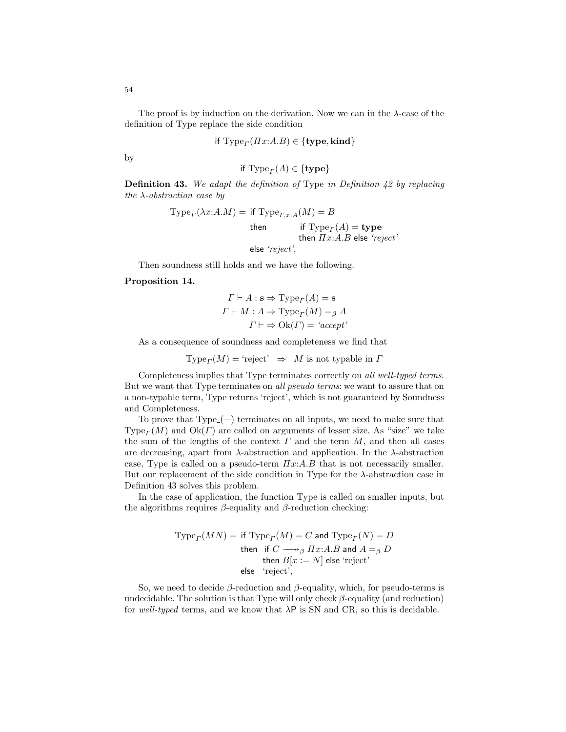The proof is by induction on the derivation. Now we can in the  $\lambda$ -case of the definition of Type replace the side condition

$$
\text{if }\text{Type}_\Gamma(\Pi x:A.B)\in\{\text{type},\text{kind}\}\
$$

by

if 
$$
\text{Type}_\Gamma(A) \in \{\text{type}\}\
$$

Definition 43. We adapt the definition of Type in Definition 42 by replacing the λ-abstraction case by

$$
\text{Type}_{\Gamma}(\lambda x:A.M) = \text{ if } \text{Type}_{\Gamma,x:A}(M) = B
$$
\n
$$
\text{then } \text{ if } \text{Type}_{\Gamma}(A) = \text{type}
$$
\n
$$
\text{then } \Pi x:A.B \text{ else } 'reject'.
$$
\n
$$
\text{else } 'reject',
$$

Then soundness still holds and we have the following.

#### Proposition 14.

$$
\Gamma \vdash A : \mathbf{s} \Rightarrow \text{Type}_\Gamma(A) = \mathbf{s}
$$
\n
$$
\Gamma \vdash M : A \Rightarrow \text{Type}_\Gamma(M) =_\beta A
$$
\n
$$
\Gamma \vdash \Rightarrow \text{Ok}(\Gamma) = 'accept'
$$

As a consequence of soundness and completeness we find that

$$
Type_{\Gamma}(M) = 'reject' \Rightarrow M \text{ is not typable in } \Gamma
$$

Completeness implies that Type terminates correctly on all well-typed terms. But we want that Type terminates on all pseudo terms: we want to assure that on a non-typable term, Type returns 'reject', which is not guaranteed by Soundness and Completeness.

To prove that  $Type_{-}$  terminates on all inputs, we need to make sure that Type $\Gamma(M)$  and  $\text{Ok}(T)$  are called on arguments of lesser size. As "size" we take the sum of the lengths of the context  $\Gamma$  and the term  $M$ , and then all cases are decreasing, apart from  $\lambda$ -abstraction and application. In the  $\lambda$ -abstraction case, Type is called on a pseudo-term  $\eta Jx:A,B$  that is not necessarily smaller. But our replacement of the side condition in Type for the  $\lambda$ -abstraction case in Definition 43 solves this problem.

In the case of application, the function Type is called on smaller inputs, but the algorithms requires  $\beta$ -equality and  $\beta$ -reduction checking:

$$
\text{Type}_{\Gamma}(MN) = \text{ if } \text{Type}_{\Gamma}(M) = C \text{ and } \text{Type}_{\Gamma}(N) = D
$$
\n
$$
\text{ then } \text{ if } C \longrightarrow_{\beta} \text{ } \text{I\!T\!x:} A.B \text{ and } A =_{\beta} D
$$
\n
$$
\text{ then } B[x := N] \text{ else 'reject'}
$$
\n
$$
\text{ else 'reject',}
$$

So, we need to decide  $\beta$ -reduction and  $\beta$ -equality, which, for pseudo-terms is undecidable. The solution is that Type will only check  $\beta$ -equality (and reduction) for well-typed terms, and we know that  $\lambda P$  is SN and CR, so this is decidable.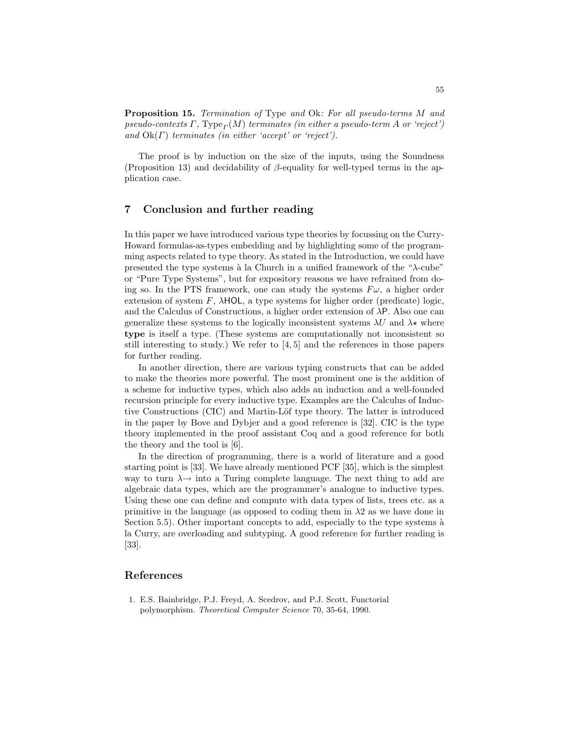Proposition 15. Termination of Type and Ok: For all pseudo-terms M and  $pseudo\text{-}contexts\varGamma, \text{Type}_{\varGamma}(M)\ \text{terminates (in either a pseudo-term } A\ \text{or 'reject')}$ and  $\text{Ok}(\Gamma)$  terminates (in either 'accept' or 'reject').

The proof is by induction on the size of the inputs, using the Soundness (Proposition 13) and decidability of  $\beta$ -equality for well-typed terms in the application case.

## 7 Conclusion and further reading

In this paper we have introduced various type theories by focussing on the Curry-Howard formulas-as-types embedding and by highlighting some of the programming aspects related to type theory. As stated in the Introduction, we could have presented the type systems à la Church in a unified framework of the " $\lambda$ -cube" or "Pure Type Systems", but for expository reasons we have refrained from doing so. In the PTS framework, one can study the systems  $F\omega$ , a higher order extension of system  $F$ ,  $\lambda$ HOL, a type systems for higher order (predicate) logic, and the Calculus of Constructions, a higher order extension of  $\lambda P$ . Also one can generalize these systems to the logically inconsistent systems  $\lambda U$  and  $\lambda \star$  where type is itself a type. (These systems are computationally not inconsistent so still interesting to study.) We refer to [4, 5] and the references in those papers for further reading.

In another direction, there are various typing constructs that can be added to make the theories more powerful. The most prominent one is the addition of a scheme for inductive types, which also adds an induction and a well-founded recursion principle for every inductive type. Examples are the Calculus of Inductive Constructions (CIC) and Martin-Löf type theory. The latter is introduced in the paper by Bove and Dybjer and a good reference is [32]. CIC is the type theory implemented in the proof assistant Coq and a good reference for both the theory and the tool is [6].

In the direction of programming, there is a world of literature and a good starting point is [33]. We have already mentioned PCF [35], which is the simplest way to turn  $\lambda \rightarrow$  into a Turing complete language. The next thing to add are algebraic data types, which are the programmer's analogue to inductive types. Using these one can define and compute with data types of lists, trees etc. as a primitive in the language (as opposed to coding them in  $\lambda$ 2 as we have done in Section 5.5). Other important concepts to add, especially to the type systems  $\hat{a}$ la Curry, are overloading and subtyping. A good reference for further reading is [33].

## References

1. E.S. Bainbridge, P.J. Freyd, A. Scedrov, and P.J. Scott, Functorial polymorphism. Theoretical Computer Science 70, 35-64, 1990.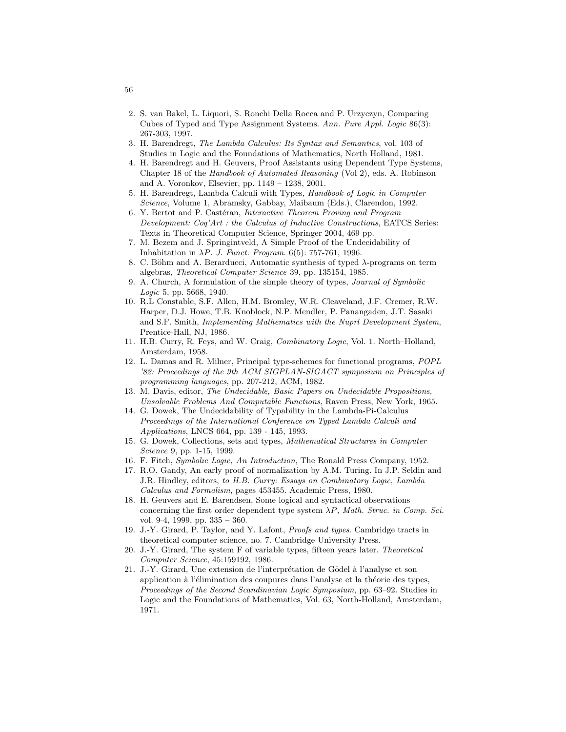- 2. S. van Bakel, L. Liquori, S. Ronchi Della Rocca and P. Urzyczyn, Comparing Cubes of Typed and Type Assignment Systems. Ann. Pure Appl. Logic 86(3): 267-303, 1997.
- 3. H. Barendregt, The Lambda Calculus: Its Syntax and Semantics, vol. 103 of Studies in Logic and the Foundations of Mathematics, North Holland, 1981.
- 4. H. Barendregt and H. Geuvers, Proof Assistants using Dependent Type Systems, Chapter 18 of the Handbook of Automated Reasoning (Vol 2), eds. A. Robinson and A. Voronkov, Elsevier, pp. 1149 – 1238, 2001.
- 5. H. Barendregt, Lambda Calculi with Types, Handbook of Logic in Computer Science, Volume 1, Abramsky, Gabbay, Maibaum (Eds.), Clarendon, 1992.
- 6. Y. Bertot and P. Castéran, *Interactive Theorem Proving and Program* Development: Coq'Art : the Calculus of Inductive Constructions, EATCS Series: Texts in Theoretical Computer Science, Springer 2004, 469 pp.
- 7. M. Bezem and J. Springintveld, A Simple Proof of the Undecidability of Inhabitation in  $\lambda P$ . J. Funct. Program. 6(5): 757-761, 1996.
- 8. C. Böhm and A. Berarducci, Automatic synthesis of typed  $\lambda$ -programs on term algebras, Theoretical Computer Science 39, pp. 135154, 1985.
- 9. A. Church, A formulation of the simple theory of types, Journal of Symbolic Logic 5, pp. 5668, 1940.
- 10. R.L Constable, S.F. Allen, H.M. Bromley, W.R. Cleaveland, J.F. Cremer, R.W. Harper, D.J. Howe, T.B. Knoblock, N.P. Mendler, P. Panangaden, J.T. Sasaki and S.F. Smith, Implementing Mathematics with the Nuprl Development System, Prentice-Hall, NJ, 1986.
- 11. H.B. Curry, R. Feys, and W. Craig, Combinatory Logic, Vol. 1. North–Holland, Amsterdam, 1958.
- 12. L. Damas and R. Milner, Principal type-schemes for functional programs, POPL '82: Proceedings of the 9th ACM SIGPLAN-SIGACT symposium on Principles of programming languages, pp. 207-212, ACM, 1982.
- 13. M. Davis, editor, The Undecidable, Basic Papers on Undecidable Propositions, Unsolvable Problems And Computable Functions, Raven Press, New York, 1965.
- 14. G. Dowek, The Undecidability of Typability in the Lambda-Pi-Calculus Proceedings of the International Conference on Typed Lambda Calculi and Applications, LNCS 664, pp. 139 - 145, 1993.
- 15. G. Dowek, Collections, sets and types, Mathematical Structures in Computer Science 9, pp. 1-15, 1999.
- 16. F. Fitch, Symbolic Logic, An Introduction, The Ronald Press Company, 1952.
- 17. R.O. Gandy, An early proof of normalization by A.M. Turing. In J.P. Seldin and J.R. Hindley, editors, to H.B. Curry: Essays on Combinatory Logic, Lambda Calculus and Formalism, pages 453455. Academic Press, 1980.
- 18. H. Geuvers and E. Barendsen, Some logical and syntactical observations concerning the first order dependent type system  $\lambda P$ , Math. Struc. in Comp. Sci. vol. 9-4, 1999, pp. 335 – 360.
- 19. J.-Y. Girard, P. Taylor, and Y. Lafont, Proofs and types. Cambridge tracts in theoretical computer science, no. 7. Cambridge University Press.
- 20. J.-Y. Girard, The system F of variable types, fifteen years later. Theoretical Computer Science, 45:159192, 1986.
- 21. J.-Y. Girard, Une extension de l'interprétation de Gödel à l'analyse et son application à l'élimination des coupures dans l'analyse et la théorie des types, Proceedings of the Second Scandinavian Logic Symposium, pp. 63–92. Studies in Logic and the Foundations of Mathematics, Vol. 63, North-Holland, Amsterdam, 1971.

56